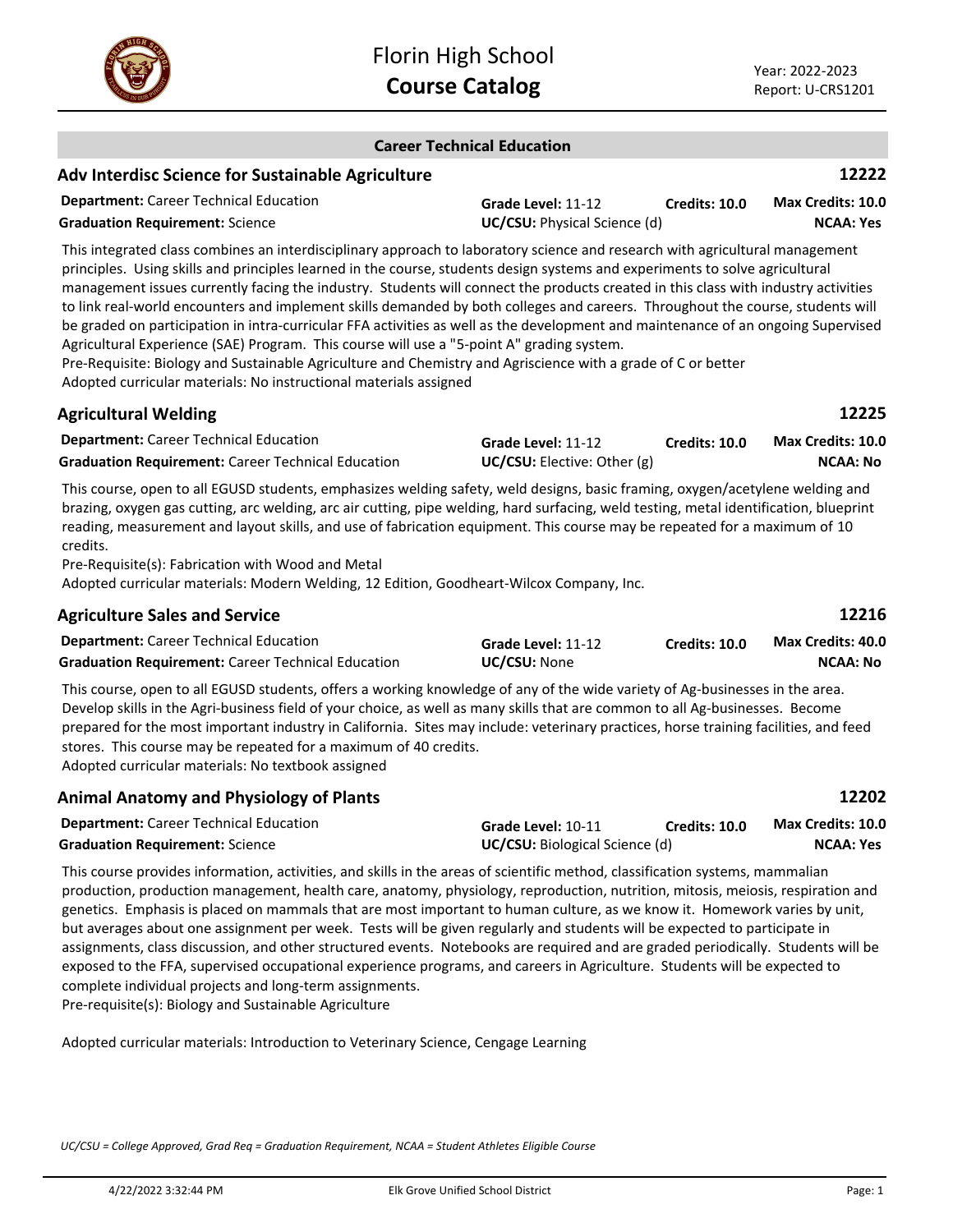

**Career Technical Education**

|                                                                                                                                                                                                                                                                                                                                                                                                                                                                                                                                                                                                                                                                                                                                                                                                                                                                                                                                                             | Career Technical Equcation                         |                      |                                             |
|-------------------------------------------------------------------------------------------------------------------------------------------------------------------------------------------------------------------------------------------------------------------------------------------------------------------------------------------------------------------------------------------------------------------------------------------------------------------------------------------------------------------------------------------------------------------------------------------------------------------------------------------------------------------------------------------------------------------------------------------------------------------------------------------------------------------------------------------------------------------------------------------------------------------------------------------------------------|----------------------------------------------------|----------------------|---------------------------------------------|
| <b>Adv Interdisc Science for Sustainable Agriculture</b>                                                                                                                                                                                                                                                                                                                                                                                                                                                                                                                                                                                                                                                                                                                                                                                                                                                                                                    |                                                    |                      | 12222                                       |
| <b>Department:</b> Career Technical Education<br><b>Graduation Requirement: Science</b>                                                                                                                                                                                                                                                                                                                                                                                                                                                                                                                                                                                                                                                                                                                                                                                                                                                                     | Grade Level: 11-12<br>UC/CSU: Physical Science (d) | <b>Credits: 10.0</b> | Max Credits: 10.0<br><b>NCAA: Yes</b>       |
| This integrated class combines an interdisciplinary approach to laboratory science and research with agricultural management<br>principles. Using skills and principles learned in the course, students design systems and experiments to solve agricultural<br>management issues currently facing the industry. Students will connect the products created in this class with industry activities<br>to link real-world encounters and implement skills demanded by both colleges and careers. Throughout the course, students will<br>be graded on participation in intra-curricular FFA activities as well as the development and maintenance of an ongoing Supervised<br>Agricultural Experience (SAE) Program. This course will use a "5-point A" grading system.<br>Pre-Requisite: Biology and Sustainable Agriculture and Chemistry and Agriscience with a grade of C or better<br>Adopted curricular materials: No instructional materials assigned |                                                    |                      |                                             |
| <b>Agricultural Welding</b>                                                                                                                                                                                                                                                                                                                                                                                                                                                                                                                                                                                                                                                                                                                                                                                                                                                                                                                                 |                                                    |                      | 12225                                       |
| <b>Department:</b> Career Technical Education<br><b>Graduation Requirement:</b> Career Technical Education                                                                                                                                                                                                                                                                                                                                                                                                                                                                                                                                                                                                                                                                                                                                                                                                                                                  | Grade Level: 11-12<br>UC/CSU: Elective: Other (g)  | <b>Credits: 10.0</b> | <b>Max Credits: 10.0</b><br><b>NCAA: No</b> |
| This course, open to all EGUSD students, emphasizes welding safety, weld designs, basic framing, oxygen/acetylene welding and<br>brazing, oxygen gas cutting, arc welding, arc air cutting, pipe welding, hard surfacing, weld testing, metal identification, blueprint<br>reading, measurement and layout skills, and use of fabrication equipment. This course may be repeated for a maximum of 10<br>credits.<br>Pre-Requisite(s): Fabrication with Wood and Metal<br>Adopted curricular materials: Modern Welding, 12 Edition, Goodheart-Wilcox Company, Inc.                                                                                                                                                                                                                                                                                                                                                                                           |                                                    |                      |                                             |
| <b>Agriculture Sales and Service</b>                                                                                                                                                                                                                                                                                                                                                                                                                                                                                                                                                                                                                                                                                                                                                                                                                                                                                                                        |                                                    |                      | 12216                                       |
| <b>Department:</b> Career Technical Education<br><b>Graduation Requirement: Career Technical Education</b>                                                                                                                                                                                                                                                                                                                                                                                                                                                                                                                                                                                                                                                                                                                                                                                                                                                  | Grade Level: 11-12<br>UC/CSU: None                 | <b>Credits: 10.0</b> | Max Credits: 40.0<br><b>NCAA: No</b>        |
| This course, open to all EGUSD students, offers a working knowledge of any of the wide variety of Ag-businesses in the area.<br>Develop skills in the Agri-business field of your choice, as well as many skills that are common to all Ag-businesses. Become<br>prepared for the most important industry in California. Sites may include: veterinary practices, horse training facilities, and feed<br>stores. This course may be repeated for a maximum of 40 credits.<br>Adopted curricular materials: No textbook assigned                                                                                                                                                                                                                                                                                                                                                                                                                             |                                                    |                      |                                             |

|                    |               | 12202                                 |
|--------------------|---------------|---------------------------------------|
| Grade Level: 10-11 | Credits: 10.0 | <b>Max Credits: 10.0</b>              |
|                    |               | NCAA: Yes                             |
|                    |               | <b>UC/CSU:</b> Biological Science (d) |

This course provides information, activities, and skills in the areas of scientific method, classification systems, mammalian production, production management, health care, anatomy, physiology, reproduction, nutrition, mitosis, meiosis, respiration and genetics. Emphasis is placed on mammals that are most important to human culture, as we know it. Homework varies by unit, but averages about one assignment per week. Tests will be given regularly and students will be expected to participate in assignments, class discussion, and other structured events. Notebooks are required and are graded periodically. Students will be exposed to the FFA, supervised occupational experience programs, and careers in Agriculture. Students will be expected to complete individual projects and long-term assignments. Pre-requisite(s): Biology and Sustainable Agriculture

Adopted curricular materials: Introduction to Veterinary Science, Cengage Learning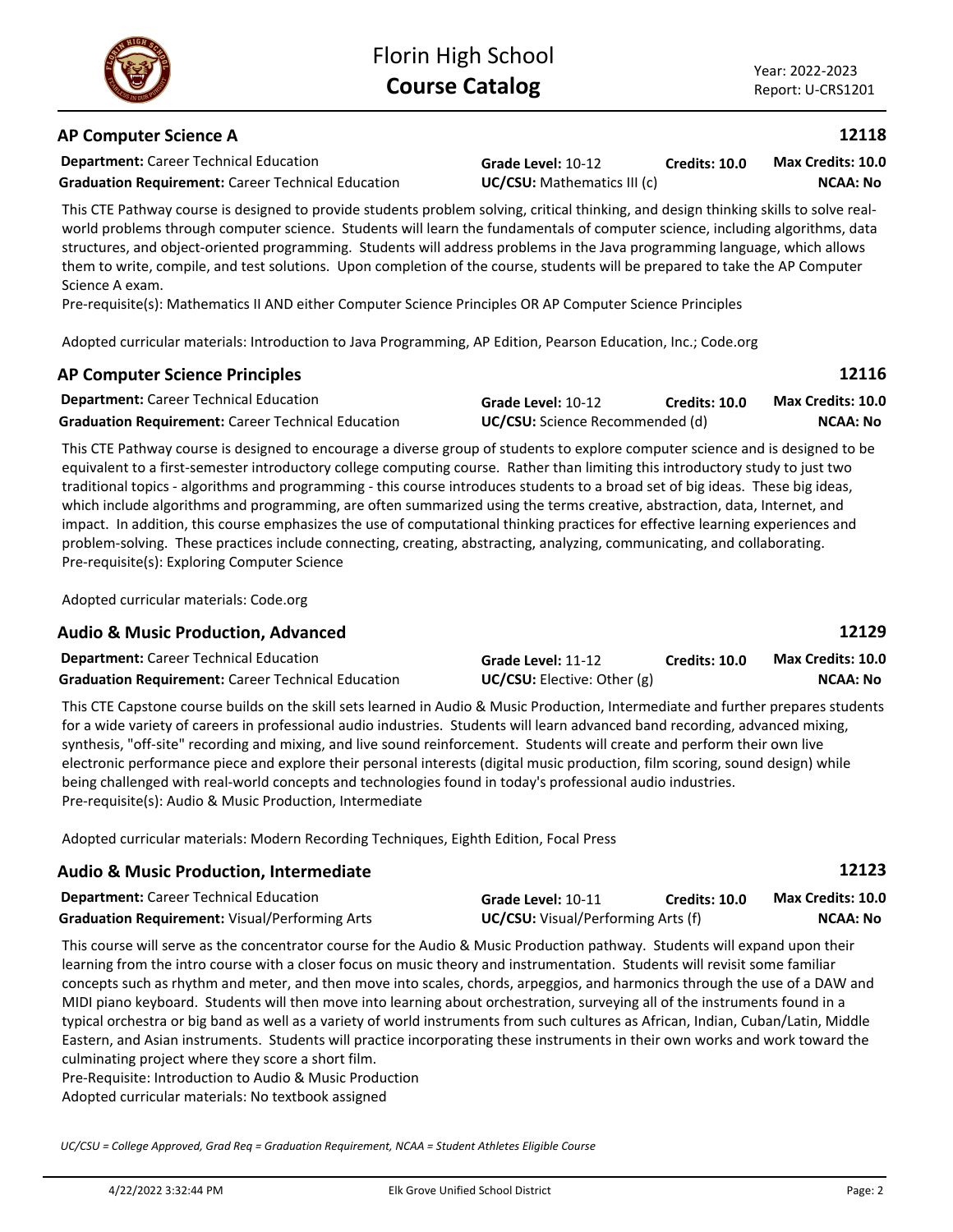Adopted curricular materials: No textbook assigned

*UC/CSU = College Approved, Grad Req = Graduation Requirement, NCAA = Student Athletes Eligible Course*

# **AP Computer Science A**

**Department:** Career Technical Education

**Grade Level:** 10-12 **Graduation Requirement:** Career Technical Education **UC/CSU:** Mathematics III (c) **Credits: 10.0**

**NCAA: No Max Credits: 10.0**

This CTE Pathway course is designed to provide students problem solving, critical thinking, and design thinking skills to solve realworld problems through computer science. Students will learn the fundamentals of computer science, including algorithms, data structures, and object-oriented programming. Students will address problems in the Java programming language, which allows them to write, compile, and test solutions. Upon completion of the course, students will be prepared to take the AP Computer Science A exam.

Pre-requisite(s): Mathematics II AND either Computer Science Principles OR AP Computer Science Principles

Adopted curricular materials: Introduction to Java Programming, AP Edition, Pearson Education, Inc.; Code.org

# **AP Computer Science Principles**

| <b>Department:</b> Career Technical Education             | Grade Level: 10-12                     | Credits: 10.0 | Max Credits: 10.0 |
|-----------------------------------------------------------|----------------------------------------|---------------|-------------------|
| <b>Graduation Requirement: Career Technical Education</b> | <b>UC/CSU:</b> Science Recommended (d) |               | NCAA: No          |

This CTE Pathway course is designed to encourage a diverse group of students to explore computer science and is designed to be equivalent to a first-semester introductory college computing course. Rather than limiting this introductory study to just two traditional topics - algorithms and programming - this course introduces students to a broad set of big ideas. These big ideas, which include algorithms and programming, are often summarized using the terms creative, abstraction, data, Internet, and impact. In addition, this course emphasizes the use of computational thinking practices for effective learning experiences and problem-solving. These practices include connecting, creating, abstracting, analyzing, communicating, and collaborating. Pre-requisite(s): Exploring Computer Science

Adopted curricular materials: Code.org

# **Audio & Music Production, Advanced**

| <b>Department:</b> Career Technical Education             | Grade Level: 11-12                 | <b>Credits: 10.0</b> | <b>Max Credits: 10.0</b> |
|-----------------------------------------------------------|------------------------------------|----------------------|--------------------------|
| <b>Graduation Requirement: Career Technical Education</b> | <b>UC/CSU:</b> Elective: Other (g) |                      | NCAA: No                 |

This CTE Capstone course builds on the skill sets learned in Audio & Music Production, Intermediate and further prepares students for a wide variety of careers in professional audio industries. Students will learn advanced band recording, advanced mixing, synthesis, "off-site" recording and mixing, and live sound reinforcement. Students will create and perform their own live electronic performance piece and explore their personal interests (digital music production, film scoring, sound design) while being challenged with real-world concepts and technologies found in today's professional audio industries. Pre-requisite(s): Audio & Music Production, Intermediate

Adopted curricular materials: Modern Recording Techniques, Eighth Edition, Focal Press

| <b>Audio &amp; Music Production, Intermediate</b>     |                    |                                           | 12123             |
|-------------------------------------------------------|--------------------|-------------------------------------------|-------------------|
| <b>Department:</b> Career Technical Education         | Grade Level: 10-11 | <b>Credits: 10.0</b>                      | Max Credits: 10.0 |
| <b>Graduation Requirement:</b> Visual/Performing Arts |                    | <b>UC/CSU:</b> Visual/Performing Arts (f) |                   |

This course will serve as the concentrator course for the Audio & Music Production pathway. Students will expand upon their learning from the intro course with a closer focus on music theory and instrumentation. Students will revisit some familiar concepts such as rhythm and meter, and then move into scales, chords, arpeggios, and harmonics through the use of a DAW and MIDI piano keyboard. Students will then move into learning about orchestration, surveying all of the instruments found in a typical orchestra or big band as well as a variety of world instruments from such cultures as African, Indian, Cuban/Latin, Middle Eastern, and Asian instruments. Students will practice incorporating these instruments in their own works and work toward the culminating project where they score a short film.

Pre-Requisite: Introduction to Audio & Music Production





**12116**

**12118**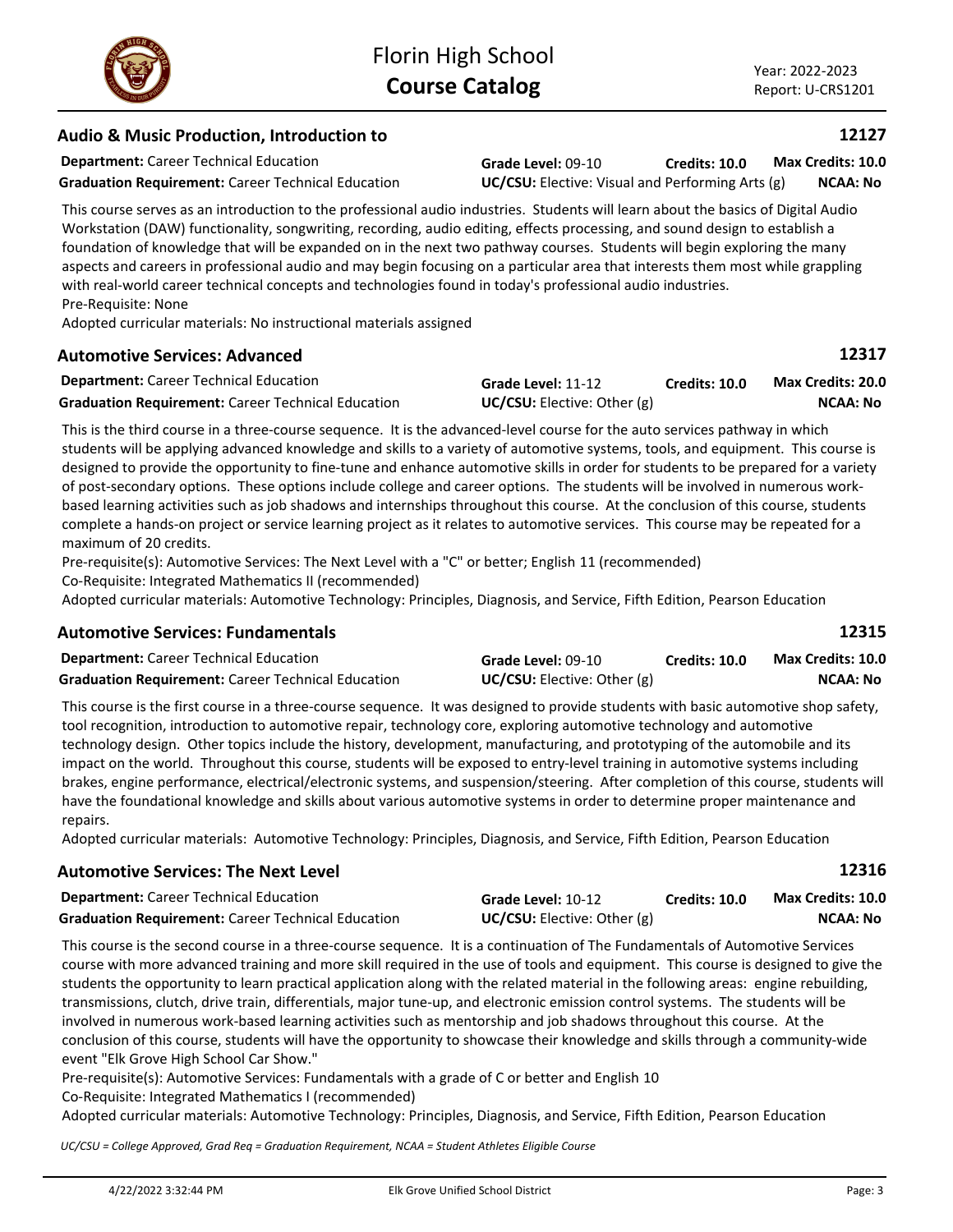# **Audio & Music Production, Introduction to**

**Department:** Career Technical Education

**Graduation Requirement:** Career Technical Education **UC/CSU:** Elective: Visual and Performing Arts (g)

This course serves as an introduction to the professional audio industries. Students will learn about the basics of Digital Audio Workstation (DAW) functionality, songwriting, recording, audio editing, effects processing, and sound design to establish a foundation of knowledge that will be expanded on in the next two pathway courses. Students will begin exploring the many aspects and careers in professional audio and may begin focusing on a particular area that interests them most while grappling with real-world career technical concepts and technologies found in today's professional audio industries. Pre-Requisite: None

Adopted curricular materials: No instructional materials assigned

# **Automotive Services: Advanced**

| <b>Department:</b> Career Technical Education             | Grade Level: 11-12              | <b>Credits: 10.0</b> | Max Credits: 20.0 |
|-----------------------------------------------------------|---------------------------------|----------------------|-------------------|
| <b>Graduation Requirement:</b> Career Technical Education | $UC/CSU:$ Elective: Other $(g)$ |                      | NCAA: No          |

This is the third course in a three-course sequence. It is the advanced-level course for the auto services pathway in which students will be applying advanced knowledge and skills to a variety of automotive systems, tools, and equipment. This course is designed to provide the opportunity to fine-tune and enhance automotive skills in order for students to be prepared for a variety of post-secondary options. These options include college and career options. The students will be involved in numerous workbased learning activities such as job shadows and internships throughout this course. At the conclusion of this course, students complete a hands-on project or service learning project as it relates to automotive services. This course may be repeated for a maximum of 20 credits.

Pre-requisite(s): Automotive Services: The Next Level with a "C" or better; English 11 (recommended) Co-Requisite: Integrated Mathematics II (recommended)

Adopted curricular materials: Automotive Technology: Principles, Diagnosis, and Service, Fifth Edition, Pearson Education

# **Automotive Services: Fundamentals**

| <b>Department:</b> Career Technical Education             | Grade Level: 09-10                 | <b>Credits: 10.0</b> | <b>Max Credits: 10.0</b> |
|-----------------------------------------------------------|------------------------------------|----------------------|--------------------------|
| <b>Graduation Requirement: Career Technical Education</b> | <b>UC/CSU:</b> Elective: Other (g) |                      | NCAA: No                 |

This course is the first course in a three-course sequence. It was designed to provide students with basic automotive shop safety, tool recognition, introduction to automotive repair, technology core, exploring automotive technology and automotive technology design. Other topics include the history, development, manufacturing, and prototyping of the automobile and its impact on the world. Throughout this course, students will be exposed to entry-level training in automotive systems including brakes, engine performance, electrical/electronic systems, and suspension/steering. After completion of this course, students will have the foundational knowledge and skills about various automotive systems in order to determine proper maintenance and repairs.

Adopted curricular materials: Automotive Technology: Principles, Diagnosis, and Service, Fifth Edition, Pearson Education

|                    |                      | 12316                                |
|--------------------|----------------------|--------------------------------------|
| Grade Level: 10-12 | <b>Credits: 10.0</b> | Max Credits: 10.0<br><b>NCAA: No</b> |
|                    |                      | UC/CSU: Electric: Other(g)           |

This course is the second course in a three-course sequence. It is a continuation of The Fundamentals of Automotive Services course with more advanced training and more skill required in the use of tools and equipment. This course is designed to give the students the opportunity to learn practical application along with the related material in the following areas: engine rebuilding, transmissions, clutch, drive train, differentials, major tune-up, and electronic emission control systems. The students will be involved in numerous work-based learning activities such as mentorship and job shadows throughout this course. At the conclusion of this course, students will have the opportunity to showcase their knowledge and skills through a community-wide event "Elk Grove High School Car Show."

Pre-requisite(s): Automotive Services: Fundamentals with a grade of C or better and English 10

Co-Requisite: Integrated Mathematics I (recommended)

Adopted curricular materials: Automotive Technology: Principles, Diagnosis, and Service, Fifth Edition, Pearson Education

*UC/CSU = College Approved, Grad Req = Graduation Requirement, NCAA = Student Athletes Eligible Course*



**12127**

**12317**

**12315**

**Grade Level:** 09-10

**Credits: 10.0 NCAA: No Max Credits: 10.0**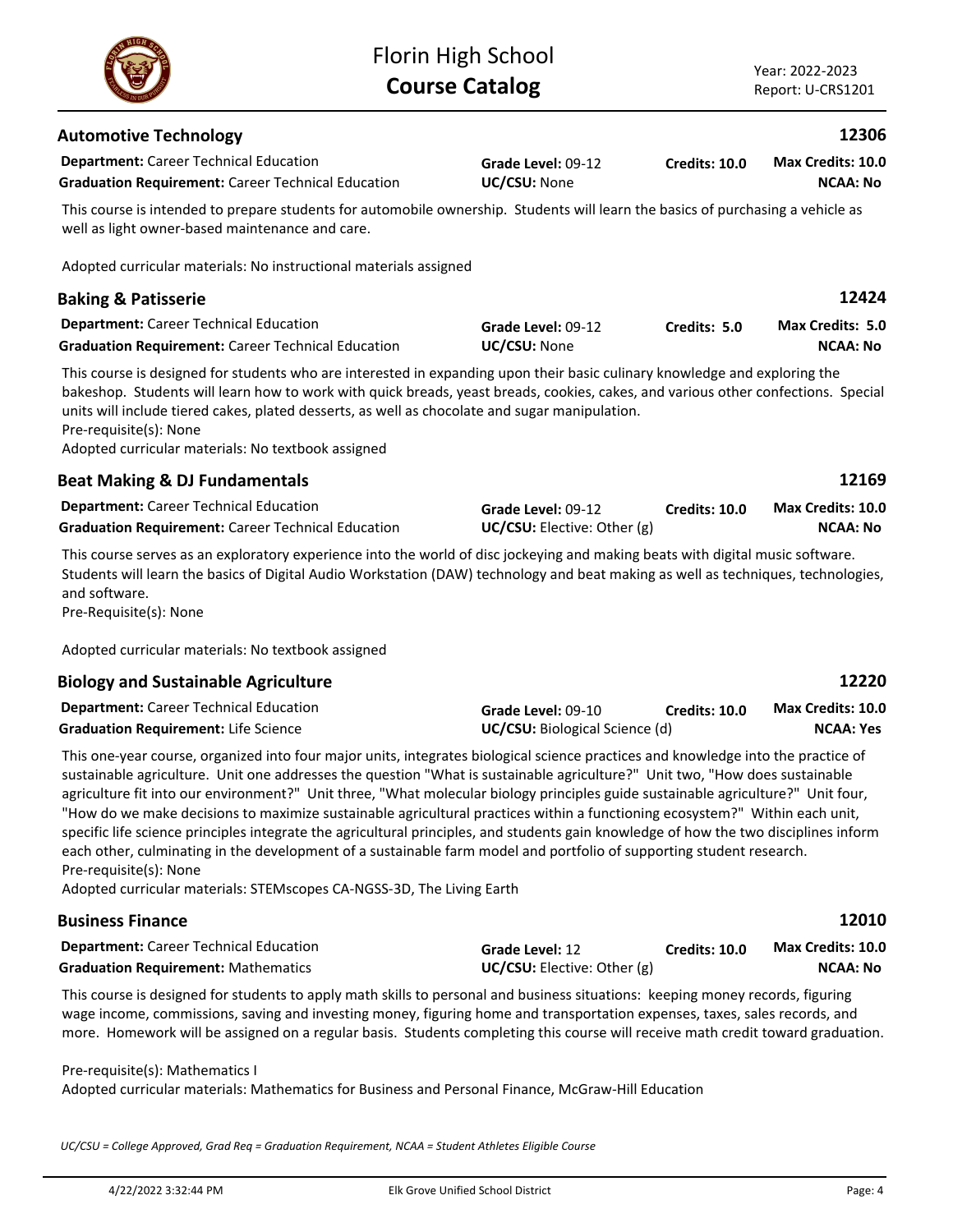| <b>Automotive Technology</b>                                                                                                                                                                                                                                                                                                                                                                                                                                                                                                                                                                                                                                                                                                                                                                                                   |                                                      |                      | 12306                                        |
|--------------------------------------------------------------------------------------------------------------------------------------------------------------------------------------------------------------------------------------------------------------------------------------------------------------------------------------------------------------------------------------------------------------------------------------------------------------------------------------------------------------------------------------------------------------------------------------------------------------------------------------------------------------------------------------------------------------------------------------------------------------------------------------------------------------------------------|------------------------------------------------------|----------------------|----------------------------------------------|
| <b>Department:</b> Career Technical Education<br><b>Graduation Requirement: Career Technical Education</b>                                                                                                                                                                                                                                                                                                                                                                                                                                                                                                                                                                                                                                                                                                                     | Grade Level: 09-12<br>UC/CSU: None                   | <b>Credits: 10.0</b> | Max Credits: 10.0<br><b>NCAA: No</b>         |
| This course is intended to prepare students for automobile ownership. Students will learn the basics of purchasing a vehicle as<br>well as light owner-based maintenance and care.                                                                                                                                                                                                                                                                                                                                                                                                                                                                                                                                                                                                                                             |                                                      |                      |                                              |
| Adopted curricular materials: No instructional materials assigned                                                                                                                                                                                                                                                                                                                                                                                                                                                                                                                                                                                                                                                                                                                                                              |                                                      |                      |                                              |
| <b>Baking &amp; Patisserie</b>                                                                                                                                                                                                                                                                                                                                                                                                                                                                                                                                                                                                                                                                                                                                                                                                 |                                                      |                      | 12424                                        |
| <b>Department:</b> Career Technical Education<br><b>Graduation Requirement: Career Technical Education</b>                                                                                                                                                                                                                                                                                                                                                                                                                                                                                                                                                                                                                                                                                                                     | Grade Level: 09-12<br>UC/CSU: None                   | Credits: 5.0         | Max Credits: 5.0<br><b>NCAA: No</b>          |
| This course is designed for students who are interested in expanding upon their basic culinary knowledge and exploring the<br>bakeshop. Students will learn how to work with quick breads, yeast breads, cookies, cakes, and various other confections. Special<br>units will include tiered cakes, plated desserts, as well as chocolate and sugar manipulation.<br>Pre-requisite(s): None<br>Adopted curricular materials: No textbook assigned                                                                                                                                                                                                                                                                                                                                                                              |                                                      |                      |                                              |
| <b>Beat Making &amp; DJ Fundamentals</b>                                                                                                                                                                                                                                                                                                                                                                                                                                                                                                                                                                                                                                                                                                                                                                                       |                                                      |                      | 12169                                        |
| <b>Department:</b> Career Technical Education<br><b>Graduation Requirement: Career Technical Education</b>                                                                                                                                                                                                                                                                                                                                                                                                                                                                                                                                                                                                                                                                                                                     | Grade Level: 09-12<br>UC/CSU: Elective: Other (g)    | <b>Credits: 10.0</b> | Max Credits: 10.0<br><b>NCAA: No</b>         |
| This course serves as an exploratory experience into the world of disc jockeying and making beats with digital music software.<br>Students will learn the basics of Digital Audio Workstation (DAW) technology and beat making as well as techniques, technologies,<br>and software.<br>Pre-Requisite(s): None                                                                                                                                                                                                                                                                                                                                                                                                                                                                                                                 |                                                      |                      |                                              |
| Adopted curricular materials: No textbook assigned                                                                                                                                                                                                                                                                                                                                                                                                                                                                                                                                                                                                                                                                                                                                                                             |                                                      |                      |                                              |
| <b>Biology and Sustainable Agriculture</b>                                                                                                                                                                                                                                                                                                                                                                                                                                                                                                                                                                                                                                                                                                                                                                                     |                                                      |                      | 12220                                        |
| <b>Department:</b> Career Technical Education<br><b>Graduation Requirement: Life Science</b>                                                                                                                                                                                                                                                                                                                                                                                                                                                                                                                                                                                                                                                                                                                                   | Grade Level: 09-10<br>UC/CSU: Biological Science (d) | <b>Credits: 10.0</b> | <b>Max Credits: 10.0</b><br><b>NCAA: Yes</b> |
| This one-year course, organized into four major units, integrates biological science practices and knowledge into the practice of<br>sustainable agriculture. Unit one addresses the question "What is sustainable agriculture?" Unit two, "How does sustainable<br>agriculture fit into our environment?" Unit three, "What molecular biology principles guide sustainable agriculture?" Unit four,<br>"How do we make decisions to maximize sustainable agricultural practices within a functioning ecosystem?" Within each unit,<br>specific life science principles integrate the agricultural principles, and students gain knowledge of how the two disciplines inform<br>each other, culminating in the development of a sustainable farm model and portfolio of supporting student research.<br>Pre-requisite(s): None |                                                      |                      |                                              |

Florin High School **Course Catalog**

Adopted curricular materials: STEMscopes CA-NGSS-3D, The Living Earth

| <b>Business Finance</b>                                                                                                      |                            |                      | 12010                    |
|------------------------------------------------------------------------------------------------------------------------------|----------------------------|----------------------|--------------------------|
| <b>Department:</b> Career Technical Education                                                                                | <b>Grade Level: 12</b>     | <b>Credits: 10.0</b> | <b>Max Credits: 10.0</b> |
| <b>Graduation Requirement: Mathematics</b>                                                                                   | UC/CSU: Electric: Other(g) |                      | NCAA: No                 |
| This cause is designed for students to apply math skills to nessenal and business situations; keeping menoy reserve figuring |                            |                      |                          |

This course is designed for students to apply math skills to personal and business situations: keeping money records, figuring wage income, commissions, saving and investing money, figuring home and transportation expenses, taxes, sales records, and more. Homework will be assigned on a regular basis. Students completing this course will receive math credit toward graduation.

### Pre-requisite(s): Mathematics I

Adopted curricular materials: Mathematics for Business and Personal Finance, McGraw-Hill Education

*UC/CSU = College Approved, Grad Req = Graduation Requirement, NCAA = Student Athletes Eligible Course*

Year: 2022-2023 Report: U-CRS1201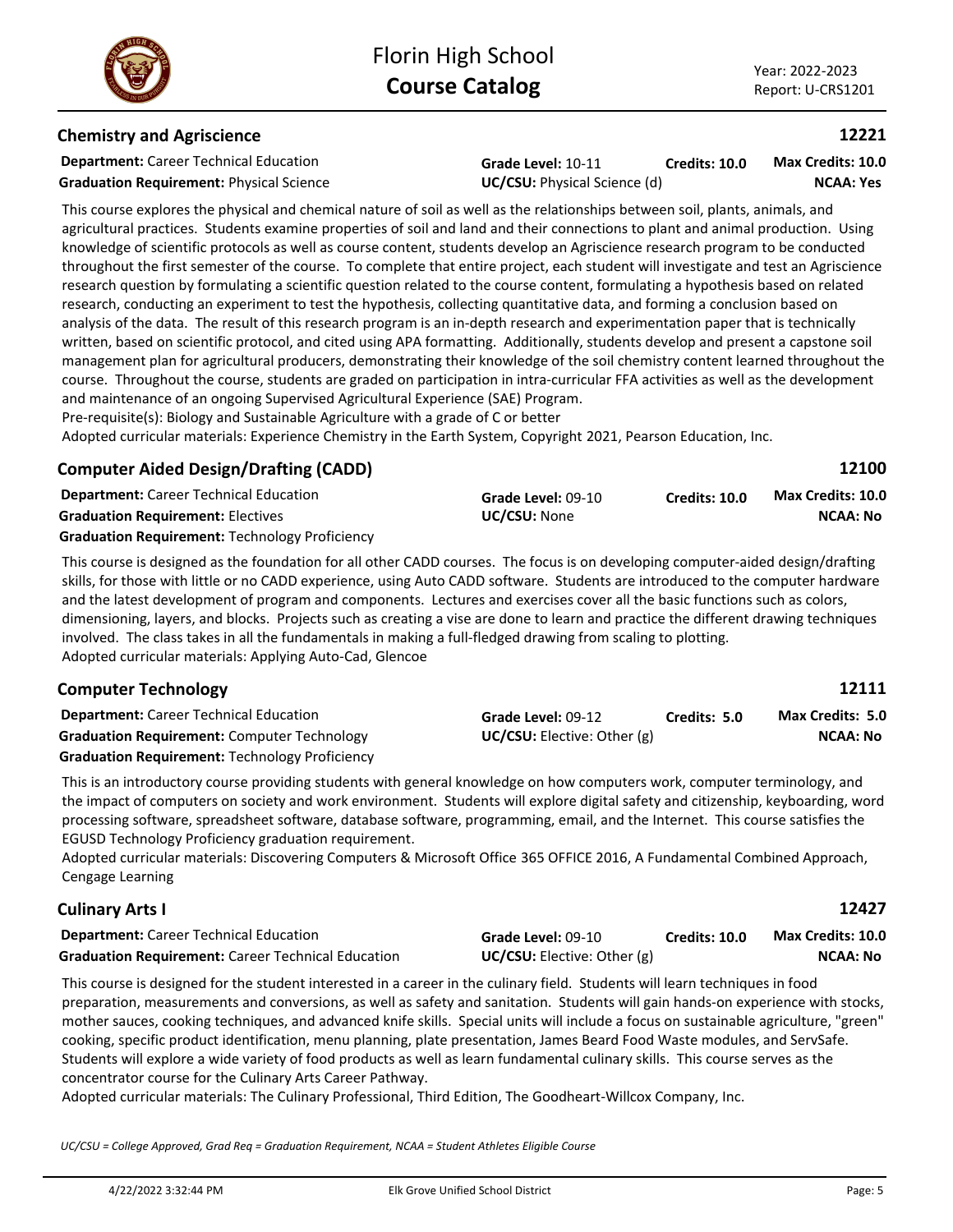### **Chemistry and Agriscience**

**Department:** Career Technical Education **Graduation Requirement:** Physical Science **UC/CSU:** Physical Science (d)

**Grade Level:** 10-11 **Credits: 10.0**

**NCAA: Yes Max Credits: 10.0**

**12221**

This course explores the physical and chemical nature of soil as well as the relationships between soil, plants, animals, and agricultural practices. Students examine properties of soil and land and their connections to plant and animal production. Using knowledge of scientific protocols as well as course content, students develop an Agriscience research program to be conducted throughout the first semester of the course. To complete that entire project, each student will investigate and test an Agriscience research question by formulating a scientific question related to the course content, formulating a hypothesis based on related research, conducting an experiment to test the hypothesis, collecting quantitative data, and forming a conclusion based on analysis of the data. The result of this research program is an in-depth research and experimentation paper that is technically written, based on scientific protocol, and cited using APA formatting. Additionally, students develop and present a capstone soil management plan for agricultural producers, demonstrating their knowledge of the soil chemistry content learned throughout the course. Throughout the course, students are graded on participation in intra-curricular FFA activities as well as the development and maintenance of an ongoing Supervised Agricultural Experience (SAE) Program.

Pre-requisite(s): Biology and Sustainable Agriculture with a grade of C or better

Adopted curricular materials: Experience Chemistry in the Earth System, Copyright 2021, Pearson Education, Inc.

# **Computer Aided Design/Drafting (CADD)**

| <b>Department:</b> Career Technical Education         | Grade Level: 09-10  | Credits: 10.0 | Max Credits: 10.0 |
|-------------------------------------------------------|---------------------|---------------|-------------------|
| <b>Graduation Requirement: Electives</b>              | <b>UC/CSU:</b> None |               | <b>NCAA: No</b>   |
| <b>Graduation Requirement: Technology Proficiency</b> |                     |               |                   |

This course is designed as the foundation for all other CADD courses. The focus is on developing computer-aided design/drafting skills, for those with little or no CADD experience, using Auto CADD software. Students are introduced to the computer hardware and the latest development of program and components. Lectures and exercises cover all the basic functions such as colors, dimensioning, layers, and blocks. Projects such as creating a vise are done to learn and practice the different drawing techniques involved. The class takes in all the fundamentals in making a full-fledged drawing from scaling to plotting. Adopted curricular materials: Applying Auto-Cad, Glencoe

# **Computer Technology**

**Department:** Career Technical Education **Grade Level:** 09-12 **Graduation Requirement:** Computer Technology **UC/CSU:** Elective: Other (g) **Graduation Requirement:** Technology Proficiency

This is an introductory course providing students with general knowledge on how computers work, computer terminology, and the impact of computers on society and work environment. Students will explore digital safety and citizenship, keyboarding, word processing software, spreadsheet software, database software, programming, email, and the Internet. This course satisfies the EGUSD Technology Proficiency graduation requirement.

Adopted curricular materials: Discovering Computers & Microsoft Office 365 OFFICE 2016, A Fundamental Combined Approach, Cengage Learning

# **Culinary Arts I**

| <b>Department:</b> Career Technical Education             | Grade Level: 09-10              | Credits: 10.0 | <b>Max Credits: 10.0</b> |
|-----------------------------------------------------------|---------------------------------|---------------|--------------------------|
| <b>Graduation Requirement:</b> Career Technical Education | $UC/CSU:$ Elective: Other $(g)$ |               | NCAA: No                 |

This course is designed for the student interested in a career in the culinary field. Students will learn techniques in food preparation, measurements and conversions, as well as safety and sanitation. Students will gain hands-on experience with stocks, mother sauces, cooking techniques, and advanced knife skills. Special units will include a focus on sustainable agriculture, "green" cooking, specific product identification, menu planning, plate presentation, James Beard Food Waste modules, and ServSafe. Students will explore a wide variety of food products as well as learn fundamental culinary skills. This course serves as the concentrator course for the Culinary Arts Career Pathway.

Adopted curricular materials: The Culinary Professional, Third Edition, The Goodheart-Willcox Company, Inc.

*UC/CSU = College Approved, Grad Req = Graduation Requirement, NCAA = Student Athletes Eligible Course*

**12100**

**12111**

**12427**

**NCAA: No**

**Max Credits: 5.0**

**Credits: 5.0**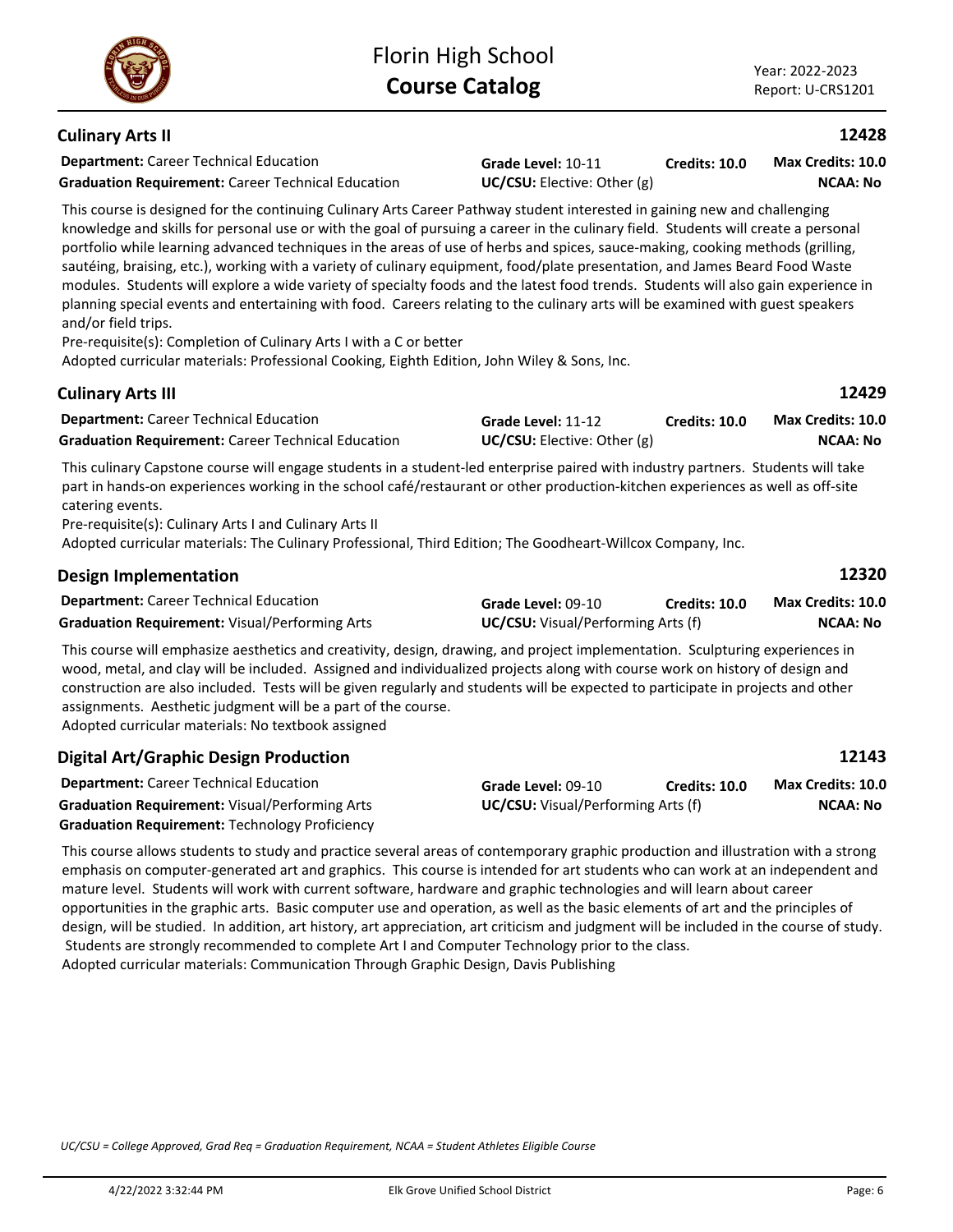# **Culinary Arts II**

**Department:** Career Technical Education **Graduation Requirement:** Career Technical Education **UC/CSU:** Elective: Other (g)

**Grade Level:** 10-11

**Credits: 10.0 NCAA: No Max Credits: 10.0**

This course is designed for the continuing Culinary Arts Career Pathway student interested in gaining new and challenging knowledge and skills for personal use or with the goal of pursuing a career in the culinary field. Students will create a personal portfolio while learning advanced techniques in the areas of use of herbs and spices, sauce-making, cooking methods (grilling, sautéing, braising, etc.), working with a variety of culinary equipment, food/plate presentation, and James Beard Food Waste modules. Students will explore a wide variety of specialty foods and the latest food trends. Students will also gain experience in planning special events and entertaining with food. Careers relating to the culinary arts will be examined with guest speakers and/or field trips.

Pre-requisite(s): Completion of Culinary Arts I with a C or better Adopted curricular materials: Professional Cooking, Eighth Edition, John Wiley & Sons, Inc.

| <b>Culinary Arts III</b>                                  |                                      |                      | 12429             |
|-----------------------------------------------------------|--------------------------------------|----------------------|-------------------|
| <b>Department:</b> Career Technical Education             | Grade Level: 11-12                   | <b>Credits: 10.0</b> | Max Credits: 10.0 |
| <b>Graduation Requirement: Career Technical Education</b> | <b>UC/CSU:</b> Elective: Other $(g)$ |                      | NCAA: No          |

This culinary Capstone course will engage students in a student-led enterprise paired with industry partners. Students will take part in hands-on experiences working in the school café/restaurant or other production-kitchen experiences as well as off-site catering events.

Pre-requisite(s): Culinary Arts I and Culinary Arts II Adopted curricular materials: The Culinary Professional, Third Edition; The Goodheart-Willcox Company, Inc.

| <b>Design Implementation</b>                                       |                                           |                      | 12320             |
|--------------------------------------------------------------------|-------------------------------------------|----------------------|-------------------|
| <b>Department:</b> Career Technical Education                      | Grade Level: 09-10                        | <b>Credits: 10.0</b> | Max Credits: 10.0 |
| <b>Graduation Requirement: Visual/Performing Arts</b>              | <b>UC/CSU:</b> Visual/Performing Arts (f) |                      | <b>NCAA: No</b>   |
| 그는 어디에 가는 어디에 있는 것 같아. 그 사람들은 그 사람들은 그 사람들은 그 사람들은 그 사람들을 지나가고 있다. |                                           |                      |                   |

This course will emphasize aesthetics and creativity, design, drawing, and project implementation. Sculpturing experiences in wood, metal, and clay will be included. Assigned and individualized projects along with course work on history of design and construction are also included. Tests will be given regularly and students will be expected to participate in projects and other assignments. Aesthetic judgment will be a part of the course.

Adopted curricular materials: No textbook assigned

| <b>Digital Art/Graphic Design Production</b>          |                                           |                      | 12143             |
|-------------------------------------------------------|-------------------------------------------|----------------------|-------------------|
| <b>Department:</b> Career Technical Education         | Grade Level: 09-10                        | <b>Credits: 10.0</b> | Max Credits: 10.0 |
| <b>Graduation Requirement: Visual/Performing Arts</b> | <b>UC/CSU:</b> Visual/Performing Arts (f) |                      | <b>NCAA: No</b>   |
| <b>Graduation Requirement: Technology Proficiency</b> |                                           |                      |                   |

This course allows students to study and practice several areas of contemporary graphic production and illustration with a strong emphasis on computer-generated art and graphics. This course is intended for art students who can work at an independent and mature level. Students will work with current software, hardware and graphic technologies and will learn about career opportunities in the graphic arts. Basic computer use and operation, as well as the basic elements of art and the principles of design, will be studied. In addition, art history, art appreciation, art criticism and judgment will be included in the course of study. Students are strongly recommended to complete Art I and Computer Technology prior to the class. Adopted curricular materials: Communication Through Graphic Design, Davis Publishing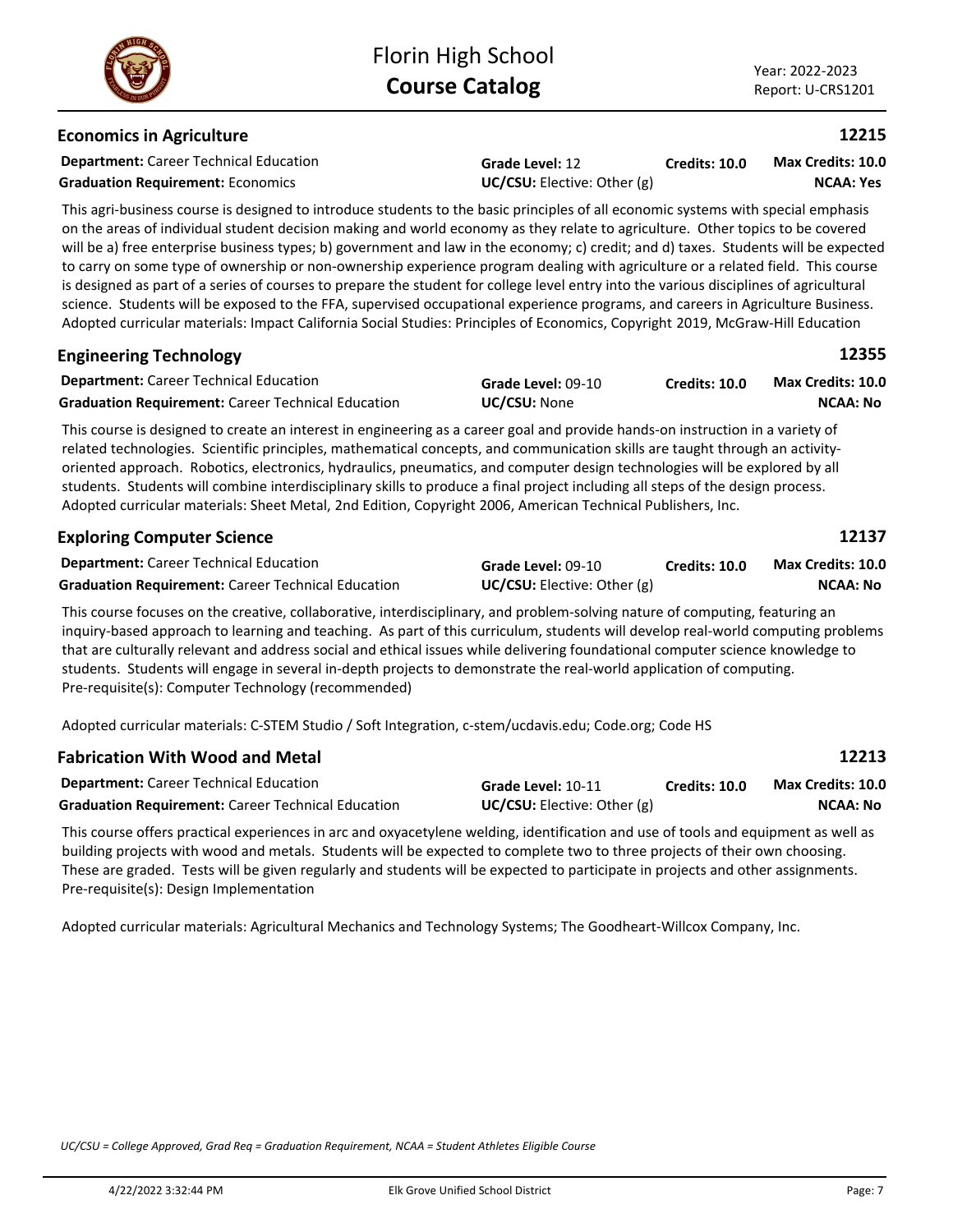### **Economics in Agriculture**

**Department:** Career Technical Education

**Graduation Requirement:** Economics **UC/CSU:** Elective: Other (g)

**Grade Level:** 12

**Credits: 10.0 NCAA: Yes Max Credits: 10.0**

This agri-business course is designed to introduce students to the basic principles of all economic systems with special emphasis on the areas of individual student decision making and world economy as they relate to agriculture. Other topics to be covered will be a) free enterprise business types; b) government and law in the economy; c) credit; and d) taxes. Students will be expected to carry on some type of ownership or non-ownership experience program dealing with agriculture or a related field. This course is designed as part of a series of courses to prepare the student for college level entry into the various disciplines of agricultural science. Students will be exposed to the FFA, supervised occupational experience programs, and careers in Agriculture Business. Adopted curricular materials: Impact California Social Studies: Principles of Economics, Copyright 2019, McGraw-Hill Education

| <b>Engineering Technology</b>                             |                     |                      | 12355             |  |
|-----------------------------------------------------------|---------------------|----------------------|-------------------|--|
| <b>Department:</b> Career Technical Education             | Grade Level: 09-10  | <b>Credits: 10.0</b> | Max Credits: 10.0 |  |
| <b>Graduation Requirement:</b> Career Technical Education | <b>UC/CSU:</b> None |                      | NCAA: No          |  |

This course is designed to create an interest in engineering as a career goal and provide hands-on instruction in a variety of related technologies. Scientific principles, mathematical concepts, and communication skills are taught through an activityoriented approach. Robotics, electronics, hydraulics, pneumatics, and computer design technologies will be explored by all students. Students will combine interdisciplinary skills to produce a final project including all steps of the design process. Adopted curricular materials: Sheet Metal, 2nd Edition, Copyright 2006, American Technical Publishers, Inc.

| <b>Exploring Computer Science</b>                         |                                      |                      | 12137                    |
|-----------------------------------------------------------|--------------------------------------|----------------------|--------------------------|
| <b>Department:</b> Career Technical Education             | Grade Level: 09-10                   | <b>Credits: 10.0</b> | <b>Max Credits: 10.0</b> |
| <b>Graduation Requirement: Career Technical Education</b> | <b>UC/CSU:</b> Elective: Other $(g)$ |                      | NCAA: No                 |

This course focuses on the creative, collaborative, interdisciplinary, and problem-solving nature of computing, featuring an inquiry-based approach to learning and teaching. As part of this curriculum, students will develop real-world computing problems that are culturally relevant and address social and ethical issues while delivering foundational computer science knowledge to students. Students will engage in several in-depth projects to demonstrate the real-world application of computing. Pre-requisite(s): Computer Technology (recommended)

Adopted curricular materials: C-STEM Studio / Soft Integration, c-stem/ucdavis.edu; Code.org; Code HS

| <b>Fabrication With Wood and Metal</b>                    |                                      |               | 12213             |
|-----------------------------------------------------------|--------------------------------------|---------------|-------------------|
| <b>Department:</b> Career Technical Education             | Grade Level: 10-11                   | Credits: 10.0 | Max Credits: 10.0 |
| <b>Graduation Requirement:</b> Career Technical Education | <b>UC/CSU:</b> Elective: Other $(g)$ |               | NCAA: No          |

This course offers practical experiences in arc and oxyacetylene welding, identification and use of tools and equipment as well as building projects with wood and metals. Students will be expected to complete two to three projects of their own choosing. These are graded. Tests will be given regularly and students will be expected to participate in projects and other assignments. Pre-requisite(s): Design Implementation

Adopted curricular materials: Agricultural Mechanics and Technology Systems; The Goodheart-Willcox Company, Inc.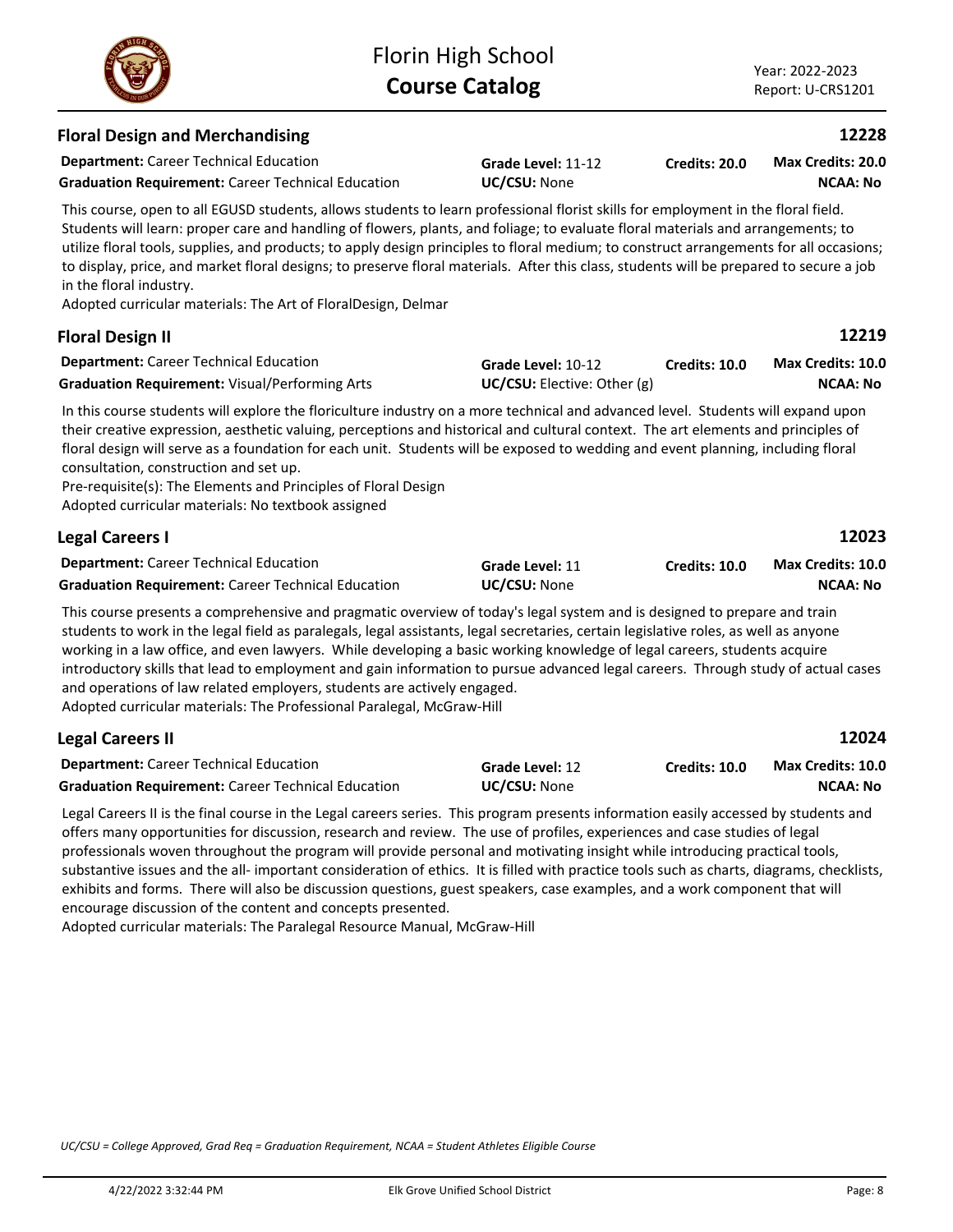

**Credits: 20.0**

| : College Approved, Grad Reg = Graduation Reguirement, NCAA = Student Athletes Eligible Course |                                   |         |
|------------------------------------------------------------------------------------------------|-----------------------------------|---------|
| 4/22/2022 3:32:44 PM                                                                           | Elk Grove Unified School District | Page: 8 |

# **Department:** Career Technical Education **Floral Design and Merchandising Grade Level:** 11-12 **Graduation Requirement:** Career Technical Education **UC/CSU:** None

This course, open to all EGUSD students, allows students to learn professional florist skills for employment in the floral field. Students will learn: proper care and handling of flowers, plants, and foliage; to evaluate floral materials and arrangements; to utilize floral tools, supplies, and products; to apply design principles to floral medium; to construct arrangements for all occasions; to display, price, and market floral designs; to preserve floral materials. After this class, students will be prepared to secure a job in the floral industry.

Adopted curricular materials: The Art of FloralDesign, Delmar

### **Department:** Career Technical Education In this course students will explore the floriculture industry on a more technical and advanced level. Students will expand upon their creative expression, aesthetic valuing, perceptions and historical and cultural context. The art elements and principles of floral design will serve as a foundation for each unit. Students will be exposed to wedding and event planning, including floral consultation, construction and set up. Pre-requisite(s): The Elements and Principles of Floral Design Adopted curricular materials: No textbook assigned **Floral Design II Grade Level:** 10-12 Graduation Requirement: Visual/Performing Arts **UC/CSU:** Elective: Other (g) **Credits: 10.0 NCAA: No Max Credits: 10.0 Department:** Career Technical Education **12023 Legal Careers I Grade Level:** 11 **Graduation Requirement:** Career Technical Education **UC/CSU:** None **Credits: 10.0 NCAA: No Max Credits: 10.0**

This course presents a comprehensive and pragmatic overview of today's legal system and is designed to prepare and train students to work in the legal field as paralegals, legal assistants, legal secretaries, certain legislative roles, as well as anyone working in a law office, and even lawyers. While developing a basic working knowledge of legal careers, students acquire introductory skills that lead to employment and gain information to pursue advanced legal careers. Through study of actual cases and operations of law related employers, students are actively engaged. Adopted curricular materials: The Professional Paralegal, McGraw-Hill

# **Legal Careers II**

| <b>Legal Careers II</b>                                   |                     |               | 12024             |
|-----------------------------------------------------------|---------------------|---------------|-------------------|
| <b>Department:</b> Career Technical Education             | Grade Level: 12     | Credits: 10.0 | Max Credits: 10.0 |
| <b>Graduation Requirement: Career Technical Education</b> | <b>UC/CSU:</b> None |               | NCAA: No          |

Legal Careers II is the final course in the Legal careers series. This program presents information easily accessed by students and offers many opportunities for discussion, research and review. The use of profiles, experiences and case studies of legal professionals woven throughout the program will provide personal and motivating insight while introducing practical tools, substantive issues and the all- important consideration of ethics. It is filled with practice tools such as charts, diagrams, checklists, exhibits and forms. There will also be discussion questions, guest speakers, case examples, and a work component that will encourage discussion of the content and concepts presented.

Adopted curricular materials: The Paralegal Resource Manual, McGraw-Hill

*UC/CSU = College Approved, Grad Req = Graduation Requirement, NCAA = Student Athletes Eligible Course*



# **12228**

**NCAA: No Max Credits: 20.0**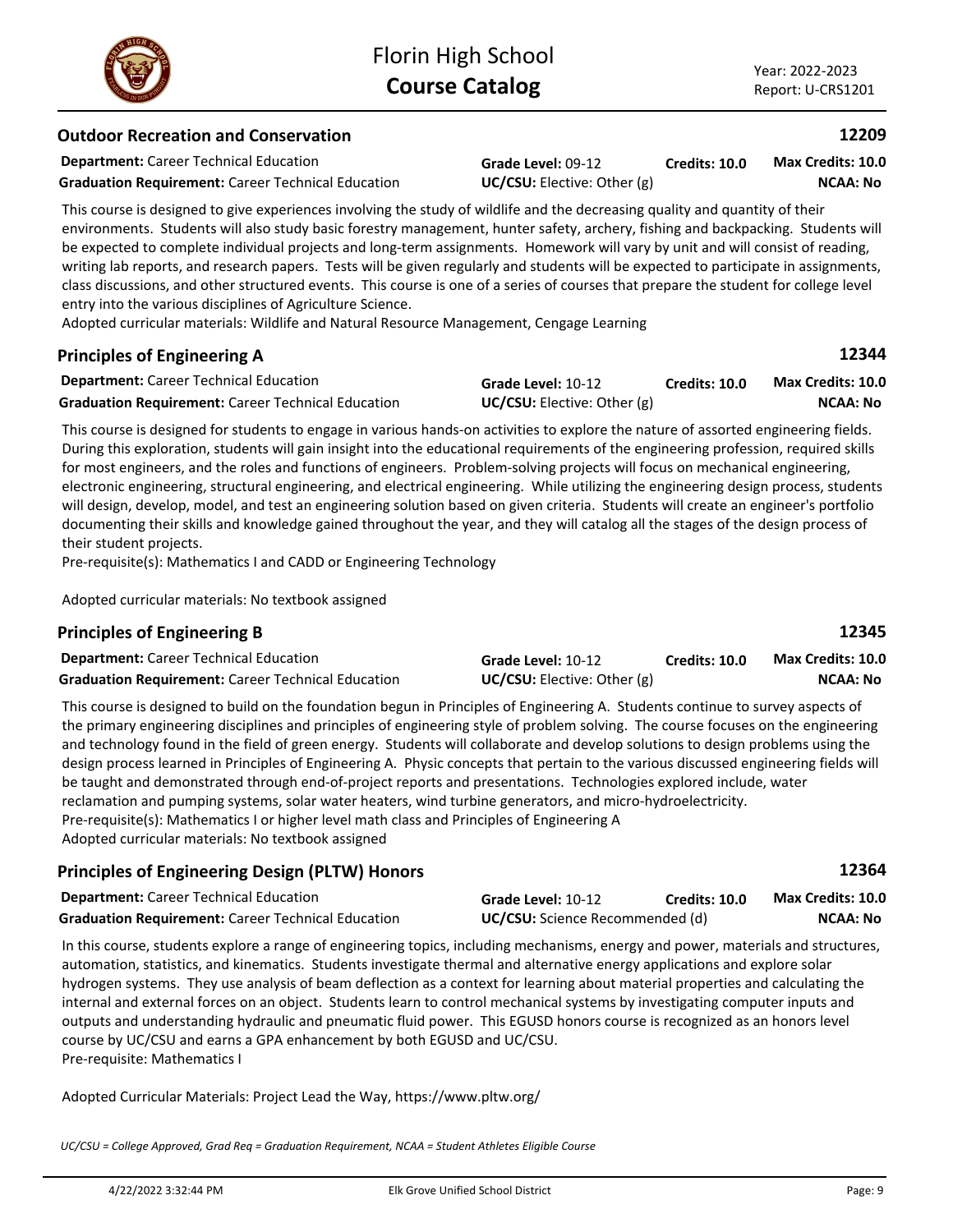**Max Credits: 10.0**

**Credits: 10.0**

# **Outdoor Recreation and Conservation**

**Department:** Career Technical Education

**Graduation Requirement:** Career Technical Education **UC/CSU:** Elective: Other (g)

This course is designed to give experiences involving the study of wildlife and the decreasing quality and quantity of their environments. Students will also study basic forestry management, hunter safety, archery, fishing and backpacking. Students will be expected to complete individual projects and long-term assignments. Homework will vary by unit and will consist of reading, writing lab reports, and research papers. Tests will be given regularly and students will be expected to participate in assignments, class discussions, and other structured events. This course is one of a series of courses that prepare the student for college level entry into the various disciplines of Agriculture Science.

**Grade Level:** 09-12

Adopted curricular materials: Wildlife and Natural Resource Management, Cengage Learning

### **Principles of Engineering A**

| <b>Department:</b> Career Technical Education             | Grade Level: 10-12                 | Credits: 10.0 | <b>Max Credits: 10.0</b> |
|-----------------------------------------------------------|------------------------------------|---------------|--------------------------|
| <b>Graduation Requirement: Career Technical Education</b> | <b>UC/CSU:</b> Elective: Other (g) |               | NCAA: No                 |

This course is designed for students to engage in various hands-on activities to explore the nature of assorted engineering fields. During this exploration, students will gain insight into the educational requirements of the engineering profession, required skills for most engineers, and the roles and functions of engineers. Problem-solving projects will focus on mechanical engineering, electronic engineering, structural engineering, and electrical engineering. While utilizing the engineering design process, students will design, develop, model, and test an engineering solution based on given criteria. Students will create an engineer's portfolio documenting their skills and knowledge gained throughout the year, and they will catalog all the stages of the design process of their student projects.

Pre-requisite(s): Mathematics I and CADD or Engineering Technology

Adopted curricular materials: No textbook assigned

### **Principles of Engineering B**

| <b>Department:</b> Career Technical Education             | Grade Level: 10-12              | <b>Credits: 10.0</b> | <b>Max Credits: 10.0</b> |
|-----------------------------------------------------------|---------------------------------|----------------------|--------------------------|
| <b>Graduation Requirement: Career Technical Education</b> | $UC/CSU:$ Elective: Other $(g)$ |                      | NCAA: No                 |

This course is designed to build on the foundation begun in Principles of Engineering A. Students continue to survey aspects of the primary engineering disciplines and principles of engineering style of problem solving. The course focuses on the engineering and technology found in the field of green energy. Students will collaborate and develop solutions to design problems using the design process learned in Principles of Engineering A. Physic concepts that pertain to the various discussed engineering fields will be taught and demonstrated through end-of-project reports and presentations. Technologies explored include, water reclamation and pumping systems, solar water heaters, wind turbine generators, and micro-hydroelectricity. Pre-requisite(s): Mathematics I or higher level math class and Principles of Engineering A Adopted curricular materials: No textbook assigned

### **Principles of Engineering Design (PLTW) Honors**

| <b>Department:</b> Career Technical Education             | Grade Level: 10-12                     | Credits: 10.0 | <b>Max Credits: 10.0</b> |
|-----------------------------------------------------------|----------------------------------------|---------------|--------------------------|
| <b>Graduation Requirement: Career Technical Education</b> | <b>UC/CSU:</b> Science Recommended (d) |               | NCAA: No                 |

In this course, students explore a range of engineering topics, including mechanisms, energy and power, materials and structures, automation, statistics, and kinematics. Students investigate thermal and alternative energy applications and explore solar hydrogen systems. They use analysis of beam deflection as a context for learning about material properties and calculating the internal and external forces on an object. Students learn to control mechanical systems by investigating computer inputs and outputs and understanding hydraulic and pneumatic fluid power. This EGUSD honors course is recognized as an honors level course by UC/CSU and earns a GPA enhancement by both EGUSD and UC/CSU. Pre-requisite: Mathematics I

Adopted Curricular Materials: Project Lead the Way, https://www.pltw.org/

*UC/CSU = College Approved, Grad Req = Graduation Requirement, NCAA = Student Athletes Eligible Course*



**12344**

**12209**

**12364**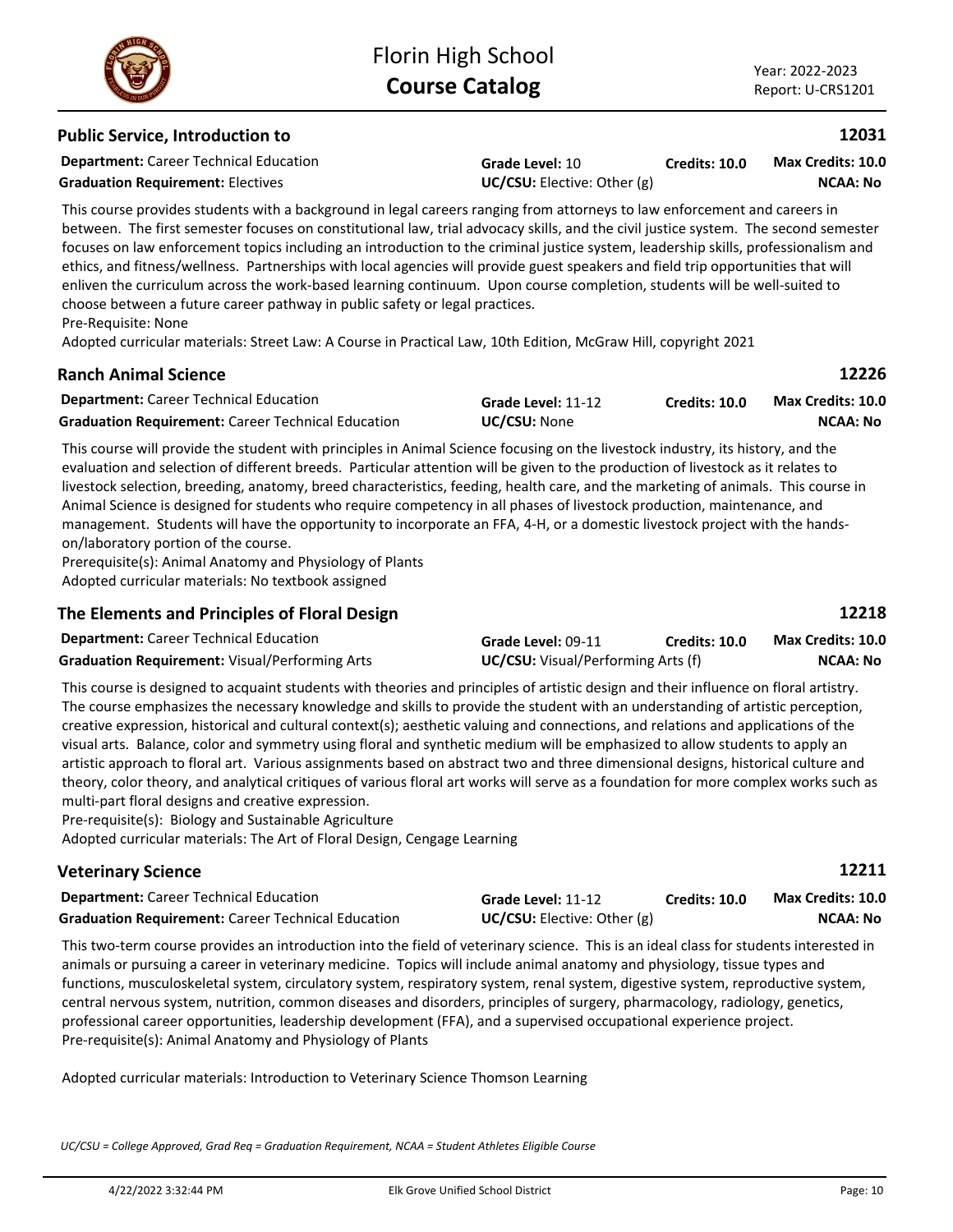### **Public Service, Introduction to**

**Department:** Career Technical Education

**Graduation Requirement:** Electives **UC/CSU:** Elective: Other (g)

**Grade Level:** 10

**Credits: 10.0 NCAA: No Max Credits: 10.0**

This course provides students with a background in legal careers ranging from attorneys to law enforcement and careers in between. The first semester focuses on constitutional law, trial advocacy skills, and the civil justice system. The second semester focuses on law enforcement topics including an introduction to the criminal justice system, leadership skills, professionalism and ethics, and fitness/wellness. Partnerships with local agencies will provide guest speakers and field trip opportunities that will enliven the curriculum across the work-based learning continuum. Upon course completion, students will be well-suited to choose between a future career pathway in public safety or legal practices. Pre-Requisite: None

Adopted curricular materials: Street Law: A Course in Practical Law, 10th Edition, McGraw Hill, copyright 2021

### **Ranch Animal Science**

| <b>Department:</b> Career Technical Education             | Grade Level: 11-12  | Credits: 10.0 | Max Credits: 10.0 |
|-----------------------------------------------------------|---------------------|---------------|-------------------|
| <b>Graduation Requirement:</b> Career Technical Education | <b>UC/CSU: None</b> |               | NCAA: No          |

This course will provide the student with principles in Animal Science focusing on the livestock industry, its history, and the evaluation and selection of different breeds. Particular attention will be given to the production of livestock as it relates to livestock selection, breeding, anatomy, breed characteristics, feeding, health care, and the marketing of animals. This course in Animal Science is designed for students who require competency in all phases of livestock production, maintenance, and management. Students will have the opportunity to incorporate an FFA, 4-H, or a domestic livestock project with the handson/laboratory portion of the course.

Prerequisite(s): Animal Anatomy and Physiology of Plants Adopted curricular materials: No textbook assigned

# **The Elements and Principles of Floral Design**

| <b>Department:</b> Career Technical Education  | Grade Level: 09-11                        | <b>Credits: 10.0</b> | <b>Max Credits: 10.0</b> |
|------------------------------------------------|-------------------------------------------|----------------------|--------------------------|
| Graduation Requirement: Visual/Performing Arts | <b>UC/CSU:</b> Visual/Performing Arts (f) |                      | <b>NCAA: No</b>          |

This course is designed to acquaint students with theories and principles of artistic design and their influence on floral artistry. The course emphasizes the necessary knowledge and skills to provide the student with an understanding of artistic perception, creative expression, historical and cultural context(s); aesthetic valuing and connections, and relations and applications of the visual arts. Balance, color and symmetry using floral and synthetic medium will be emphasized to allow students to apply an artistic approach to floral art. Various assignments based on abstract two and three dimensional designs, historical culture and theory, color theory, and analytical critiques of various floral art works will serve as a foundation for more complex works such as multi-part floral designs and creative expression.

Pre-requisite(s): Biology and Sustainable Agriculture Adopted curricular materials: The Art of Floral Design, Cengage Learning

| <b>Veterinary Science</b>                                 |                                      |                      | 12211             |
|-----------------------------------------------------------|--------------------------------------|----------------------|-------------------|
| <b>Department:</b> Career Technical Education             | Grade Level: 11-12                   | <b>Credits: 10.0</b> | Max Credits: 10.0 |
| <b>Graduation Requirement:</b> Career Technical Education | <b>UC/CSU:</b> Elective: Other $(g)$ |                      | NCAA: No          |

This two-term course provides an introduction into the field of veterinary science. This is an ideal class for students interested in animals or pursuing a career in veterinary medicine. Topics will include animal anatomy and physiology, tissue types and functions, musculoskeletal system, circulatory system, respiratory system, renal system, digestive system, reproductive system, central nervous system, nutrition, common diseases and disorders, principles of surgery, pharmacology, radiology, genetics, professional career opportunities, leadership development (FFA), and a supervised occupational experience project. Pre-requisite(s): Animal Anatomy and Physiology of Plants

Adopted curricular materials: Introduction to Veterinary Science Thomson Learning

*UC/CSU = College Approved, Grad Req = Graduation Requirement, NCAA = Student Athletes Eligible Course*

**12218**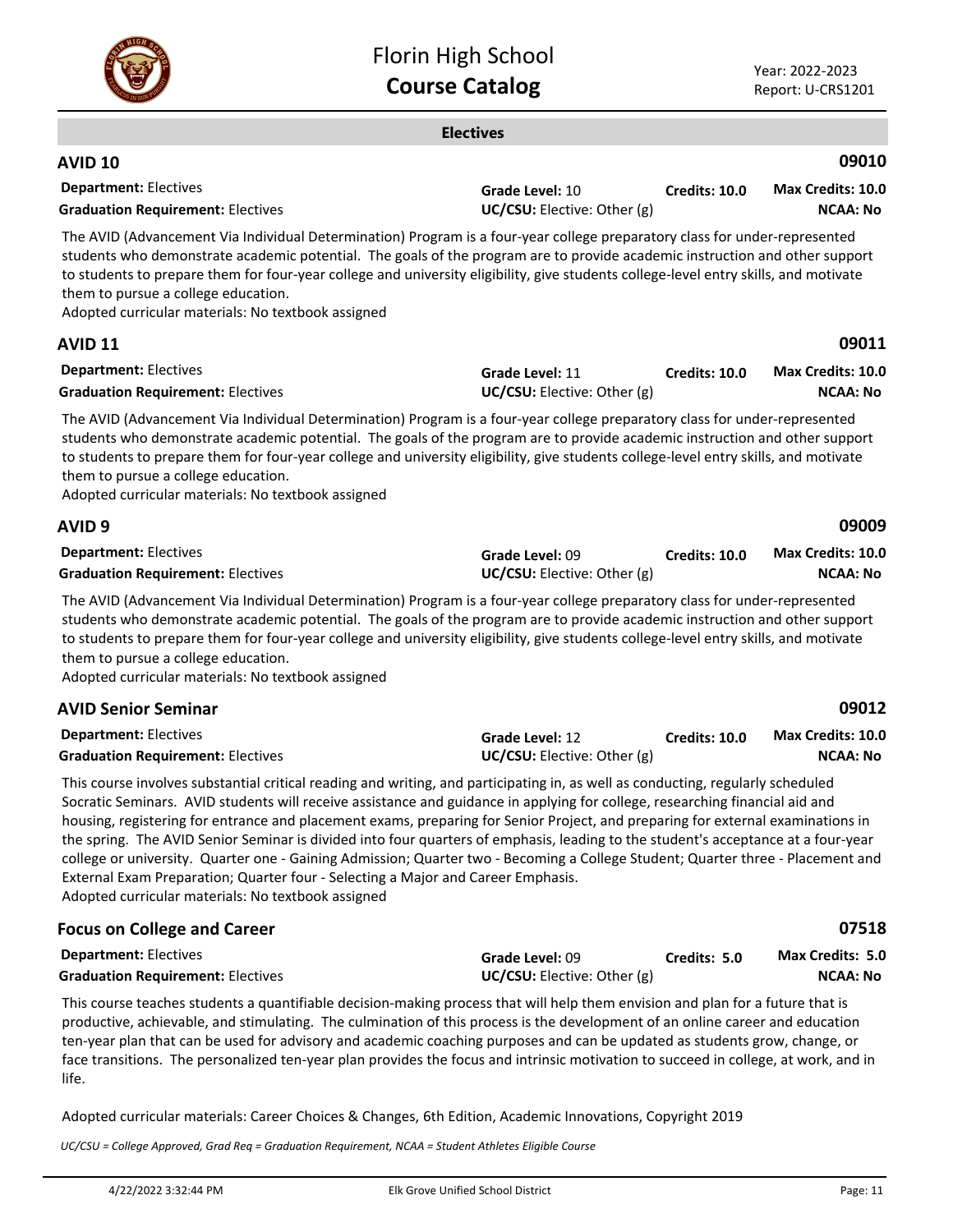

| <b>Electives</b>                                                                                                                                                                                                                                                                                                                                                                                                                                                                                                                                                                                                                                                                                                                                                                                                     |                                                |                      |                                             |
|----------------------------------------------------------------------------------------------------------------------------------------------------------------------------------------------------------------------------------------------------------------------------------------------------------------------------------------------------------------------------------------------------------------------------------------------------------------------------------------------------------------------------------------------------------------------------------------------------------------------------------------------------------------------------------------------------------------------------------------------------------------------------------------------------------------------|------------------------------------------------|----------------------|---------------------------------------------|
| <b>AVID 10</b>                                                                                                                                                                                                                                                                                                                                                                                                                                                                                                                                                                                                                                                                                                                                                                                                       |                                                |                      | 09010                                       |
| <b>Department: Electives</b><br><b>Graduation Requirement: Electives</b>                                                                                                                                                                                                                                                                                                                                                                                                                                                                                                                                                                                                                                                                                                                                             | Grade Level: 10<br>UC/CSU: Elective: Other (g) | Credits: 10.0        | <b>Max Credits: 10.0</b><br><b>NCAA: No</b> |
| The AVID (Advancement Via Individual Determination) Program is a four-year college preparatory class for under-represented<br>students who demonstrate academic potential. The goals of the program are to provide academic instruction and other support<br>to students to prepare them for four-year college and university eligibility, give students college-level entry skills, and motivate<br>them to pursue a college education.<br>Adopted curricular materials: No textbook assigned                                                                                                                                                                                                                                                                                                                       |                                                |                      |                                             |
| AVID 11                                                                                                                                                                                                                                                                                                                                                                                                                                                                                                                                                                                                                                                                                                                                                                                                              |                                                |                      | 09011                                       |
| <b>Department: Electives</b><br><b>Graduation Requirement: Electives</b>                                                                                                                                                                                                                                                                                                                                                                                                                                                                                                                                                                                                                                                                                                                                             | Grade Level: 11<br>UC/CSU: Elective: Other (g) | <b>Credits: 10.0</b> | Max Credits: 10.0<br><b>NCAA: No</b>        |
| The AVID (Advancement Via Individual Determination) Program is a four-year college preparatory class for under-represented<br>students who demonstrate academic potential. The goals of the program are to provide academic instruction and other support<br>to students to prepare them for four-year college and university eligibility, give students college-level entry skills, and motivate<br>them to pursue a college education.<br>Adopted curricular materials: No textbook assigned                                                                                                                                                                                                                                                                                                                       |                                                |                      |                                             |
| AVID 9                                                                                                                                                                                                                                                                                                                                                                                                                                                                                                                                                                                                                                                                                                                                                                                                               |                                                |                      | 09009                                       |
| <b>Department: Electives</b><br><b>Graduation Requirement: Electives</b>                                                                                                                                                                                                                                                                                                                                                                                                                                                                                                                                                                                                                                                                                                                                             | Grade Level: 09<br>UC/CSU: Elective: Other (g) | <b>Credits: 10.0</b> | Max Credits: 10.0<br><b>NCAA: No</b>        |
| The AVID (Advancement Via Individual Determination) Program is a four-year college preparatory class for under-represented<br>students who demonstrate academic potential. The goals of the program are to provide academic instruction and other support<br>to students to prepare them for four-year college and university eligibility, give students college-level entry skills, and motivate<br>them to pursue a college education.<br>Adopted curricular materials: No textbook assigned                                                                                                                                                                                                                                                                                                                       |                                                |                      |                                             |
| <b>AVID Senior Seminar</b>                                                                                                                                                                                                                                                                                                                                                                                                                                                                                                                                                                                                                                                                                                                                                                                           |                                                |                      | 09012                                       |
| <b>Department: Electives</b><br><b>Graduation Requirement: Electives</b>                                                                                                                                                                                                                                                                                                                                                                                                                                                                                                                                                                                                                                                                                                                                             | Grade Level: 12<br>UC/CSU: Elective: Other (g) | <b>Credits: 10.0</b> | Max Credits: 10.0<br><b>NCAA: No</b>        |
| This course involves substantial critical reading and writing, and participating in, as well as conducting, regularly scheduled<br>Socratic Seminars. AVID students will receive assistance and guidance in applying for college, researching financial aid and<br>housing, registering for entrance and placement exams, preparing for Senior Project, and preparing for external examinations in<br>the spring. The AVID Senior Seminar is divided into four quarters of emphasis, leading to the student's acceptance at a four-year<br>college or university. Quarter one - Gaining Admission; Quarter two - Becoming a College Student; Quarter three - Placement and<br>External Exam Preparation; Quarter four - Selecting a Major and Career Emphasis.<br>Adopted curricular materials: No textbook assigned |                                                |                      |                                             |
| <b>Encus on College and Career</b>                                                                                                                                                                                                                                                                                                                                                                                                                                                                                                                                                                                                                                                                                                                                                                                   |                                                |                      | 07518                                       |

| i ocus on concec and career              |                                    |              | .                       |
|------------------------------------------|------------------------------------|--------------|-------------------------|
| <b>Department: Electives</b>             | Grade Level: 09                    | Credits: 5.0 | <b>Max Credits: 5.0</b> |
| <b>Graduation Requirement: Electives</b> | <b>UC/CSU:</b> Elective: Other (g) |              | <b>NCAA: No</b>         |

This course teaches students a quantifiable decision-making process that will help them envision and plan for a future that is productive, achievable, and stimulating. The culmination of this process is the development of an online career and education ten-year plan that can be used for advisory and academic coaching purposes and can be updated as students grow, change, or face transitions. The personalized ten-year plan provides the focus and intrinsic motivation to succeed in college, at work, and in life.

Adopted curricular materials: Career Choices & Changes, 6th Edition, Academic Innovations, Copyright 2019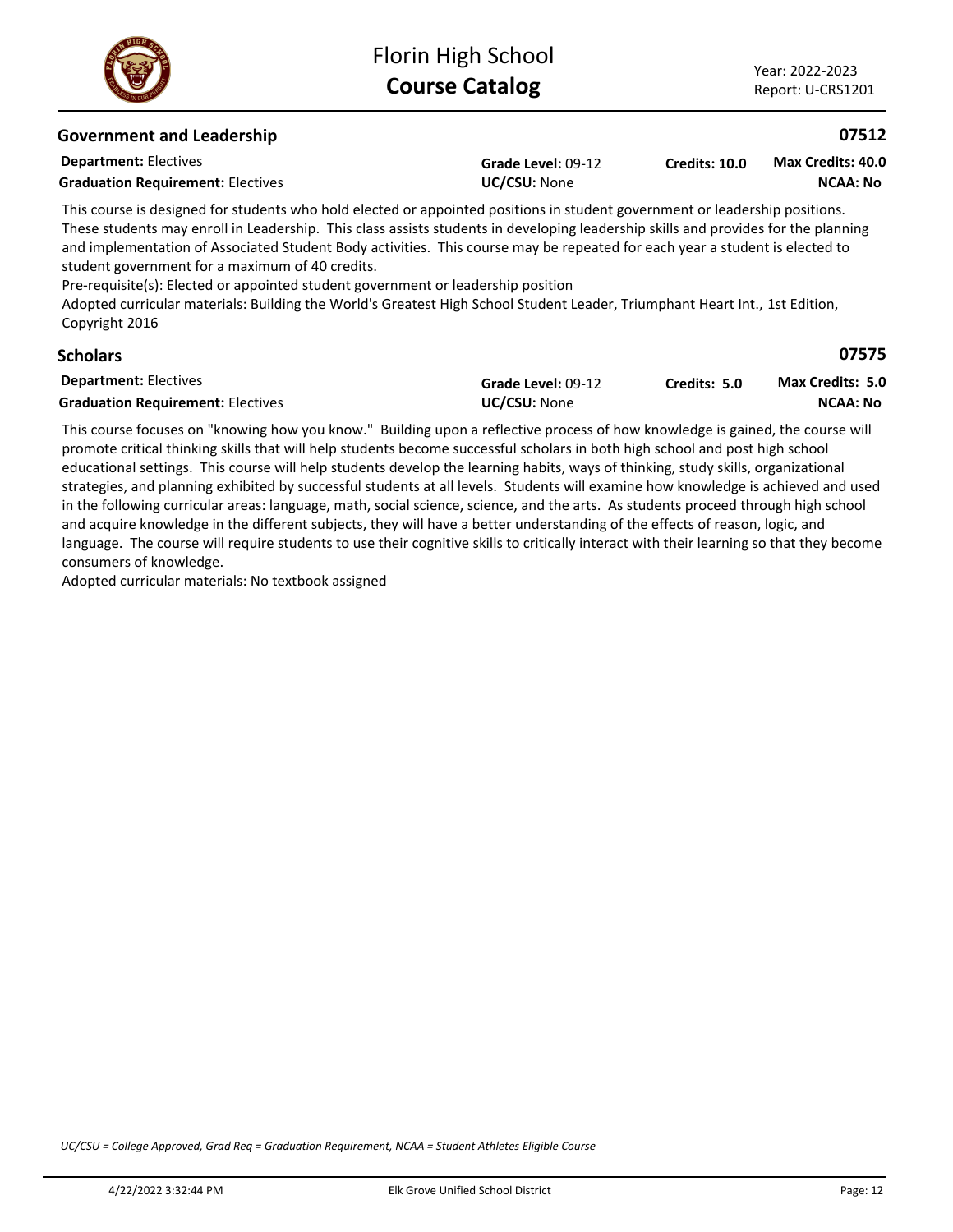

| <b>Government and Leadership</b>                                                                                                                                                                                                                                                                                                                                                                                                                                                                                                                                                                                                                                                         |                                    |               | 07512                                |
|------------------------------------------------------------------------------------------------------------------------------------------------------------------------------------------------------------------------------------------------------------------------------------------------------------------------------------------------------------------------------------------------------------------------------------------------------------------------------------------------------------------------------------------------------------------------------------------------------------------------------------------------------------------------------------------|------------------------------------|---------------|--------------------------------------|
| <b>Department: Electives</b><br><b>Graduation Requirement: Electives</b>                                                                                                                                                                                                                                                                                                                                                                                                                                                                                                                                                                                                                 | Grade Level: 09-12<br>UC/CSU: None | Credits: 10.0 | Max Credits: 40.0<br><b>NCAA: No</b> |
| This course is designed for students who hold elected or appointed positions in student government or leadership positions.<br>These students may enroll in Leadership. This class assists students in developing leadership skills and provides for the planning<br>and implementation of Associated Student Body activities. This course may be repeated for each year a student is elected to<br>student government for a maximum of 40 credits.<br>Pre-requisite(s): Elected or appointed student government or leadership position<br>Adopted curricular materials: Building the World's Greatest High School Student Leader, Triumphant Heart Int., 1st Edition,<br>Copyright 2016 |                                    |               |                                      |
| <b>Scholars</b>                                                                                                                                                                                                                                                                                                                                                                                                                                                                                                                                                                                                                                                                          |                                    |               | 07575                                |
| <b>Department: Electives</b>                                                                                                                                                                                                                                                                                                                                                                                                                                                                                                                                                                                                                                                             | Grade Level: 09-12                 | Credits: 5.0  | <b>Max Credits: 5.0</b>              |
| <b>Graduation Requirement: Electives</b>                                                                                                                                                                                                                                                                                                                                                                                                                                                                                                                                                                                                                                                 | UC/CSU: None                       |               | <b>NCAA: No</b>                      |
| This course focuses on "knowing how you know." Building upon a reflective process of how knowledge is gained, the course will                                                                                                                                                                                                                                                                                                                                                                                                                                                                                                                                                            |                                    |               |                                      |

promote critical thinking skills that will help students become successful scholars in both high school and post high school educational settings. This course will help students develop the learning habits, ways of thinking, study skills, organizational strategies, and planning exhibited by successful students at all levels. Students will examine how knowledge is achieved and used in the following curricular areas: language, math, social science, science, and the arts. As students proceed through high school and acquire knowledge in the different subjects, they will have a better understanding of the effects of reason, logic, and language. The course will require students to use their cognitive skills to critically interact with their learning so that they become consumers of knowledge.

Adopted curricular materials: No textbook assigned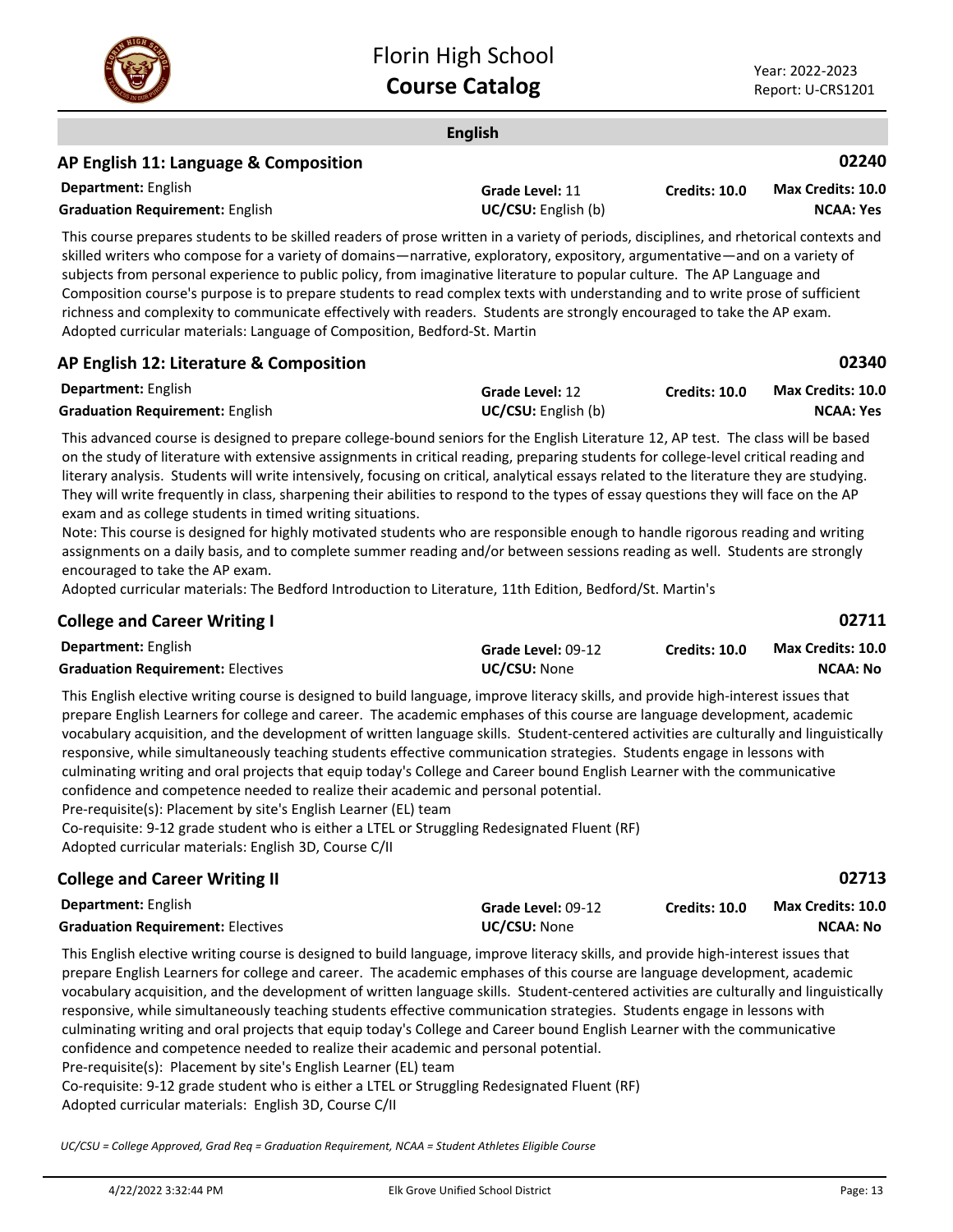

**02711**

**02713**

### **English Department:** English **02240** This course prepares students to be skilled readers of prose written in a variety of periods, disciplines, and rhetorical contexts and skilled writers who compose for a variety of domains—narrative, exploratory, expository, argumentative—and on a variety of subjects from personal experience to public policy, from imaginative literature to popular culture. The AP Language and **AP English 11: Language & Composition Grade Level:** 11 **Graduation Requirement:** English **UC/CSU:** English (b) **Credits: 10.0 NCAA: Yes Max Credits: 10.0**

Composition course's purpose is to prepare students to read complex texts with understanding and to write prose of sufficient richness and complexity to communicate effectively with readers. Students are strongly encouraged to take the AP exam. Adopted curricular materials: Language of Composition, Bedford-St. Martin

### **AP English 12: Literature & Composition**

| <b>Department: English</b>             | <b>Grade Level: 12</b>     | <b>Credits: 10.0</b> | Max Credits: 10.0 |
|----------------------------------------|----------------------------|----------------------|-------------------|
| <b>Graduation Requirement: English</b> | <b>UC/CSU:</b> English (b) |                      | <b>NCAA: Yes</b>  |

This advanced course is designed to prepare college-bound seniors for the English Literature 12, AP test. The class will be based on the study of literature with extensive assignments in critical reading, preparing students for college-level critical reading and literary analysis. Students will write intensively, focusing on critical, analytical essays related to the literature they are studying. They will write frequently in class, sharpening their abilities to respond to the types of essay questions they will face on the AP exam and as college students in timed writing situations.

Note: This course is designed for highly motivated students who are responsible enough to handle rigorous reading and writing assignments on a daily basis, and to complete summer reading and/or between sessions reading as well. Students are strongly encouraged to take the AP exam.

Adopted curricular materials: The Bedford Introduction to Literature, 11th Edition, Bedford/St. Martin's

### **College and Career Writing I**

| <b>Department: English</b>               | Grade Level: 09-12  | Credits: 10.0 | <b>Max Credits: 10.0</b> |
|------------------------------------------|---------------------|---------------|--------------------------|
| <b>Graduation Requirement: Electives</b> | <b>UC/CSU: None</b> |               | NCAA: No                 |

This English elective writing course is designed to build language, improve literacy skills, and provide high-interest issues that prepare English Learners for college and career. The academic emphases of this course are language development, academic vocabulary acquisition, and the development of written language skills. Student-centered activities are culturally and linguistically responsive, while simultaneously teaching students effective communication strategies. Students engage in lessons with culminating writing and oral projects that equip today's College and Career bound English Learner with the communicative confidence and competence needed to realize their academic and personal potential.

Pre-requisite(s): Placement by site's English Learner (EL) team

Co-requisite: 9-12 grade student who is either a LTEL or Struggling Redesignated Fluent (RF)

Adopted curricular materials: English 3D, Course C/II

# **College and Career Writing II**

| <b>Department:</b> English               | <b>Grade Level:</b> 09-12 | <b>Credits: 10.0</b> | <b>Max Credits: 10.0</b> |
|------------------------------------------|---------------------------|----------------------|--------------------------|
| <b>Graduation Requirement: Electives</b> | <b>UC/CSU: None</b>       |                      | NCAA: No                 |

This English elective writing course is designed to build language, improve literacy skills, and provide high-interest issues that prepare English Learners for college and career. The academic emphases of this course are language development, academic vocabulary acquisition, and the development of written language skills. Student-centered activities are culturally and linguistically responsive, while simultaneously teaching students effective communication strategies. Students engage in lessons with culminating writing and oral projects that equip today's College and Career bound English Learner with the communicative confidence and competence needed to realize their academic and personal potential. Pre-requisite(s): Placement by site's English Learner (EL) team

Co-requisite: 9-12 grade student who is either a LTEL or Struggling Redesignated Fluent (RF) Adopted curricular materials: English 3D, Course C/II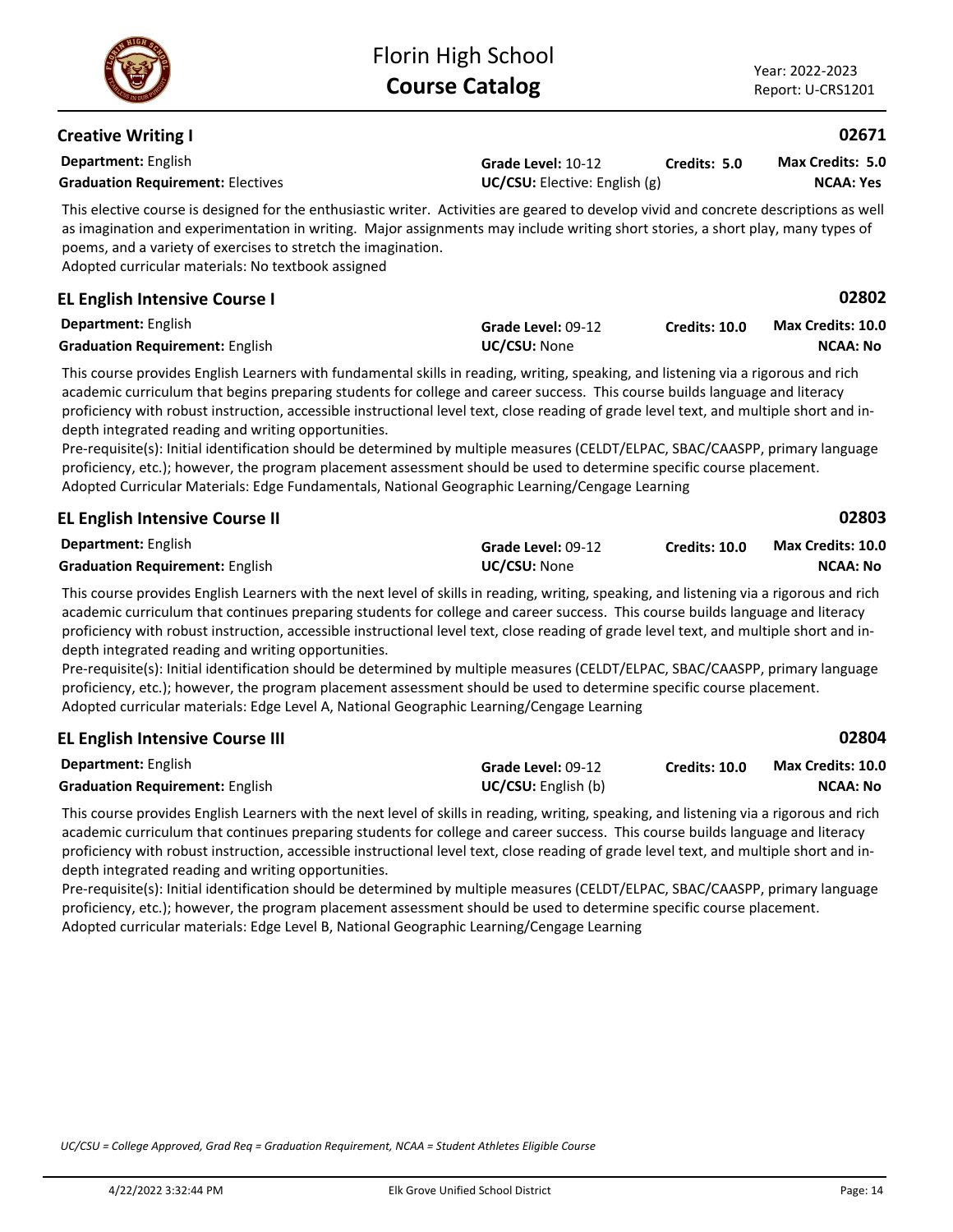| Year: 2022-2023   |
|-------------------|
| Report: U-CRS1201 |

| <b>Department:</b> English<br><b>Graduation Requirement: Electives</b>                                                                                                                                                                                                                                                                                                                                                                                                                                                                                                                                                                                                                                                                                                                                                          | Grade Level: 10-12<br>UC/CSU: Elective: English (g) | Credits: 5.0         | <b>Max Credits: 5.0</b><br><b>NCAA: Yes</b> |
|---------------------------------------------------------------------------------------------------------------------------------------------------------------------------------------------------------------------------------------------------------------------------------------------------------------------------------------------------------------------------------------------------------------------------------------------------------------------------------------------------------------------------------------------------------------------------------------------------------------------------------------------------------------------------------------------------------------------------------------------------------------------------------------------------------------------------------|-----------------------------------------------------|----------------------|---------------------------------------------|
| This elective course is designed for the enthusiastic writer. Activities are geared to develop vivid and concrete descriptions as well<br>as imagination and experimentation in writing. Major assignments may include writing short stories, a short play, many types of<br>poems, and a variety of exercises to stretch the imagination.<br>Adopted curricular materials: No textbook assigned                                                                                                                                                                                                                                                                                                                                                                                                                                |                                                     |                      |                                             |
| <b>EL English Intensive Course I</b>                                                                                                                                                                                                                                                                                                                                                                                                                                                                                                                                                                                                                                                                                                                                                                                            |                                                     |                      | 02802                                       |
| Department: English<br><b>Graduation Requirement: English</b>                                                                                                                                                                                                                                                                                                                                                                                                                                                                                                                                                                                                                                                                                                                                                                   | Grade Level: 09-12<br>UC/CSU: None                  | <b>Credits: 10.0</b> | <b>Max Credits: 10.0</b><br><b>NCAA: No</b> |
| This course provides English Learners with fundamental skills in reading, writing, speaking, and listening via a rigorous and rich<br>academic curriculum that begins preparing students for college and career success. This course builds language and literacy<br>proficiency with robust instruction, accessible instructional level text, close reading of grade level text, and multiple short and in-<br>depth integrated reading and writing opportunities.<br>Pre-requisite(s): Initial identification should be determined by multiple measures (CELDT/ELPAC, SBAC/CAASPP, primary language<br>proficiency, etc.); however, the program placement assessment should be used to determine specific course placement.<br>Adopted Curricular Materials: Edge Fundamentals, National Geographic Learning/Cengage Learning |                                                     |                      |                                             |
| <b>EL English Intensive Course II</b>                                                                                                                                                                                                                                                                                                                                                                                                                                                                                                                                                                                                                                                                                                                                                                                           |                                                     |                      | 02803                                       |
| Department: English<br><b>Graduation Requirement: English</b>                                                                                                                                                                                                                                                                                                                                                                                                                                                                                                                                                                                                                                                                                                                                                                   | Grade Level: 09-12<br>UC/CSU: None                  | <b>Credits: 10.0</b> | <b>Max Credits: 10.0</b><br><b>NCAA: No</b> |
| This course provides English Learners with the next level of skills in reading, writing, speaking, and listening via a rigorous and rich<br>academic curriculum that continues preparing students for college and career success. This course builds language and literacy<br>proficiency with robust instruction, accessible instructional level text, close reading of grade level text, and multiple short and in-<br>depth integrated reading and writing opportunities.<br>Pre-requisite(s): Initial identification should be determined by multiple measures (CELDT/ELPAC, SBAC/CAASPP, primary language<br>proficiency, etc.); however, the program placement assessment should be used to determine specific course placement.                                                                                          |                                                     |                      |                                             |

| <b>EL English Intensive Course III</b> |                            |               | 02804                    |
|----------------------------------------|----------------------------|---------------|--------------------------|
| <b>Department:</b> English             | Grade Level: 09-12         | Credits: 10.0 | <b>Max Credits: 10.0</b> |
| <b>Graduation Requirement: English</b> | <b>UC/CSU:</b> English (b) |               | <b>NCAA: No</b>          |

This course provides English Learners with the next level of skills in reading, writing, speaking, and listening via a rigorous and rich academic curriculum that continues preparing students for college and career success. This course builds language and literacy proficiency with robust instruction, accessible instructional level text, close reading of grade level text, and multiple short and indepth integrated reading and writing opportunities.

Pre-requisite(s): Initial identification should be determined by multiple measures (CELDT/ELPAC, SBAC/CAASPP, primary language proficiency, etc.); however, the program placement assessment should be used to determine specific course placement. Adopted curricular materials: Edge Level B, National Geographic Learning/Cengage Learning

*UC/CSU = College Approved, Grad Req = Graduation Requirement, NCAA = Student Athletes Eligible Course*



**Department:** English

**Creative Writing I**

**Max Credits: 5.0**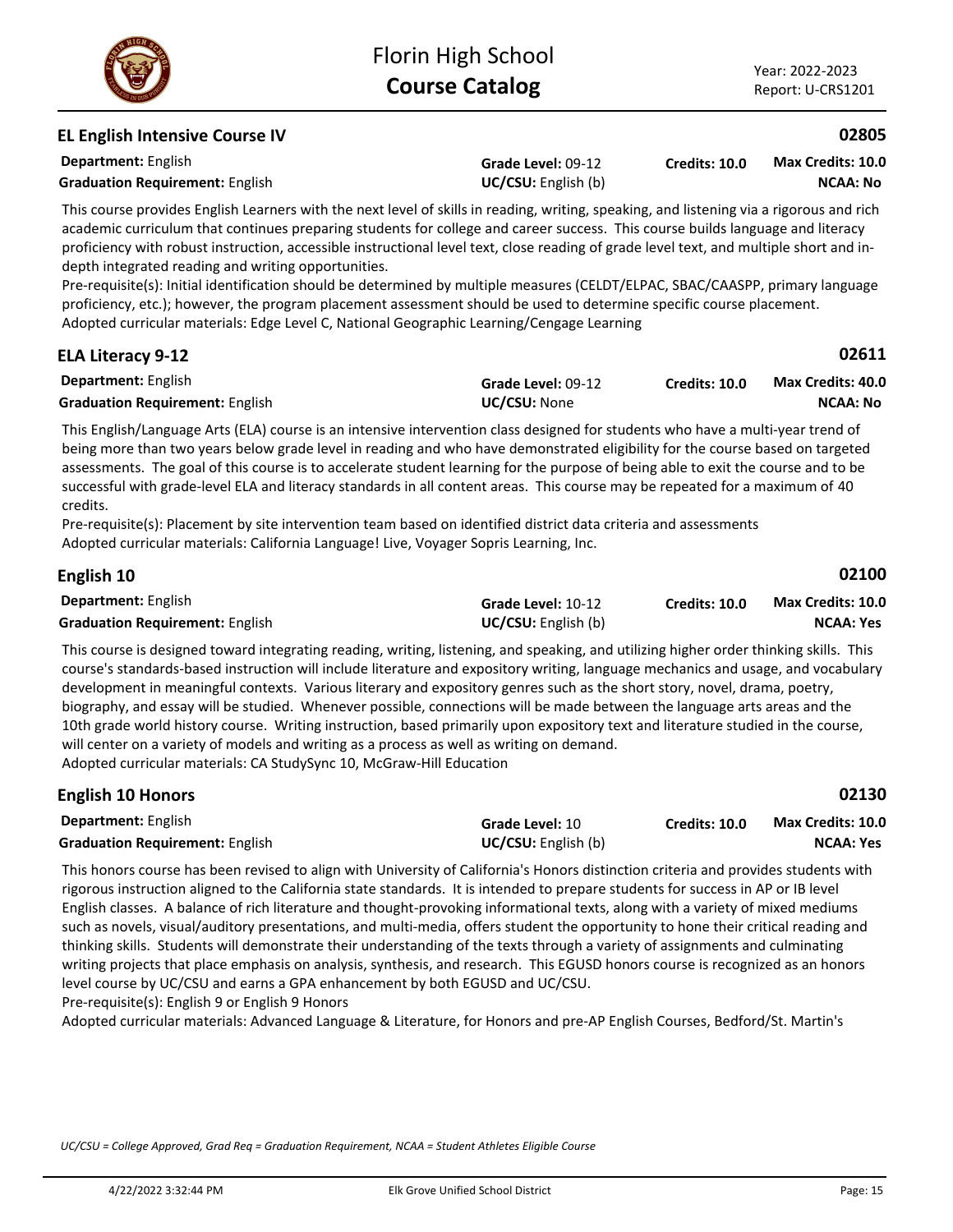**Credits: 10.0**

# **EL English Intensive Course IV**

**Department:** English **Graduation Requirement:** English **Example 2018 UC/CSU:** English (b)

This course provides English Learners with the next level of skills in reading, writing, speaking, and listening via a rigorous and rich academic curriculum that continues preparing students for college and career success. This course builds language and literacy proficiency with robust instruction, accessible instructional level text, close reading of grade level text, and multiple short and indepth integrated reading and writing opportunities.

**Grade Level:** 09-12

Pre-requisite(s): Initial identification should be determined by multiple measures (CELDT/ELPAC, SBAC/CAASPP, primary language proficiency, etc.); however, the program placement assessment should be used to determine specific course placement. Adopted curricular materials: Edge Level C, National Geographic Learning/Cengage Learning

| <b>ELA Literacy 9-12</b>               |                     |                      | 02611                    |
|----------------------------------------|---------------------|----------------------|--------------------------|
| <b>Department:</b> English             | Grade Level: 09-12  | <b>Credits: 10.0</b> | <b>Max Credits: 40.0</b> |
| <b>Graduation Requirement: English</b> | <b>UC/CSU: None</b> |                      | NCAA: No                 |

This English/Language Arts (ELA) course is an intensive intervention class designed for students who have a multi-year trend of being more than two years below grade level in reading and who have demonstrated eligibility for the course based on targeted assessments. The goal of this course is to accelerate student learning for the purpose of being able to exit the course and to be successful with grade-level ELA and literacy standards in all content areas. This course may be repeated for a maximum of 40 credits.

Pre-requisite(s): Placement by site intervention team based on identified district data criteria and assessments Adopted curricular materials: California Language! Live, Voyager Sopris Learning, Inc.

| English 10                             |                            |                      | 02100                    |
|----------------------------------------|----------------------------|----------------------|--------------------------|
| <b>Department:</b> English             | Grade Level: 10-12         | <b>Credits: 10.0</b> | <b>Max Credits: 10.0</b> |
| <b>Graduation Requirement: English</b> | <b>UC/CSU:</b> English (b) |                      | <b>NCAA: Yes</b>         |

This course is designed toward integrating reading, writing, listening, and speaking, and utilizing higher order thinking skills. This course's standards-based instruction will include literature and expository writing, language mechanics and usage, and vocabulary development in meaningful contexts. Various literary and expository genres such as the short story, novel, drama, poetry, biography, and essay will be studied. Whenever possible, connections will be made between the language arts areas and the 10th grade world history course. Writing instruction, based primarily upon expository text and literature studied in the course, will center on a variety of models and writing as a process as well as writing on demand. Adopted curricular materials: CA StudySync 10, McGraw-Hill Education

| <b>English 10 Honors</b>               |                            |               | 02130                    |
|----------------------------------------|----------------------------|---------------|--------------------------|
| <b>Department:</b> English             | <b>Grade Level: 10</b>     | Credits: 10.0 | <b>Max Credits: 10.0</b> |
| <b>Graduation Requirement: English</b> | <b>UC/CSU:</b> English (b) |               | NCAA: Yes                |

This honors course has been revised to align with University of California's Honors distinction criteria and provides students with rigorous instruction aligned to the California state standards. It is intended to prepare students for success in AP or IB level English classes. A balance of rich literature and thought-provoking informational texts, along with a variety of mixed mediums such as novels, visual/auditory presentations, and multi-media, offers student the opportunity to hone their critical reading and thinking skills. Students will demonstrate their understanding of the texts through a variety of assignments and culminating writing projects that place emphasis on analysis, synthesis, and research. This EGUSD honors course is recognized as an honors level course by UC/CSU and earns a GPA enhancement by both EGUSD and UC/CSU.

Pre-requisite(s): English 9 or English 9 Honors

Adopted curricular materials: Advanced Language & Literature, for Honors and pre-AP English Courses, Bedford/St. Martin's



### **02805**

**NCAA: No Max Credits: 10.0**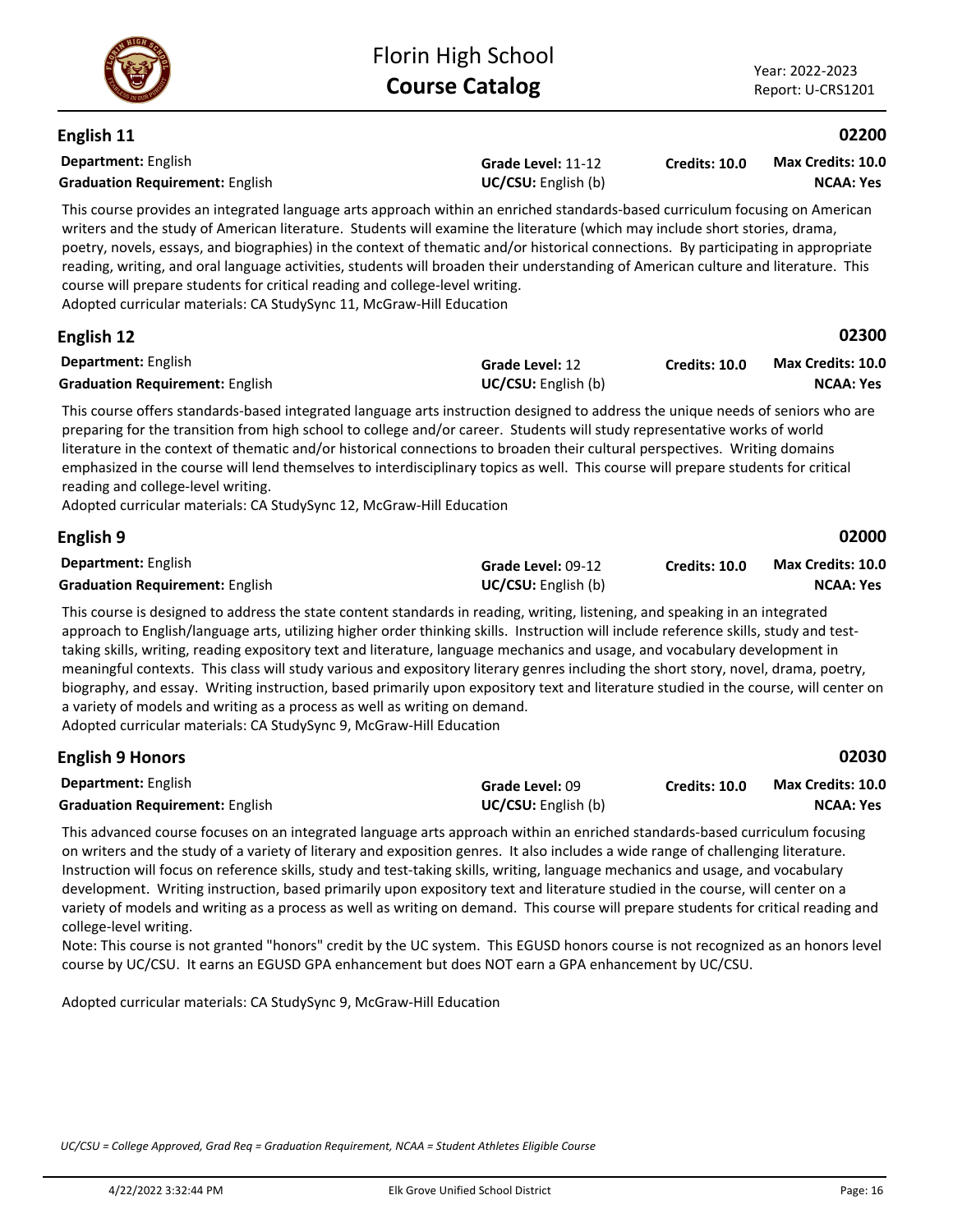

**English 11**

**02200**

| Department: English<br><b>Graduation Requirement: English</b>                                                                                                                                                                                                                                                                                                                                                                                                                                                                                                                                                                                                                                                                                                                                                                           | Grade Level: 11-12<br>UC/CSU: English (b) | <b>Credits: 10.0</b> | <b>Max Credits: 10.0</b><br><b>NCAA: Yes</b> |
|-----------------------------------------------------------------------------------------------------------------------------------------------------------------------------------------------------------------------------------------------------------------------------------------------------------------------------------------------------------------------------------------------------------------------------------------------------------------------------------------------------------------------------------------------------------------------------------------------------------------------------------------------------------------------------------------------------------------------------------------------------------------------------------------------------------------------------------------|-------------------------------------------|----------------------|----------------------------------------------|
| This course provides an integrated language arts approach within an enriched standards-based curriculum focusing on American<br>writers and the study of American literature. Students will examine the literature (which may include short stories, drama,<br>poetry, novels, essays, and biographies) in the context of thematic and/or historical connections. By participating in appropriate<br>reading, writing, and oral language activities, students will broaden their understanding of American culture and literature. This<br>course will prepare students for critical reading and college-level writing.<br>Adopted curricular materials: CA StudySync 11, McGraw-Hill Education                                                                                                                                         |                                           |                      |                                              |
| English 12                                                                                                                                                                                                                                                                                                                                                                                                                                                                                                                                                                                                                                                                                                                                                                                                                              |                                           |                      | 02300                                        |
| Department: English<br><b>Graduation Requirement: English</b>                                                                                                                                                                                                                                                                                                                                                                                                                                                                                                                                                                                                                                                                                                                                                                           | Grade Level: 12<br>UC/CSU: English (b)    | <b>Credits: 10.0</b> | Max Credits: 10.0<br><b>NCAA: Yes</b>        |
| This course offers standards-based integrated language arts instruction designed to address the unique needs of seniors who are<br>preparing for the transition from high school to college and/or career. Students will study representative works of world<br>literature in the context of thematic and/or historical connections to broaden their cultural perspectives. Writing domains<br>emphasized in the course will lend themselves to interdisciplinary topics as well. This course will prepare students for critical<br>reading and college-level writing.<br>Adopted curricular materials: CA StudySync 12, McGraw-Hill Education                                                                                                                                                                                          |                                           |                      |                                              |
| English 9                                                                                                                                                                                                                                                                                                                                                                                                                                                                                                                                                                                                                                                                                                                                                                                                                               |                                           |                      | 02000                                        |
| Department: English<br><b>Graduation Requirement: English</b>                                                                                                                                                                                                                                                                                                                                                                                                                                                                                                                                                                                                                                                                                                                                                                           | Grade Level: 09-12<br>UC/CSU: English (b) | Credits: 10.0        | Max Credits: 10.0<br><b>NCAA: Yes</b>        |
| This course is designed to address the state content standards in reading, writing, listening, and speaking in an integrated<br>approach to English/language arts, utilizing higher order thinking skills. Instruction will include reference skills, study and test-<br>taking skills, writing, reading expository text and literature, language mechanics and usage, and vocabulary development in<br>meaningful contexts. This class will study various and expository literary genres including the short story, novel, drama, poetry,<br>biography, and essay. Writing instruction, based primarily upon expository text and literature studied in the course, will center on<br>a variety of models and writing as a process as well as writing on demand.<br>Adopted curricular materials: CA StudySync 9, McGraw-Hill Education |                                           |                      |                                              |
| <b>Englich 9 Honors</b>                                                                                                                                                                                                                                                                                                                                                                                                                                                                                                                                                                                                                                                                                                                                                                                                                 |                                           |                      | <b>02030</b>                                 |

| LURUSIT JUULUIS                        |                            |               | <u>ULUJU</u>             |
|----------------------------------------|----------------------------|---------------|--------------------------|
| <b>Department:</b> English             | <b>Grade Level: 09</b>     | Credits: 10.0 | <b>Max Credits: 10.0</b> |
| <b>Graduation Requirement: English</b> | <b>UC/CSU:</b> English (b) |               | NCAA: Yes                |

This advanced course focuses on an integrated language arts approach within an enriched standards-based curriculum focusing on writers and the study of a variety of literary and exposition genres. It also includes a wide range of challenging literature. Instruction will focus on reference skills, study and test-taking skills, writing, language mechanics and usage, and vocabulary development. Writing instruction, based primarily upon expository text and literature studied in the course, will center on a variety of models and writing as a process as well as writing on demand. This course will prepare students for critical reading and college-level writing.

Note: This course is not granted "honors" credit by the UC system. This EGUSD honors course is not recognized as an honors level course by UC/CSU. It earns an EGUSD GPA enhancement but does NOT earn a GPA enhancement by UC/CSU.

Adopted curricular materials: CA StudySync 9, McGraw-Hill Education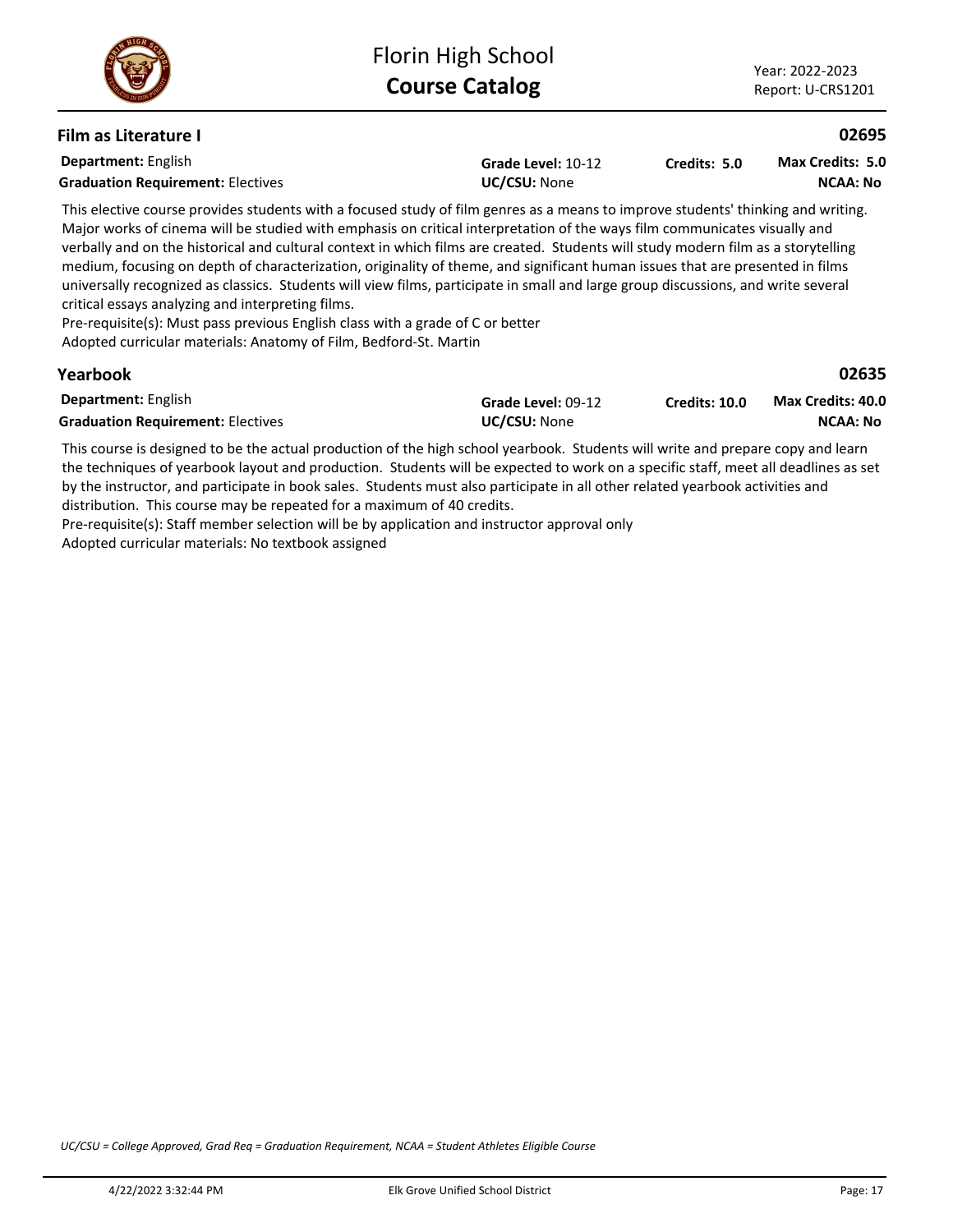### **Film as Literature I**

| <b>Department:</b> English<br><b>Graduation Requirement: Electives</b>                                                           | Grade Level: 10-12<br><b>UC/CSU: None</b> | Credits: 5.0 | <b>Max Credits: 5.0</b><br><b>NCAA: No</b> |  |
|----------------------------------------------------------------------------------------------------------------------------------|-------------------------------------------|--------------|--------------------------------------------|--|
| This elective course provides students with a focused study of film genres as a means to improve students' thinking and writing. |                                           |              |                                            |  |
| Major works of cinema will be studied with emphasis on critical interpretation of the ways film communicates visually and        |                                           |              |                                            |  |

verbally and on the historical and cultural context in which films are created. Students will study modern film as a storytelling medium, focusing on depth of characterization, originality of theme, and significant human issues that are presented in films universally recognized as classics. Students will view films, participate in small and large group discussions, and write several critical essays analyzing and interpreting films.

Pre-requisite(s): Must pass previous English class with a grade of C or better

Adopted curricular materials: Anatomy of Film, Bedford-St. Martin

### **Yearbook**

### **02635**

**02695**

| <b>Department:</b> English               | Grade Level: 09-12  | Credits: 10.0 | <b>Max Credits: 40.0</b> |
|------------------------------------------|---------------------|---------------|--------------------------|
| <b>Graduation Requirement: Electives</b> | <b>UC/CSU:</b> None |               | NCAA: No                 |

This course is designed to be the actual production of the high school yearbook. Students will write and prepare copy and learn the techniques of yearbook layout and production. Students will be expected to work on a specific staff, meet all deadlines as set by the instructor, and participate in book sales. Students must also participate in all other related yearbook activities and distribution. This course may be repeated for a maximum of 40 credits.

Pre-requisite(s): Staff member selection will be by application and instructor approval only Adopted curricular materials: No textbook assigned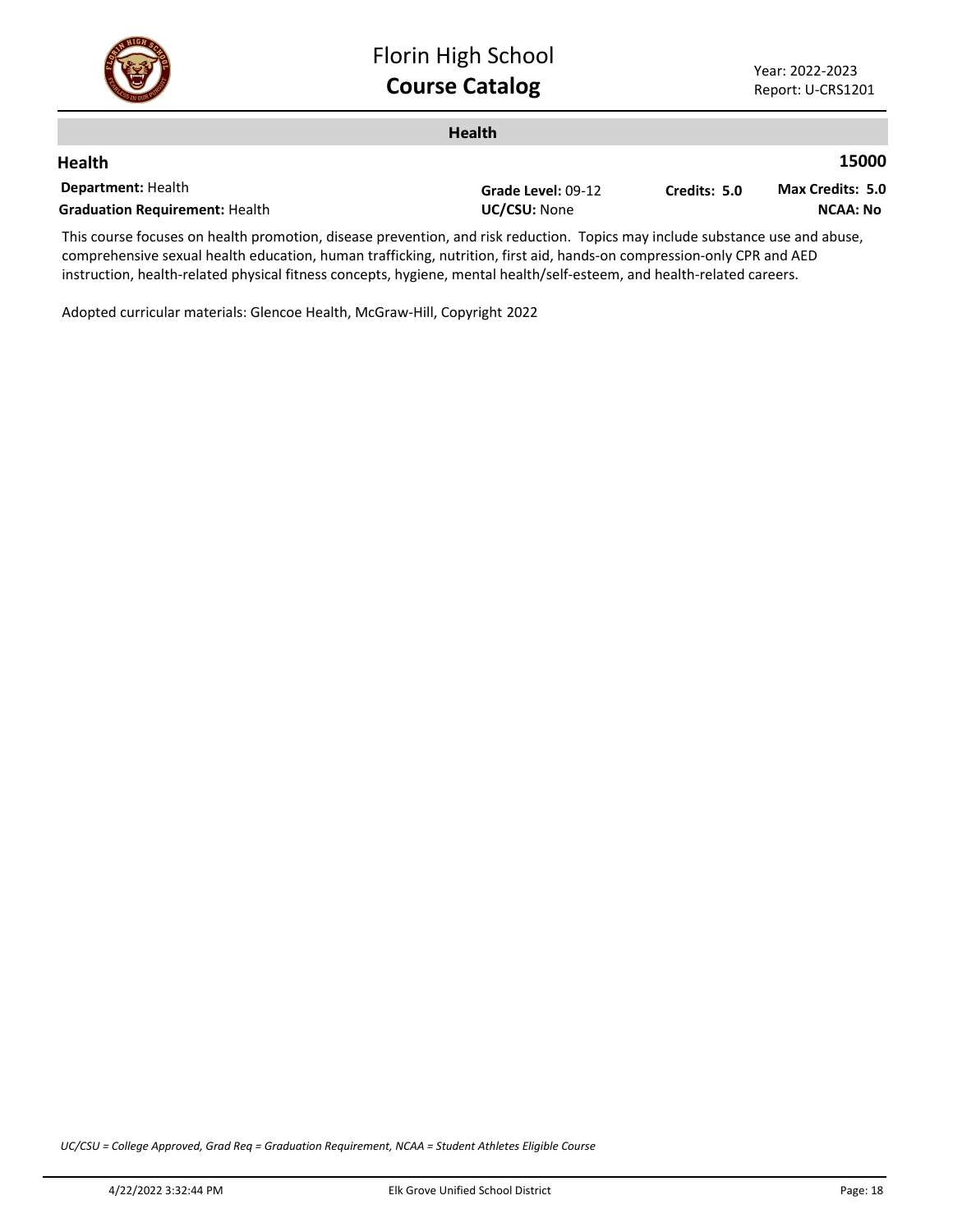

| <b>Health</b>                         |                    |              |                         |
|---------------------------------------|--------------------|--------------|-------------------------|
| <b>Health</b>                         |                    |              | 15000                   |
| <b>Department: Health</b>             | Grade Level: 09-12 | Credits: 5.0 | <b>Max Credits: 5.0</b> |
| <b>Graduation Requirement: Health</b> | UC/CSU: None       |              | NCAA: No                |
| $-1$                                  |                    |              |                         |

This course focuses on health promotion, disease prevention, and risk reduction. Topics may include substance use and abuse, comprehensive sexual health education, human trafficking, nutrition, first aid, hands-on compression-only CPR and AED instruction, health-related physical fitness concepts, hygiene, mental health/self-esteem, and health-related careers.

Adopted curricular materials: Glencoe Health, McGraw-Hill, Copyright 2022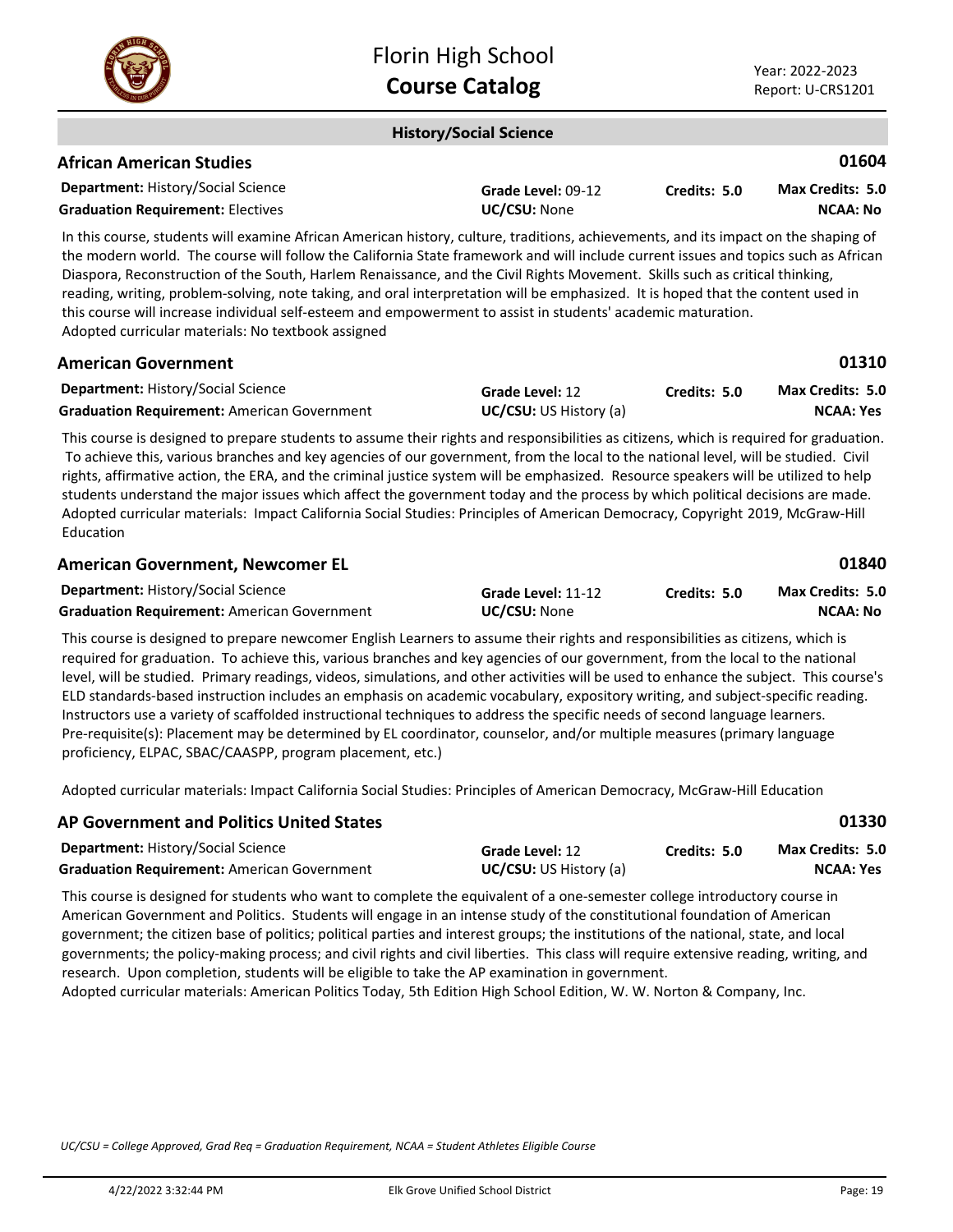

### **History/Social Science**

### **African American Studies**

| <b>Department: History/Social Science</b> | Grade Level: 09-12  | Credits: 5.0 | Max Credits: 5.0 |
|-------------------------------------------|---------------------|--------------|------------------|
| <b>Graduation Requirement: Electives</b>  | <b>UC/CSU:</b> None |              | <b>NCAA: No</b>  |

In this course, students will examine African American history, culture, traditions, achievements, and its impact on the shaping of the modern world. The course will follow the California State framework and will include current issues and topics such as African Diaspora, Reconstruction of the South, Harlem Renaissance, and the Civil Rights Movement. Skills such as critical thinking, reading, writing, problem-solving, note taking, and oral interpretation will be emphasized. It is hoped that the content used in this course will increase individual self-esteem and empowerment to assist in students' academic maturation. Adopted curricular materials: No textbook assigned

| <b>American Government</b>                         |                               |              | 01310                   |
|----------------------------------------------------|-------------------------------|--------------|-------------------------|
| <b>Department: History/Social Science</b>          | Grade Level: 12               | Credits: 5.0 | <b>Max Credits: 5.0</b> |
| <b>Graduation Requirement: American Government</b> | <b>UC/CSU:</b> US History (a) |              | NCAA: Yes               |

This course is designed to prepare students to assume their rights and responsibilities as citizens, which is required for graduation. To achieve this, various branches and key agencies of our government, from the local to the national level, will be studied. Civil rights, affirmative action, the ERA, and the criminal justice system will be emphasized. Resource speakers will be utilized to help students understand the major issues which affect the government today and the process by which political decisions are made. Adopted curricular materials: Impact California Social Studies: Principles of American Democracy, Copyright 2019, McGraw-Hill Education

| <b>American Government, Newcomer EL</b>            |                     |              | 01840            |
|----------------------------------------------------|---------------------|--------------|------------------|
| <b>Department: History/Social Science</b>          | Grade Level: 11-12  | Credits: 5.0 | Max Credits: 5.0 |
| <b>Graduation Requirement:</b> American Government | <b>UC/CSU: None</b> |              | NCAA: No         |

This course is designed to prepare newcomer English Learners to assume their rights and responsibilities as citizens, which is required for graduation. To achieve this, various branches and key agencies of our government, from the local to the national level, will be studied. Primary readings, videos, simulations, and other activities will be used to enhance the subject. This course's ELD standards-based instruction includes an emphasis on academic vocabulary, expository writing, and subject-specific reading. Instructors use a variety of scaffolded instructional techniques to address the specific needs of second language learners. Pre-requisite(s): Placement may be determined by EL coordinator, counselor, and/or multiple measures (primary language proficiency, ELPAC, SBAC/CAASPP, program placement, etc.)

Adopted curricular materials: Impact California Social Studies: Principles of American Democracy, McGraw-Hill Education

|                               |              | 01330            |
|-------------------------------|--------------|------------------|
| Grade Level: 12               | Credits: 5.0 | Max Credits: 5.0 |
| <b>UC/CSU:</b> US History (a) |              | NCAA: Yes        |
|                               |              |                  |

This course is designed for students who want to complete the equivalent of a one-semester college introductory course in American Government and Politics. Students will engage in an intense study of the constitutional foundation of American government; the citizen base of politics; political parties and interest groups; the institutions of the national, state, and local governments; the policy-making process; and civil rights and civil liberties. This class will require extensive reading, writing, and research. Upon completion, students will be eligible to take the AP examination in government.

Adopted curricular materials: American Politics Today, 5th Edition High School Edition, W. W. Norton & Company, Inc.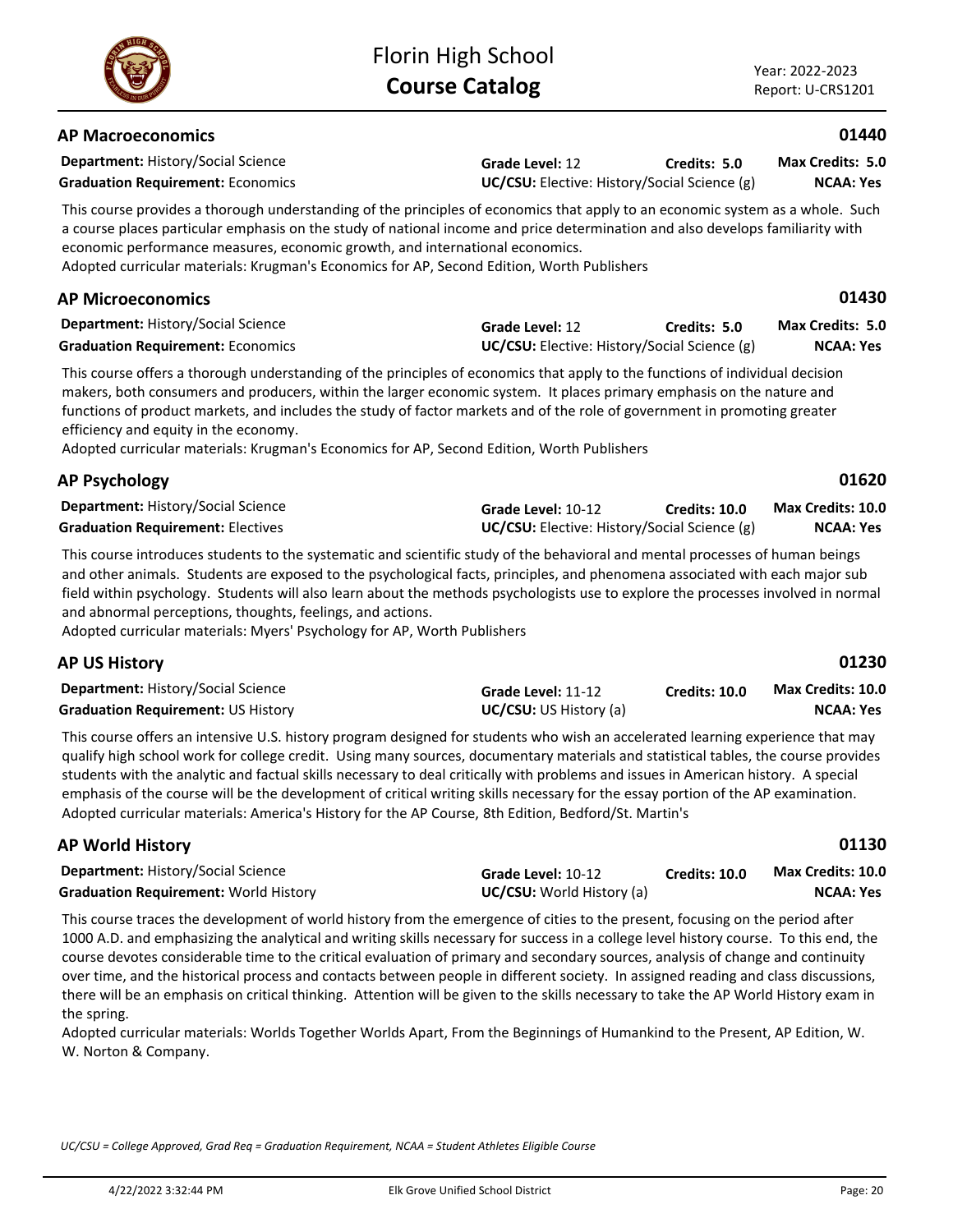**Credits: 5.0**

# **AP Macroeconomics**

**Department:** History/Social Science

**Graduation Requirement:** Economics **UC/CSU:** Elective: History/Social Science (g)

This course provides a thorough understanding of the principles of economics that apply to an economic system as a whole. Such a course places particular emphasis on the study of national income and price determination and also develops familiarity with economic performance measures, economic growth, and international economics.

**Grade Level:** 12

Adopted curricular materials: Krugman's Economics for AP, Second Edition, Worth Publishers

# **AP Microeconomics**

| <b>Department: History/Social Science</b> | Grade Level: 12                                     | Credits: 5.0 | Max Credits: 5.0 |
|-------------------------------------------|-----------------------------------------------------|--------------|------------------|
| <b>Graduation Requirement: Economics</b>  | <b>UC/CSU:</b> Elective: History/Social Science (g) |              | <b>NCAA: Yes</b> |

This course offers a thorough understanding of the principles of economics that apply to the functions of individual decision makers, both consumers and producers, within the larger economic system. It places primary emphasis on the nature and functions of product markets, and includes the study of factor markets and of the role of government in promoting greater efficiency and equity in the economy.

Adopted curricular materials: Krugman's Economics for AP, Second Edition, Worth Publishers

| <b>AP Psychology</b>                      |                                                     |               | 01620             |
|-------------------------------------------|-----------------------------------------------------|---------------|-------------------|
| <b>Department: History/Social Science</b> | Grade Level: 10-12                                  | Credits: 10.0 | Max Credits: 10.0 |
| <b>Graduation Requirement: Electives</b>  | <b>UC/CSU:</b> Elective: History/Social Science (g) |               | NCAA: Yes         |

This course introduces students to the systematic and scientific study of the behavioral and mental processes of human beings and other animals. Students are exposed to the psychological facts, principles, and phenomena associated with each major sub field within psychology. Students will also learn about the methods psychologists use to explore the processes involved in normal and abnormal perceptions, thoughts, feelings, and actions.

Adopted curricular materials: Myers' Psychology for AP, Worth Publishers

| <b>AP US History</b>                      |                               |               | 01230             |
|-------------------------------------------|-------------------------------|---------------|-------------------|
| <b>Department: History/Social Science</b> | Grade Level: 11-12            | Credits: 10.0 | Max Credits: 10.0 |
| <b>Graduation Requirement: US History</b> | <b>UC/CSU:</b> US History (a) |               | NCAA: Yes         |

This course offers an intensive U.S. history program designed for students who wish an accelerated learning experience that may qualify high school work for college credit. Using many sources, documentary materials and statistical tables, the course provides students with the analytic and factual skills necessary to deal critically with problems and issues in American history. A special emphasis of the course will be the development of critical writing skills necessary for the essay portion of the AP examination. Adopted curricular materials: America's History for the AP Course, 8th Edition, Bedford/St. Martin's

# **AP World History**

| <b>Department: History/Social Science</b>    | Grade Level: 10-12               | <b>Credits: 10.0</b> | <b>Max Credits: 10.0</b> |
|----------------------------------------------|----------------------------------|----------------------|--------------------------|
| <b>Graduation Requirement: World History</b> | <b>UC/CSU:</b> World History (a) |                      | NCAA: Yes                |

This course traces the development of world history from the emergence of cities to the present, focusing on the period after 1000 A.D. and emphasizing the analytical and writing skills necessary for success in a college level history course. To this end, the course devotes considerable time to the critical evaluation of primary and secondary sources, analysis of change and continuity over time, and the historical process and contacts between people in different society. In assigned reading and class discussions, there will be an emphasis on critical thinking. Attention will be given to the skills necessary to take the AP World History exam in the spring.

Adopted curricular materials: Worlds Together Worlds Apart, From the Beginnings of Humankind to the Present, AP Edition, W. W. Norton & Company.

*UC/CSU = College Approved, Grad Req = Graduation Requirement, NCAA = Student Athletes Eligible Course*

**01130**



**01440**

**NCAA: Yes Max Credits: 5.0**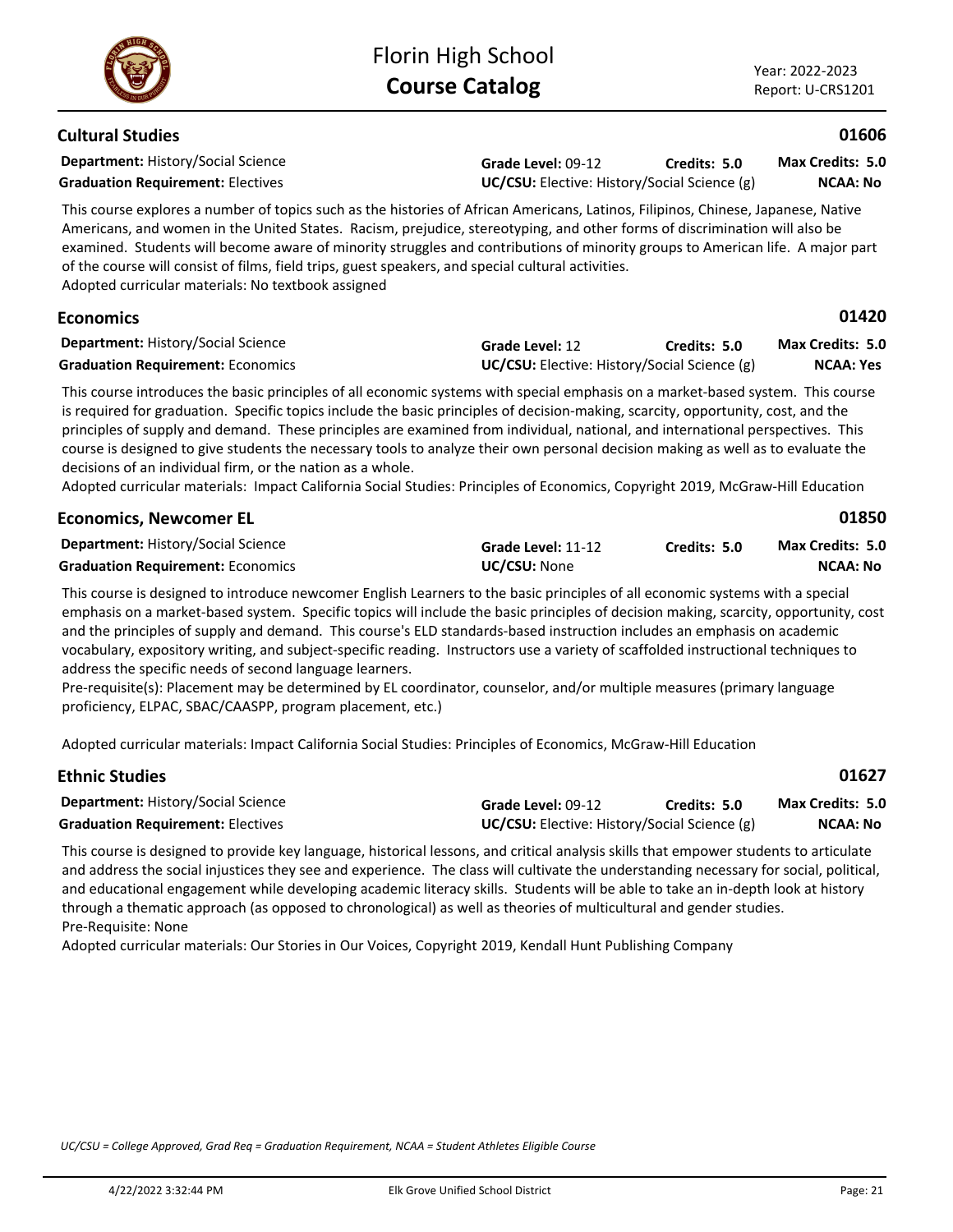### **Cultural Studies**

**Department:** History/Social Science

**Grade Level:** 09-12 **Graduation Requirement:** Electives **UC/CSU:** Elective: History/Social Science (g) **Credits: 5.0**

**NCAA: No Max Credits: 5.0**

**01606**

**01420**

**01850**

This course explores a number of topics such as the histories of African Americans, Latinos, Filipinos, Chinese, Japanese, Native Americans, and women in the United States. Racism, prejudice, stereotyping, and other forms of discrimination will also be examined. Students will become aware of minority struggles and contributions of minority groups to American life. A major part of the course will consist of films, field trips, guest speakers, and special cultural activities. Adopted curricular materials: No textbook assigned

# **Economics**

| <b>Department: History/Social Science</b> | <b>Grade Level: 12</b>                              | Credits: 5.0 | <b>Max Credits: 5.0</b> |
|-------------------------------------------|-----------------------------------------------------|--------------|-------------------------|
| <b>Graduation Requirement: Economics</b>  | <b>UC/CSU:</b> Elective: History/Social Science (g) |              | NCAA: Yes               |

This course introduces the basic principles of all economic systems with special emphasis on a market-based system. This course is required for graduation. Specific topics include the basic principles of decision-making, scarcity, opportunity, cost, and the principles of supply and demand. These principles are examined from individual, national, and international perspectives. This course is designed to give students the necessary tools to analyze their own personal decision making as well as to evaluate the decisions of an individual firm, or the nation as a whole.

Adopted curricular materials: Impact California Social Studies: Principles of Economics, Copyright 2019, McGraw-Hill Education

| <b>Economics, Newcomer EL</b>             |                     |              | 01850                   |
|-------------------------------------------|---------------------|--------------|-------------------------|
| <b>Department: History/Social Science</b> | Grade Level: 11-12  | Credits: 5.0 | <b>Max Credits: 5.0</b> |
| <b>Graduation Requirement: Economics</b>  | <b>UC/CSU: None</b> |              | NCAA: No                |

This course is designed to introduce newcomer English Learners to the basic principles of all economic systems with a special emphasis on a market-based system. Specific topics will include the basic principles of decision making, scarcity, opportunity, cost and the principles of supply and demand. This course's ELD standards-based instruction includes an emphasis on academic vocabulary, expository writing, and subject-specific reading. Instructors use a variety of scaffolded instructional techniques to address the specific needs of second language learners.

Pre-requisite(s): Placement may be determined by EL coordinator, counselor, and/or multiple measures (primary language proficiency, ELPAC, SBAC/CAASPP, program placement, etc.)

Adopted curricular materials: Impact California Social Studies: Principles of Economics, McGraw-Hill Education

| <b>Ethnic Studies</b>                     |                    |                                                     | 01627            |
|-------------------------------------------|--------------------|-----------------------------------------------------|------------------|
| <b>Department: History/Social Science</b> | Grade Level: 09-12 | Credits: 5.0                                        | Max Credits: 5.0 |
| <b>Graduation Requirement: Electives</b>  |                    | <b>UC/CSU:</b> Elective: History/Social Science (g) |                  |

This course is designed to provide key language, historical lessons, and critical analysis skills that empower students to articulate and address the social injustices they see and experience. The class will cultivate the understanding necessary for social, political, and educational engagement while developing academic literacy skills. Students will be able to take an in-depth look at history through a thematic approach (as opposed to chronological) as well as theories of multicultural and gender studies. Pre-Requisite: None

Adopted curricular materials: Our Stories in Our Voices, Copyright 2019, Kendall Hunt Publishing Company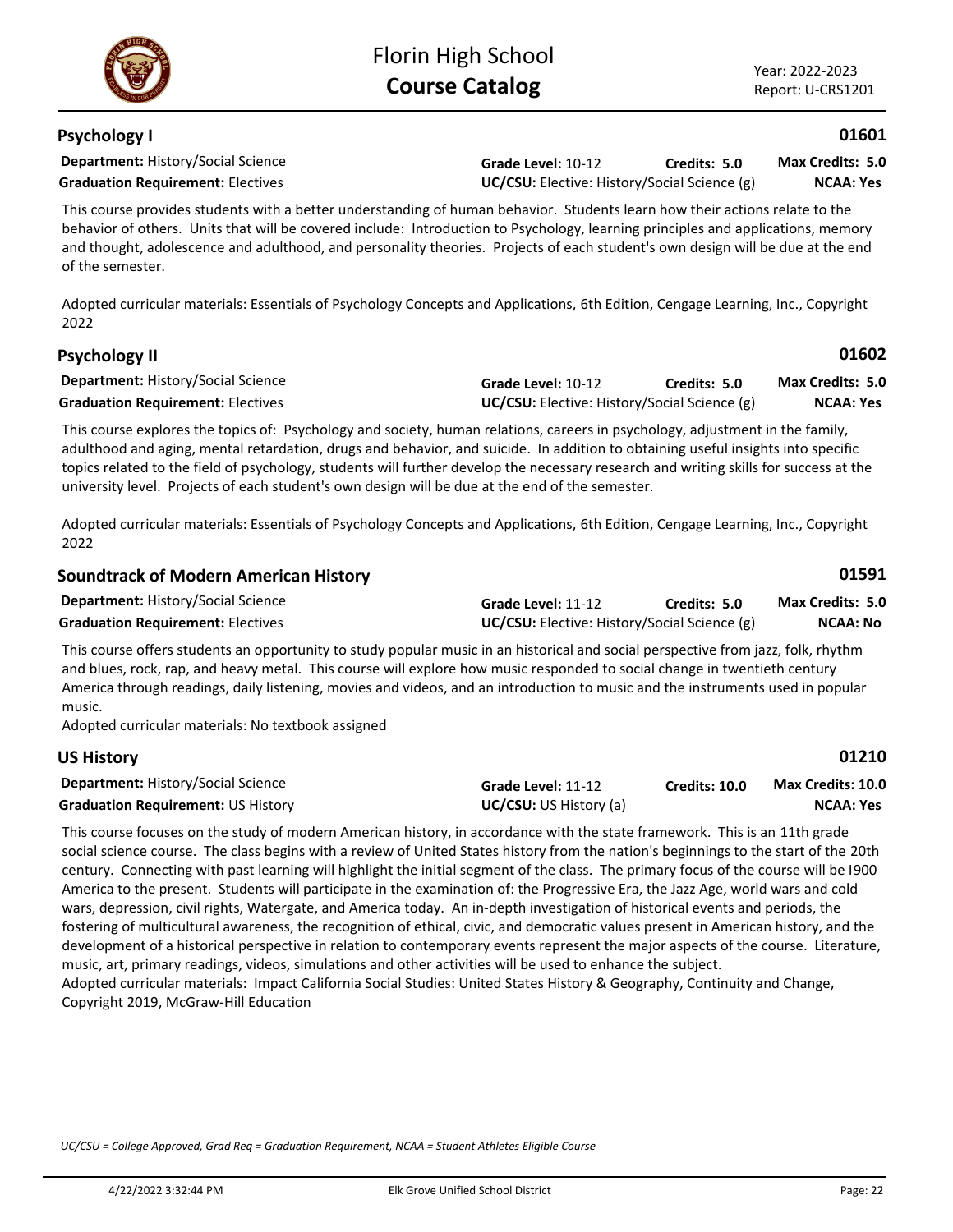*UC/CSU = College Approved, Grad Req = Graduation Requirement, NCAA = Student Athletes Eligible Course*

Adopted curricular materials: Essentials of Psychology Concepts and Applications, 6th Edition, Cengage Learning, Inc., Copyright 2022

| Soundtrack of Modern American History                                                                                          |                                                     |              | ULJJI            |
|--------------------------------------------------------------------------------------------------------------------------------|-----------------------------------------------------|--------------|------------------|
| <b>Department: History/Social Science</b>                                                                                      | Grade Level: 11-12                                  | Credits: 5.0 | Max Credits: 5.0 |
| <b>Graduation Requirement: Electives</b>                                                                                       | <b>UC/CSU:</b> Elective: History/Social Science (g) |              | NCAA: No         |
| ومطاويطات والمكروم والمستحدث والمستحم والمستحار والمستحا والمستحدث والمستحدث والمستحدث والمستحدث والمستحدث والمستحدث والمستحدث |                                                     |              |                  |

This course offers students an opportunity to study popular music in an historical and social perspective from jazz, folk, rhythm and blues, rock, rap, and heavy metal. This course will explore how music responded to social change in twentieth century America through readings, daily listening, movies and videos, and an introduction to music and the instruments used in popular music.

Adopted curricular materials: No textbook assigned

# **US History**

| <b>Department: History/Social Science</b> | Grade Level: 11-12            | <b>Credits: 10.0</b> | <b>Max Credits: 10.0</b> |
|-------------------------------------------|-------------------------------|----------------------|--------------------------|
| <b>Graduation Requirement: US History</b> | <b>UC/CSU:</b> US History (a) |                      | NCAA: Yes                |

This course focuses on the study of modern American history, in accordance with the state framework. This is an 11th grade social science course. The class begins with a review of United States history from the nation's beginnings to the start of the 20th century. Connecting with past learning will highlight the initial segment of the class. The primary focus of the course will be I900 America to the present. Students will participate in the examination of: the Progressive Era, the Jazz Age, world wars and cold wars, depression, civil rights, Watergate, and America today. An in-depth investigation of historical events and periods, the fostering of multicultural awareness, the recognition of ethical, civic, and democratic values present in American history, and the development of a historical perspective in relation to contemporary events represent the major aspects of the course. Literature, music, art, primary readings, videos, simulations and other activities will be used to enhance the subject. Adopted curricular materials: Impact California Social Studies: United States History & Geography, Continuity and Change, Copyright 2019, McGraw-Hill Education

Florin High School **Course Catalog**

# **Psychology I**

**Department:** History/Social Science

This course provides students with a better understanding of human behavior. Students learn how their actions relate to the behavior of others. Units that will be covered include: Introduction to Psychology, learning principles and applications, memory and thought, adolescence and adulthood, and personality theories. Projects of each student's own design will be due at the end of the semester.

Adopted curricular materials: Essentials of Psychology Concepts and Applications, 6th Edition, Cengage Learning, Inc., Copyright 2022

### **Department:** History/Social Science **Psychology II Grade Level:** 10-12 **Graduation Requirement:** Electives **UC/CSU:** Elective: History/Social Science (g) **Credits: 5.0 NCAA: Yes Max Credits: 5.0**

adulthood and aging, mental retardation, drugs and behavior, and suicide. In addition to obtaining useful insights into specific topics related to the field of psychology, students will further develop the necessary research and writing skills for success at the university level. Projects of each student's own design will be due at the end of the semester.

This course explores the topics of: Psychology and society, human relations, careers in psychology, adjustment in the family,

| <b>Soundtrack of Modern American History</b>                                                                                    |                                                     |              | 01591                   |
|---------------------------------------------------------------------------------------------------------------------------------|-----------------------------------------------------|--------------|-------------------------|
| <b>Department: History/Social Science</b>                                                                                       | Grade Level: 11-12                                  | Credits: 5.0 | <b>Max Credits: 5.0</b> |
| <b>Graduation Requirement: Electives</b>                                                                                        | <b>UC/CSU:</b> Elective: History/Social Science (g) |              | NCAA: No                |
| This course offers students an opportunity to study popular music in an historical and social perspective from jazz folk rhythm |                                                     |              |                         |

**Grade Level:** 10-12 **Graduation Requirement:** Electives **UC/CSU:** Elective: History/Social Science (g) **Credits: 5.0 Max Credits: 5.0**

**NCAA: Yes**

**01601**

**01602**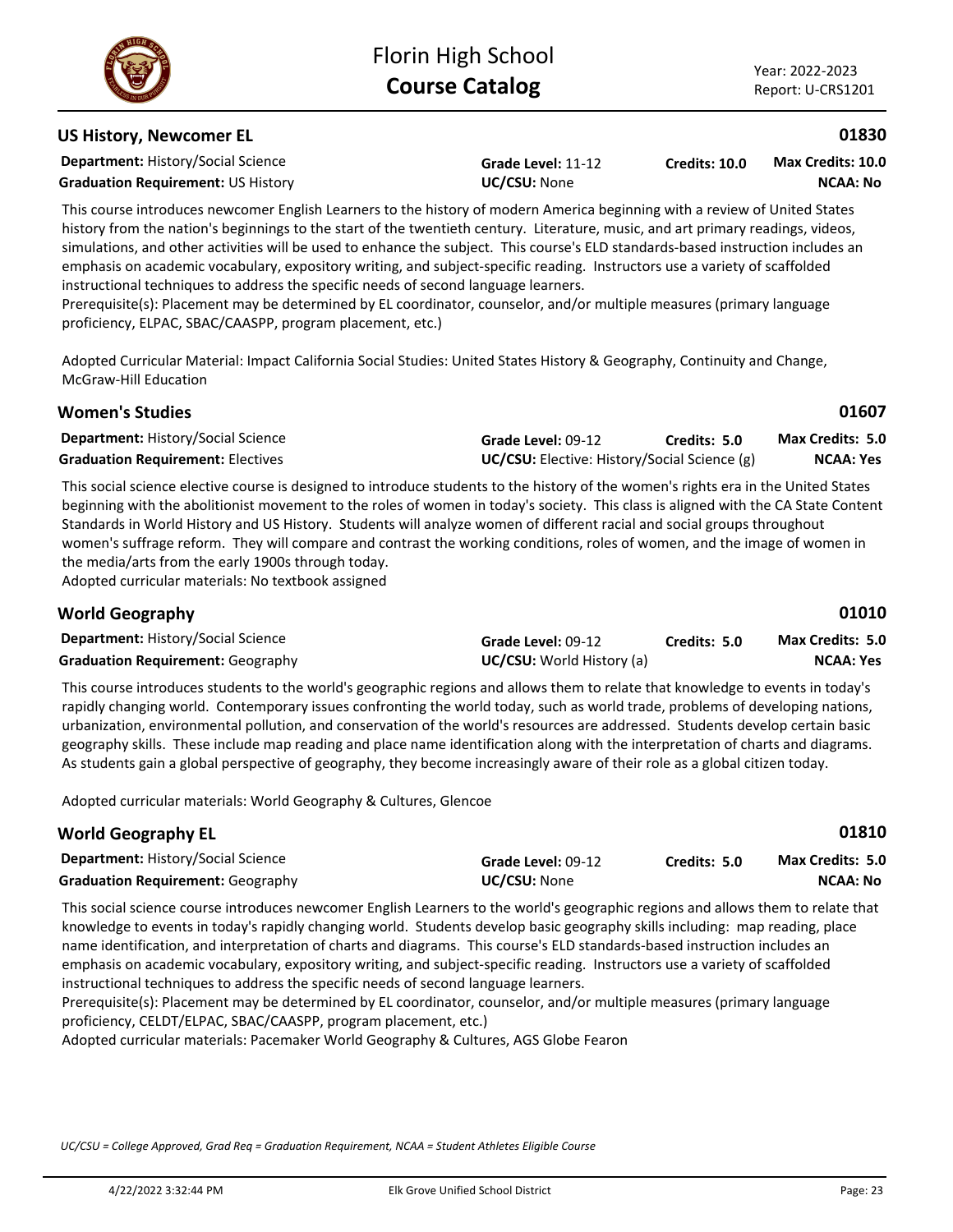# **US History, Newcomer EL**

**Department:** History/Social Science

**Graduation Requirement:** US History **UC/CSU:** None

This course introduces newcomer English Learners to the history of modern America beginning with a review of United States history from the nation's beginnings to the start of the twentieth century. Literature, music, and art primary readings, videos, simulations, and other activities will be used to enhance the subject. This course's ELD standards-based instruction includes an emphasis on academic vocabulary, expository writing, and subject-specific reading. Instructors use a variety of scaffolded instructional techniques to address the specific needs of second language learners.

**Grade Level:** 11-12

Prerequisite(s): Placement may be determined by EL coordinator, counselor, and/or multiple measures (primary language proficiency, ELPAC, SBAC/CAASPP, program placement, etc.)

Adopted Curricular Material: Impact California Social Studies: United States History & Geography, Continuity and Change, McGraw-Hill Education

| <b>Women's Studies</b>                    |                                                     |              | 01607                   |
|-------------------------------------------|-----------------------------------------------------|--------------|-------------------------|
| <b>Department: History/Social Science</b> | Grade Level: 09-12                                  | Credits: 5.0 | <b>Max Credits: 5.0</b> |
| <b>Graduation Requirement: Electives</b>  | <b>UC/CSU:</b> Elective: History/Social Science (g) |              | <b>NCAA: Yes</b>        |

This social science elective course is designed to introduce students to the history of the women's rights era in the United States beginning with the abolitionist movement to the roles of women in today's society. This class is aligned with the CA State Content Standards in World History and US History. Students will analyze women of different racial and social groups throughout women's suffrage reform. They will compare and contrast the working conditions, roles of women, and the image of women in the media/arts from the early 1900s through today. Adopted curricular materials: No textbook assigned

| <b>World Geography</b>                    |                                  |              | 01010            |
|-------------------------------------------|----------------------------------|--------------|------------------|
| <b>Department: History/Social Science</b> | Grade Level: 09-12               | Credits: 5.0 | Max Credits: 5.0 |
| <b>Graduation Requirement: Geography</b>  | <b>UC/CSU:</b> World History (a) |              | NCAA: Yes        |

This course introduces students to the world's geographic regions and allows them to relate that knowledge to events in today's rapidly changing world. Contemporary issues confronting the world today, such as world trade, problems of developing nations, urbanization, environmental pollution, and conservation of the world's resources are addressed. Students develop certain basic geography skills. These include map reading and place name identification along with the interpretation of charts and diagrams. As students gain a global perspective of geography, they become increasingly aware of their role as a global citizen today.

Adopted curricular materials: World Geography & Cultures, Glencoe

| <b>World Geography EL</b>                 |                     |              | 01810                   |
|-------------------------------------------|---------------------|--------------|-------------------------|
| <b>Department: History/Social Science</b> | Grade Level: 09-12  | Credits: 5.0 | <b>Max Credits: 5.0</b> |
| <b>Graduation Requirement: Geography</b>  | <b>UC/CSU:</b> None |              | NCAA: No                |

This social science course introduces newcomer English Learners to the world's geographic regions and allows them to relate that knowledge to events in today's rapidly changing world. Students develop basic geography skills including: map reading, place name identification, and interpretation of charts and diagrams. This course's ELD standards-based instruction includes an emphasis on academic vocabulary, expository writing, and subject-specific reading. Instructors use a variety of scaffolded instructional techniques to address the specific needs of second language learners.

Prerequisite(s): Placement may be determined by EL coordinator, counselor, and/or multiple measures (primary language proficiency, CELDT/ELPAC, SBAC/CAASPP, program placement, etc.)

Adopted curricular materials: Pacemaker World Geography & Cultures, AGS Globe Fearon

*UC/CSU = College Approved, Grad Req = Graduation Requirement, NCAA = Student Athletes Eligible Course*

**Credits: 10.0**



**01830**

**NCAA: No Max Credits: 10.0**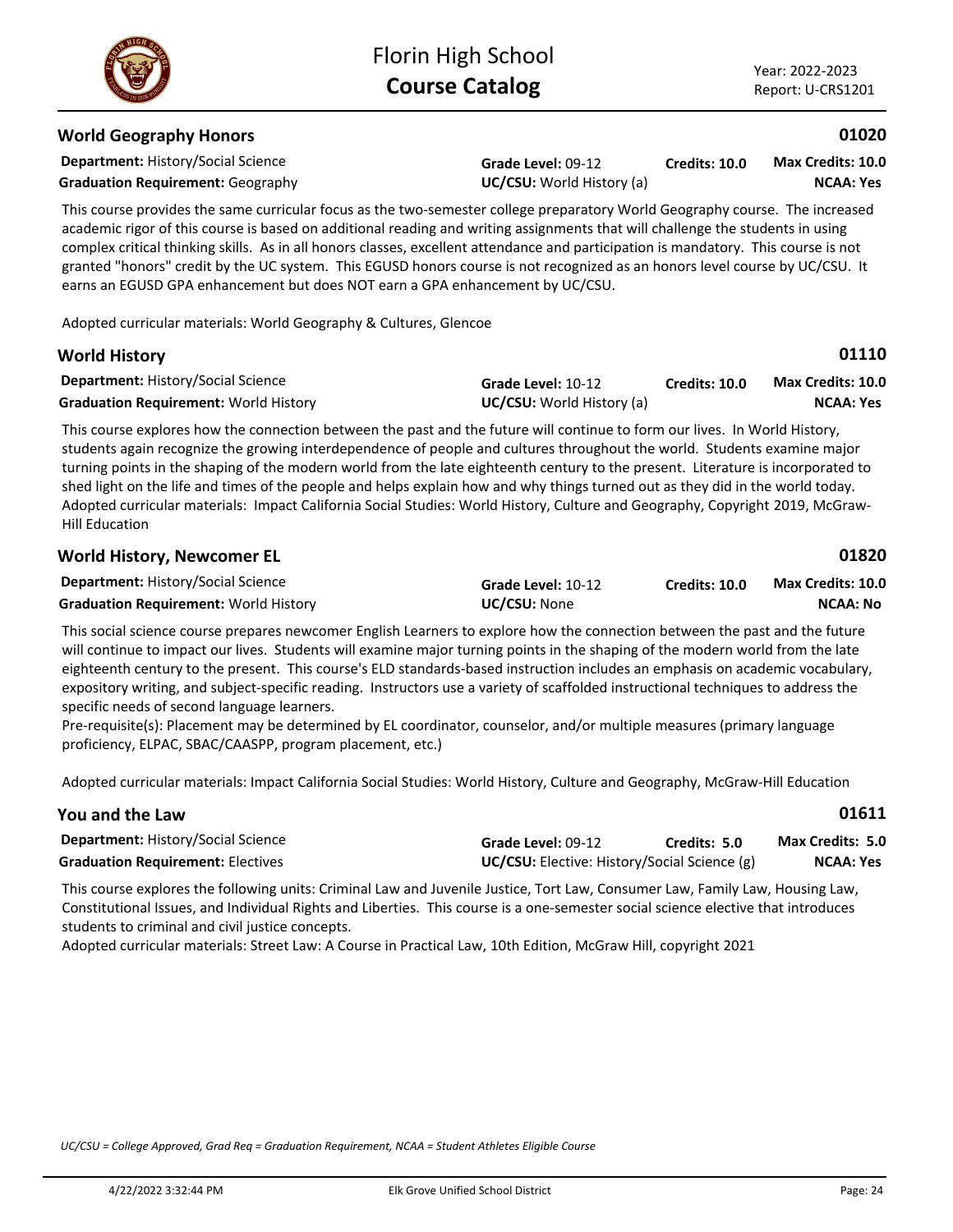**01110**

### **World Geography Honors**

**Department:** History/Social Science

**Graduation Requirement:** Geography **UC/CSU:** World History (a)

**Grade Level:** 09-12

**Credits: 10.0 NCAA: Yes Max Credits: 10.0**

This course provides the same curricular focus as the two-semester college preparatory World Geography course. The increased academic rigor of this course is based on additional reading and writing assignments that will challenge the students in using complex critical thinking skills. As in all honors classes, excellent attendance and participation is mandatory. This course is not granted "honors" credit by the UC system. This EGUSD honors course is not recognized as an honors level course by UC/CSU. It earns an EGUSD GPA enhancement but does NOT earn a GPA enhancement by UC/CSU.

Adopted curricular materials: World Geography & Cultures, Glencoe

### **World History**

| <b>Department: History/Social Science</b>    | Grade Level: 10-12               | <b>Credits: 10.0</b> | <b>Max Credits: 10.0</b> |
|----------------------------------------------|----------------------------------|----------------------|--------------------------|
| <b>Graduation Requirement: World History</b> | <b>UC/CSU:</b> World History (a) |                      | NCAA: Yes                |

This course explores how the connection between the past and the future will continue to form our lives. In World History, students again recognize the growing interdependence of people and cultures throughout the world. Students examine major turning points in the shaping of the modern world from the late eighteenth century to the present. Literature is incorporated to shed light on the life and times of the people and helps explain how and why things turned out as they did in the world today. Adopted curricular materials: Impact California Social Studies: World History, Culture and Geography, Copyright 2019, McGraw-Hill Education

| <b>World History, Newcomer EL</b>            |                     |               | 01820             |  |
|----------------------------------------------|---------------------|---------------|-------------------|--|
| <b>Department: History/Social Science</b>    | Grade Level: 10-12  | Credits: 10.0 | Max Credits: 10.0 |  |
| <b>Graduation Requirement: World History</b> | <b>UC/CSU:</b> None |               | NCAA: No          |  |

This social science course prepares newcomer English Learners to explore how the connection between the past and the future will continue to impact our lives. Students will examine major turning points in the shaping of the modern world from the late eighteenth century to the present. This course's ELD standards-based instruction includes an emphasis on academic vocabulary, expository writing, and subject-specific reading. Instructors use a variety of scaffolded instructional techniques to address the specific needs of second language learners.

Pre-requisite(s): Placement may be determined by EL coordinator, counselor, and/or multiple measures (primary language proficiency, ELPAC, SBAC/CAASPP, program placement, etc.)

Adopted curricular materials: Impact California Social Studies: World History, Culture and Geography, McGraw-Hill Education

| You and the Law                           |                    |                                                     | 01611                   |  |
|-------------------------------------------|--------------------|-----------------------------------------------------|-------------------------|--|
| <b>Department: History/Social Science</b> | Grade Level: 09-12 | Credits: 5.0                                        | <b>Max Credits: 5.0</b> |  |
| <b>Graduation Requirement: Electives</b>  |                    | <b>UC/CSU:</b> Elective: History/Social Science (g) |                         |  |

This course explores the following units: Criminal Law and Juvenile Justice, Tort Law, Consumer Law, Family Law, Housing Law, Constitutional Issues, and Individual Rights and Liberties. This course is a one-semester social science elective that introduces students to criminal and civil justice concepts.

Adopted curricular materials: Street Law: A Course in Practical Law, 10th Edition, McGraw Hill, copyright 2021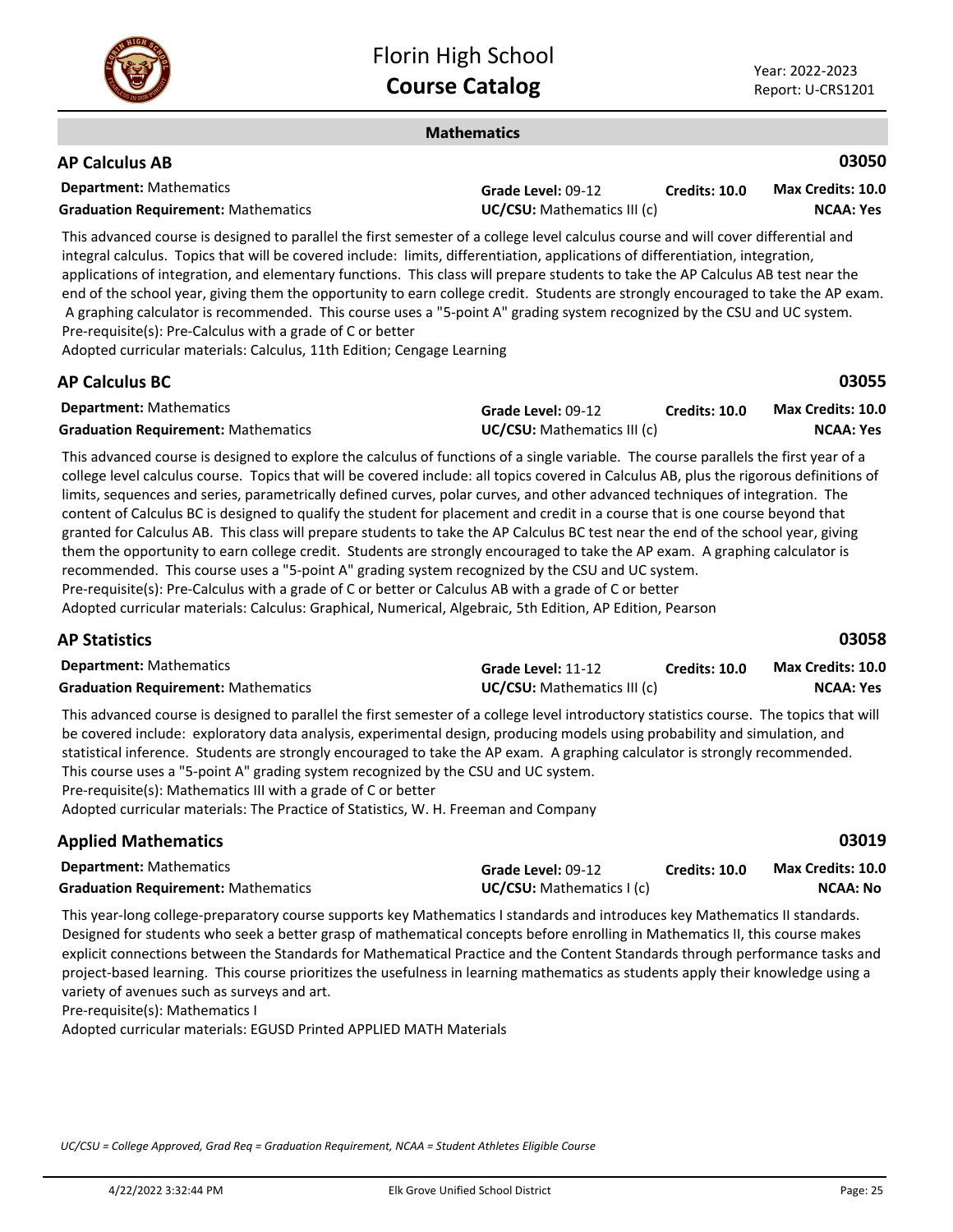

### **Mathematics**

| <b>AP Calculus AB</b>                      |                                    |               | 03050             |
|--------------------------------------------|------------------------------------|---------------|-------------------|
| <b>Department:</b> Mathematics             | Grade Level: 09-12                 | Credits: 10.0 | Max Credits: 10.0 |
| <b>Graduation Requirement: Mathematics</b> | <b>UC/CSU:</b> Mathematics III (c) |               | <b>NCAA: Yes</b>  |

This advanced course is designed to parallel the first semester of a college level calculus course and will cover differential and integral calculus. Topics that will be covered include: limits, differentiation, applications of differentiation, integration, applications of integration, and elementary functions. This class will prepare students to take the AP Calculus AB test near the end of the school year, giving them the opportunity to earn college credit. Students are strongly encouraged to take the AP exam. A graphing calculator is recommended. This course uses a "5-point A" grading system recognized by the CSU and UC system. Pre-requisite(s): Pre-Calculus with a grade of C or better

Adopted curricular materials: Calculus, 11th Edition; Cengage Learning

| <b>AP Calculus BC</b>                      |                                    |                      | 03055                    |
|--------------------------------------------|------------------------------------|----------------------|--------------------------|
| <b>Department:</b> Mathematics             | Grade Level: 09-12                 | <b>Credits: 10.0</b> | <b>Max Credits: 10.0</b> |
| <b>Graduation Requirement: Mathematics</b> | <b>UC/CSU:</b> Mathematics III (c) |                      | NCAA: Yes                |

This advanced course is designed to explore the calculus of functions of a single variable. The course parallels the first year of a college level calculus course. Topics that will be covered include: all topics covered in Calculus AB, plus the rigorous definitions of limits, sequences and series, parametrically defined curves, polar curves, and other advanced techniques of integration. The content of Calculus BC is designed to qualify the student for placement and credit in a course that is one course beyond that granted for Calculus AB. This class will prepare students to take the AP Calculus BC test near the end of the school year, giving them the opportunity to earn college credit. Students are strongly encouraged to take the AP exam. A graphing calculator is recommended. This course uses a "5-point A" grading system recognized by the CSU and UC system. Pre-requisite(s): Pre-Calculus with a grade of C or better or Calculus AB with a grade of C or better Adopted curricular materials: Calculus: Graphical, Numerical, Algebraic, 5th Edition, AP Edition, Pearson

### **AP Statistics**

| <b>Department:</b> Mathematics             | Grade Level: 11-12                 | <b>Credits: 10.0</b> | <b>Max Credits: 10.0</b> |
|--------------------------------------------|------------------------------------|----------------------|--------------------------|
| <b>Graduation Requirement: Mathematics</b> | <b>UC/CSU:</b> Mathematics III (c) |                      | <b>NCAA: Yes</b>         |

This advanced course is designed to parallel the first semester of a college level introductory statistics course. The topics that will be covered include: exploratory data analysis, experimental design, producing models using probability and simulation, and statistical inference. Students are strongly encouraged to take the AP exam. A graphing calculator is strongly recommended. This course uses a "5-point A" grading system recognized by the CSU and UC system. Pre-requisite(s): Mathematics III with a grade of C or better

Adopted curricular materials: The Practice of Statistics, W. H. Freeman and Company

### **Applied Mathematics**

| <b>Department:</b> Mathematics             | Grade Level: 09-12       | <b>Credits: 10.0</b> | <b>Max Credits: 10.0</b> |
|--------------------------------------------|--------------------------|----------------------|--------------------------|
| <b>Graduation Requirement: Mathematics</b> | UC/CSU: Mathematics I(c) |                      | NCAA: No                 |

This year-long college-preparatory course supports key Mathematics I standards and introduces key Mathematics II standards. Designed for students who seek a better grasp of mathematical concepts before enrolling in Mathematics II, this course makes explicit connections between the Standards for Mathematical Practice and the Content Standards through performance tasks and project-based learning. This course prioritizes the usefulness in learning mathematics as students apply their knowledge using a variety of avenues such as surveys and art.

Pre-requisite(s): Mathematics I

Adopted curricular materials: EGUSD Printed APPLIED MATH Materials

*UC/CSU = College Approved, Grad Req = Graduation Requirement, NCAA = Student Athletes Eligible Course*

**03058**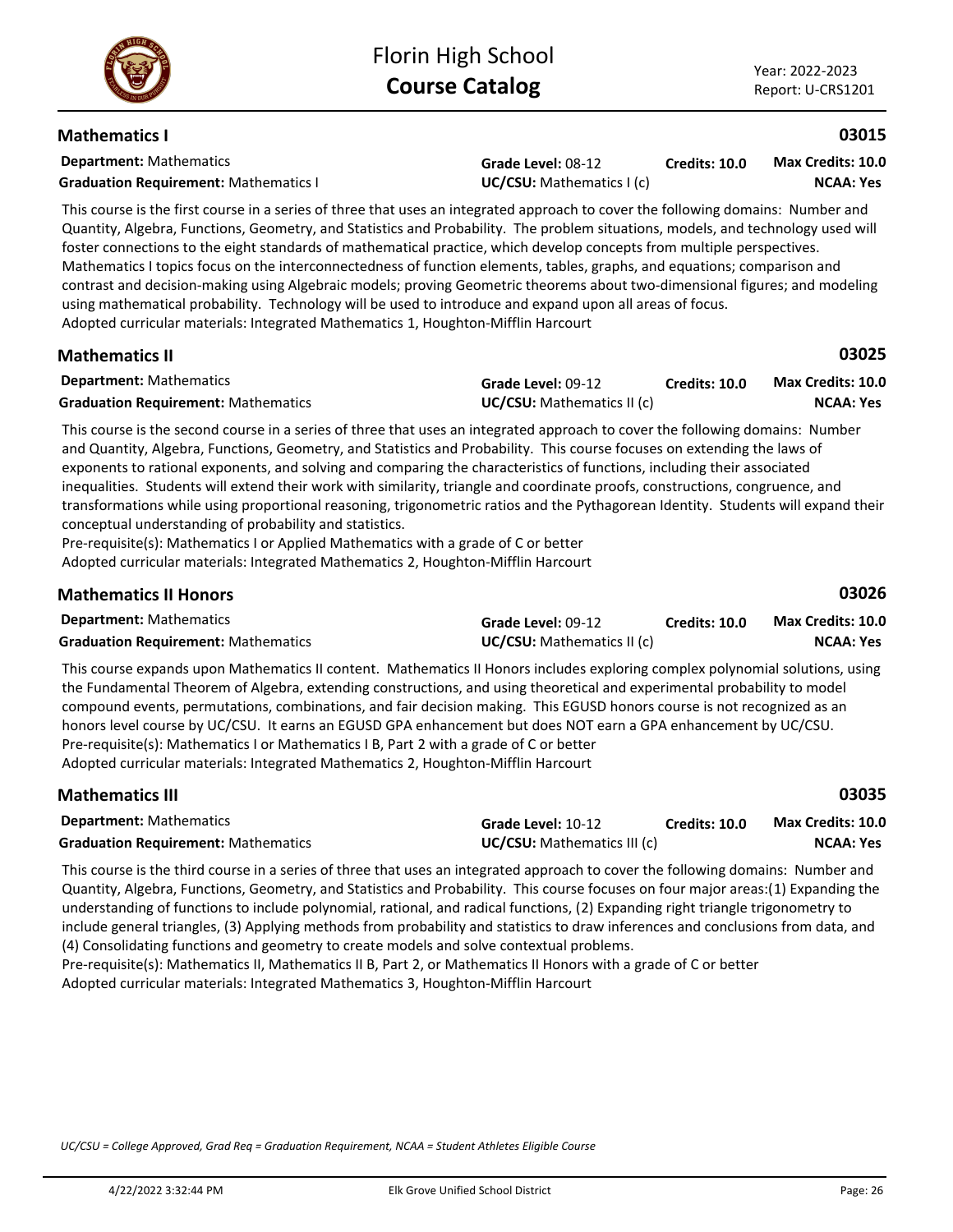### **Mathematics I**

**Department:** Mathematics

**Grade Level:** 08-12 **Graduation Requirement:** Mathematics I **UC/CSU:** Mathematics I (c)

**Credits: 10.0 NCAA: Yes Max Credits: 10.0**

This course is the first course in a series of three that uses an integrated approach to cover the following domains: Number and Quantity, Algebra, Functions, Geometry, and Statistics and Probability. The problem situations, models, and technology used will foster connections to the eight standards of mathematical practice, which develop concepts from multiple perspectives. Mathematics I topics focus on the interconnectedness of function elements, tables, graphs, and equations; comparison and contrast and decision-making using Algebraic models; proving Geometric theorems about two-dimensional figures; and modeling using mathematical probability. Technology will be used to introduce and expand upon all areas of focus. Adopted curricular materials: Integrated Mathematics 1, Houghton-Mifflin Harcourt

| <b>Mathematics II</b>                      |                                   |                      | 03025                    |
|--------------------------------------------|-----------------------------------|----------------------|--------------------------|
| <b>Department:</b> Mathematics             | Grade Level: 09-12                | <b>Credits: 10.0</b> | <b>Max Credits: 10.0</b> |
| <b>Graduation Requirement: Mathematics</b> | <b>UC/CSU:</b> Mathematics II (c) |                      | NCAA: Yes                |

This course is the second course in a series of three that uses an integrated approach to cover the following domains: Number and Quantity, Algebra, Functions, Geometry, and Statistics and Probability. This course focuses on extending the laws of exponents to rational exponents, and solving and comparing the characteristics of functions, including their associated inequalities. Students will extend their work with similarity, triangle and coordinate proofs, constructions, congruence, and transformations while using proportional reasoning, trigonometric ratios and the Pythagorean Identity. Students will expand their conceptual understanding of probability and statistics.

Pre-requisite(s): Mathematics I or Applied Mathematics with a grade of C or better Adopted curricular materials: Integrated Mathematics 2, Houghton-Mifflin Harcourt

| <b>Mathematics II Honors</b>               |                                   |                      | 03026                    |
|--------------------------------------------|-----------------------------------|----------------------|--------------------------|
| <b>Department:</b> Mathematics             | Grade Level: 09-12                | <b>Credits: 10.0</b> | <b>Max Credits: 10.0</b> |
| <b>Graduation Requirement: Mathematics</b> | <b>UC/CSU:</b> Mathematics II (c) |                      | <b>NCAA: Yes</b>         |
|                                            |                                   |                      |                          |

This course expands upon Mathematics II content. Mathematics II Honors includes exploring complex polynomial solutions, using the Fundamental Theorem of Algebra, extending constructions, and using theoretical and experimental probability to model compound events, permutations, combinations, and fair decision making. This EGUSD honors course is not recognized as an honors level course by UC/CSU. It earns an EGUSD GPA enhancement but does NOT earn a GPA enhancement by UC/CSU. Pre-requisite(s): Mathematics I or Mathematics I B, Part 2 with a grade of C or better Adopted curricular materials: Integrated Mathematics 2, Houghton-Mifflin Harcourt

| <b>Mathematics III</b>                                                                                                                 |                                    |                      | 03035             |  |
|----------------------------------------------------------------------------------------------------------------------------------------|------------------------------------|----------------------|-------------------|--|
| <b>Department:</b> Mathematics                                                                                                         | Grade Level: 10-12                 | <b>Credits: 10.0</b> | Max Credits: 10.0 |  |
| <b>Graduation Requirement: Mathematics</b>                                                                                             | <b>UC/CSU:</b> Mathematics III (c) |                      | <b>NCAA: Yes</b>  |  |
| This expected to the third expected in a sector of those that process integrated expressed to consider following dependent Musches and |                                    |                      |                   |  |

This course is the third course in a series of three that uses an integrated approach to cover the following domains: Number and Quantity, Algebra, Functions, Geometry, and Statistics and Probability. This course focuses on four major areas:(1) Expanding the understanding of functions to include polynomial, rational, and radical functions, (2) Expanding right triangle trigonometry to include general triangles, (3) Applying methods from probability and statistics to draw inferences and conclusions from data, and (4) Consolidating functions and geometry to create models and solve contextual problems.

Pre-requisite(s): Mathematics II, Mathematics II B, Part 2, or Mathematics II Honors with a grade of C or better Adopted curricular materials: Integrated Mathematics 3, Houghton-Mifflin Harcourt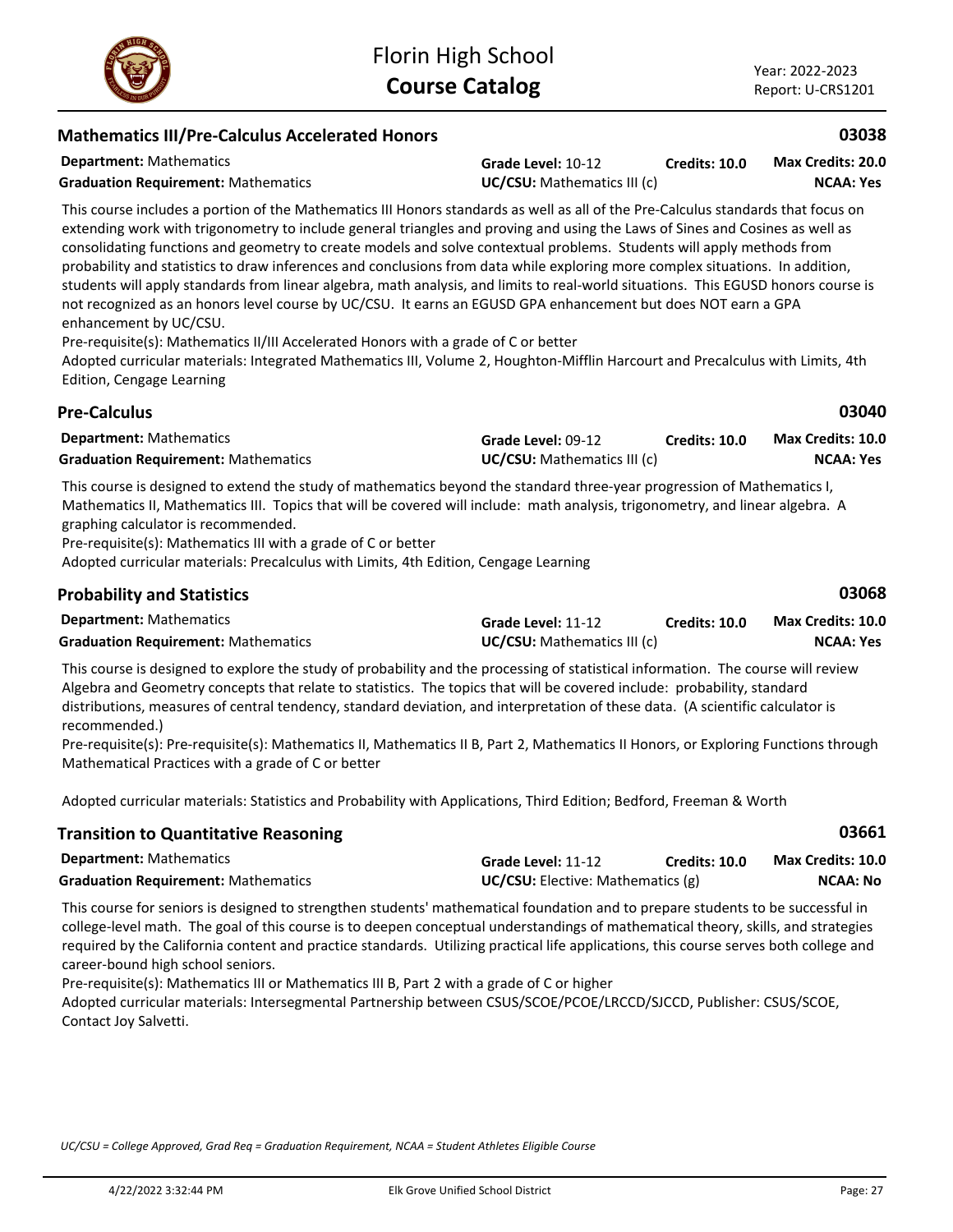| <b>Mathematics III/Pre-Calculus Accelerated Honors</b>                                                                                                                                                                                                                                                                                                                                                                                                                                                                                                                                                                                                                                                                                                                                                                                                                                                                                                                                                                                                             |                                                   |                      | 03038                                        |
|--------------------------------------------------------------------------------------------------------------------------------------------------------------------------------------------------------------------------------------------------------------------------------------------------------------------------------------------------------------------------------------------------------------------------------------------------------------------------------------------------------------------------------------------------------------------------------------------------------------------------------------------------------------------------------------------------------------------------------------------------------------------------------------------------------------------------------------------------------------------------------------------------------------------------------------------------------------------------------------------------------------------------------------------------------------------|---------------------------------------------------|----------------------|----------------------------------------------|
| <b>Department: Mathematics</b><br><b>Graduation Requirement: Mathematics</b>                                                                                                                                                                                                                                                                                                                                                                                                                                                                                                                                                                                                                                                                                                                                                                                                                                                                                                                                                                                       | Grade Level: 10-12<br>UC/CSU: Mathematics III (c) | <b>Credits: 10.0</b> | Max Credits: 20.0<br><b>NCAA: Yes</b>        |
| This course includes a portion of the Mathematics III Honors standards as well as all of the Pre-Calculus standards that focus on<br>extending work with trigonometry to include general triangles and proving and using the Laws of Sines and Cosines as well as<br>consolidating functions and geometry to create models and solve contextual problems. Students will apply methods from<br>probability and statistics to draw inferences and conclusions from data while exploring more complex situations. In addition,<br>students will apply standards from linear algebra, math analysis, and limits to real-world situations. This EGUSD honors course is<br>not recognized as an honors level course by UC/CSU. It earns an EGUSD GPA enhancement but does NOT earn a GPA<br>enhancement by UC/CSU.<br>Pre-requisite(s): Mathematics II/III Accelerated Honors with a grade of C or better<br>Adopted curricular materials: Integrated Mathematics III, Volume 2, Houghton-Mifflin Harcourt and Precalculus with Limits, 4th<br>Edition, Cengage Learning |                                                   |                      |                                              |
| <b>Pre-Calculus</b>                                                                                                                                                                                                                                                                                                                                                                                                                                                                                                                                                                                                                                                                                                                                                                                                                                                                                                                                                                                                                                                |                                                   |                      | 03040                                        |
| <b>Department: Mathematics</b><br><b>Graduation Requirement: Mathematics</b>                                                                                                                                                                                                                                                                                                                                                                                                                                                                                                                                                                                                                                                                                                                                                                                                                                                                                                                                                                                       | Grade Level: 09-12<br>UC/CSU: Mathematics III (c) | Credits: 10.0        | <b>Max Credits: 10.0</b><br><b>NCAA: Yes</b> |
| This course is designed to extend the study of mathematics beyond the standard three-year progression of Mathematics I,<br>Mathematics II, Mathematics III. Topics that will be covered will include: math analysis, trigonometry, and linear algebra. A<br>graphing calculator is recommended.<br>Pre-requisite(s): Mathematics III with a grade of C or better<br>Adopted curricular materials: Precalculus with Limits, 4th Edition, Cengage Learning                                                                                                                                                                                                                                                                                                                                                                                                                                                                                                                                                                                                           |                                                   |                      |                                              |
| <b>Probability and Statistics</b>                                                                                                                                                                                                                                                                                                                                                                                                                                                                                                                                                                                                                                                                                                                                                                                                                                                                                                                                                                                                                                  |                                                   |                      | 03068                                        |
| <b>Department: Mathematics</b><br><b>Graduation Requirement: Mathematics</b>                                                                                                                                                                                                                                                                                                                                                                                                                                                                                                                                                                                                                                                                                                                                                                                                                                                                                                                                                                                       | Grade Level: 11-12<br>UC/CSU: Mathematics III (c) | Credits: 10.0        | <b>Max Credits: 10.0</b><br><b>NCAA: Yes</b> |

This course is designed to explore the study of probability and the processing of statistical information. The course will review Algebra and Geometry concepts that relate to statistics. The topics that will be covered include: probability, standard distributions, measures of central tendency, standard deviation, and interpretation of these data. (A scientific calculator is recommended.)

Pre-requisite(s): Pre-requisite(s): Mathematics II, Mathematics II B, Part 2, Mathematics II Honors, or Exploring Functions through Mathematical Practices with a grade of C or better

Adopted curricular materials: Statistics and Probability with Applications, Third Edition; Bedford, Freeman & Worth

| <b>Transition to Quantitative Reasoning</b> |                                          |               | 03661                    |
|---------------------------------------------|------------------------------------------|---------------|--------------------------|
| <b>Department:</b> Mathematics              | Grade Level: 11-12                       | Credits: 10.0 | <b>Max Credits: 10.0</b> |
| <b>Graduation Requirement: Mathematics</b>  | <b>UC/CSU:</b> Elective: Mathematics (g) |               | NCAA: No                 |

This course for seniors is designed to strengthen students' mathematical foundation and to prepare students to be successful in college-level math. The goal of this course is to deepen conceptual understandings of mathematical theory, skills, and strategies required by the California content and practice standards. Utilizing practical life applications, this course serves both college and career-bound high school seniors.

Pre-requisite(s): Mathematics III or Mathematics III B, Part 2 with a grade of C or higher

Adopted curricular materials: Intersegmental Partnership between CSUS/SCOE/PCOE/LRCCD/SJCCD, Publisher: CSUS/SCOE, Contact Joy Salvetti.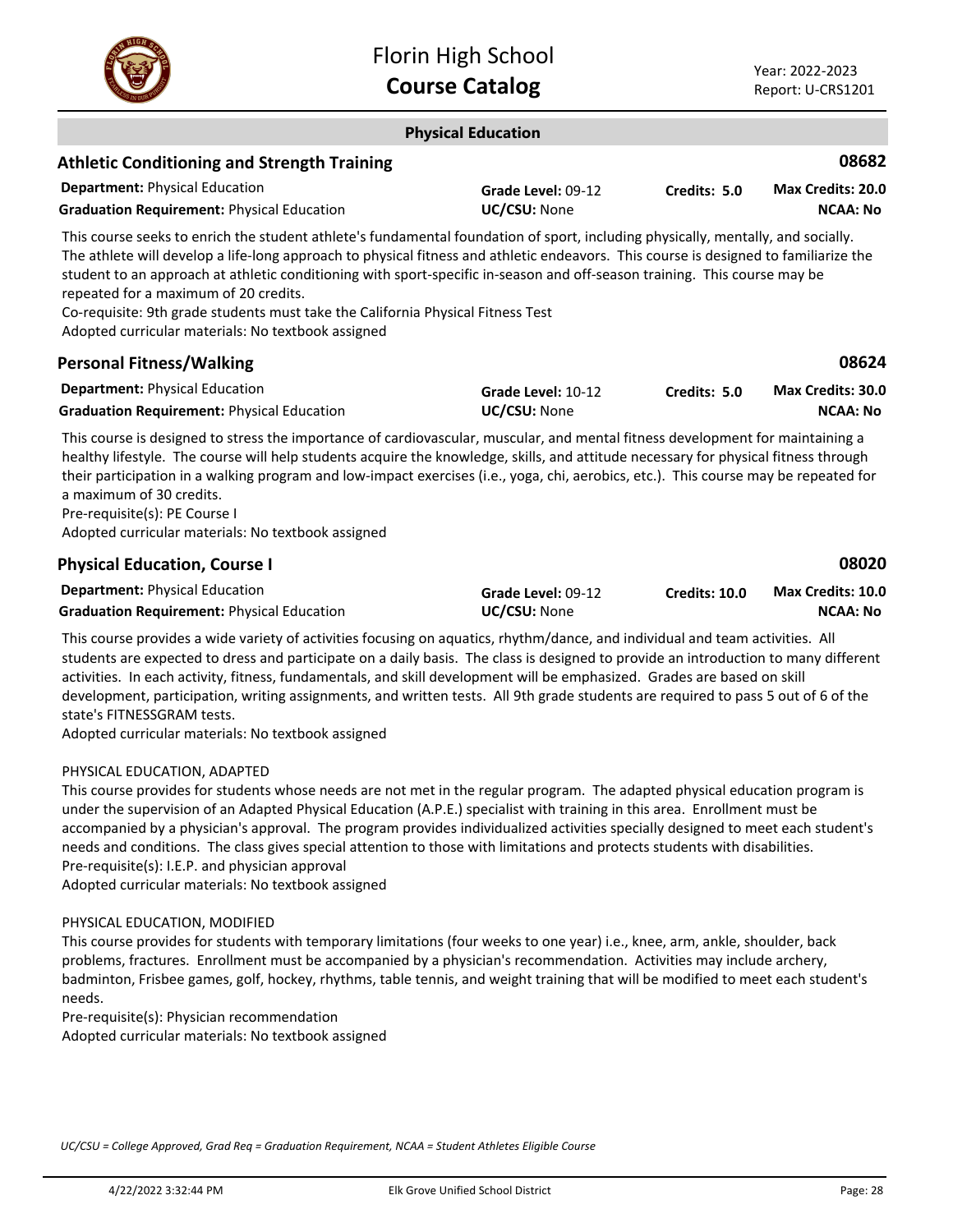

|                                                                                                                                                                                                                                                                                                                                                                                                                                                                                                                                                                                         | <b>Physical Education</b>          |                      |                                             |
|-----------------------------------------------------------------------------------------------------------------------------------------------------------------------------------------------------------------------------------------------------------------------------------------------------------------------------------------------------------------------------------------------------------------------------------------------------------------------------------------------------------------------------------------------------------------------------------------|------------------------------------|----------------------|---------------------------------------------|
| <b>Athletic Conditioning and Strength Training</b>                                                                                                                                                                                                                                                                                                                                                                                                                                                                                                                                      |                                    |                      | 08682                                       |
| <b>Department: Physical Education</b><br><b>Graduation Requirement: Physical Education</b>                                                                                                                                                                                                                                                                                                                                                                                                                                                                                              | Grade Level: 09-12<br>UC/CSU: None | Credits: 5.0         | <b>Max Credits: 20.0</b><br><b>NCAA: No</b> |
| This course seeks to enrich the student athlete's fundamental foundation of sport, including physically, mentally, and socially.<br>The athlete will develop a life-long approach to physical fitness and athletic endeavors. This course is designed to familiarize the<br>student to an approach at athletic conditioning with sport-specific in-season and off-season training. This course may be<br>repeated for a maximum of 20 credits.<br>Co-requisite: 9th grade students must take the California Physical Fitness Test<br>Adopted curricular materials: No textbook assigned |                                    |                      |                                             |
| <b>Personal Fitness/Walking</b>                                                                                                                                                                                                                                                                                                                                                                                                                                                                                                                                                         |                                    |                      | 08624                                       |
| <b>Department: Physical Education</b><br><b>Graduation Requirement: Physical Education</b>                                                                                                                                                                                                                                                                                                                                                                                                                                                                                              | Grade Level: 10-12<br>UC/CSU: None | Credits: 5.0         | Max Credits: 30.0<br><b>NCAA: No</b>        |
| This course is designed to stress the importance of cardiovascular, muscular, and mental fitness development for maintaining a<br>healthy lifestyle. The course will help students acquire the knowledge, skills, and attitude necessary for physical fitness through<br>their participation in a walking program and low-impact exercises (i.e., yoga, chi, aerobics, etc.). This course may be repeated for<br>a maximum of 30 credits.<br>Pre-requisite(s): PE Course I<br>Adopted curricular materials: No textbook assigned                                                        |                                    |                      |                                             |
| <b>Physical Education, Course I</b>                                                                                                                                                                                                                                                                                                                                                                                                                                                                                                                                                     |                                    |                      | 08020                                       |
| <b>Department: Physical Education</b>                                                                                                                                                                                                                                                                                                                                                                                                                                                                                                                                                   | Grade Level: 09-12                 | <b>Credits: 10.0</b> | <b>Max Credits: 10.0</b>                    |

Graduation Requirement: Physical Education **UC/CSU:** None

This course provides a wide variety of activities focusing on aquatics, rhythm/dance, and individual and team activities. All students are expected to dress and participate on a daily basis. The class is designed to provide an introduction to many different activities. In each activity, fitness, fundamentals, and skill development will be emphasized. Grades are based on skill development, participation, writing assignments, and written tests. All 9th grade students are required to pass 5 out of 6 of the state's FITNESSGRAM tests.

Adopted curricular materials: No textbook assigned

### PHYSICAL EDUCATION, ADAPTED

This course provides for students whose needs are not met in the regular program. The adapted physical education program is under the supervision of an Adapted Physical Education (A.P.E.) specialist with training in this area. Enrollment must be accompanied by a physician's approval. The program provides individualized activities specially designed to meet each student's needs and conditions. The class gives special attention to those with limitations and protects students with disabilities. Pre-requisite(s): I.E.P. and physician approval Adopted curricular materials: No textbook assigned

### PHYSICAL EDUCATION, MODIFIED

This course provides for students with temporary limitations (four weeks to one year) i.e., knee, arm, ankle, shoulder, back problems, fractures. Enrollment must be accompanied by a physician's recommendation. Activities may include archery, badminton, Frisbee games, golf, hockey, rhythms, table tennis, and weight training that will be modified to meet each student's needs.

Pre-requisite(s): Physician recommendation

Adopted curricular materials: No textbook assigned

*UC/CSU = College Approved, Grad Req = Graduation Requirement, NCAA = Student Athletes Eligible Course*

**NCAA: No**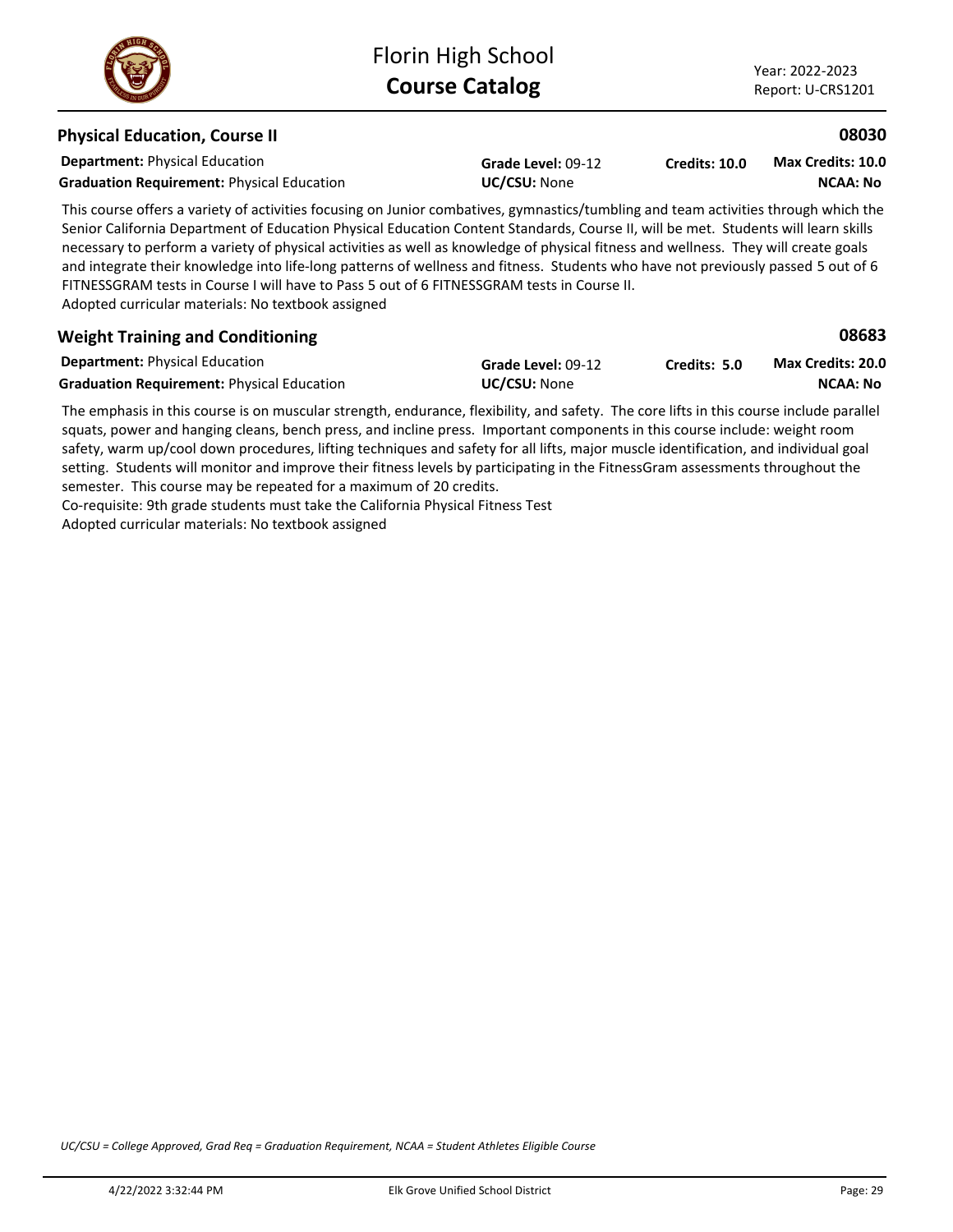### **Department:** Physical Education **08030** This course offers a variety of activities focusing on Junior combatives, gymnastics/tumbling and team activities through which the Senior California Department of Education Physical Education Content Standards, Course II, will be met. Students will learn skills necessary to perform a variety of physical activities as well as knowledge of physical fitness and wellness. They will create goals and integrate their knowledge into life-long patterns of wellness and fitness. Students who have not previously passed 5 out of 6 FITNESSGRAM tests in Course I will have to Pass 5 out of 6 FITNESSGRAM tests in Course II. Adopted curricular materials: No textbook assigned **Physical Education, Course II Grade Level:** 09-12 **Graduation Requirement: Physical Education <b>UC/CSU:** None **Credits: 10.0 NCAA: No Max Credits: 10.0 Department:** Physical Education **08683** The emphasis in this course is on muscular strength, endurance, flexibility, and safety. The core lifts in this course include parallel squats, power and hanging cleans, bench press, and incline press. Important components in this course include: weight room **Weight Training and Conditioning Grade Level:** 09-12 Graduation Requirement: Physical Education **UC/CSU: None Credits: 5.0 NCAA: No Max Credits: 20.0**

safety, warm up/cool down procedures, lifting techniques and safety for all lifts, major muscle identification, and individual goal setting. Students will monitor and improve their fitness levels by participating in the FitnessGram assessments throughout the semester. This course may be repeated for a maximum of 20 credits. Co-requisite: 9th grade students must take the California Physical Fitness Test

Adopted curricular materials: No textbook assigned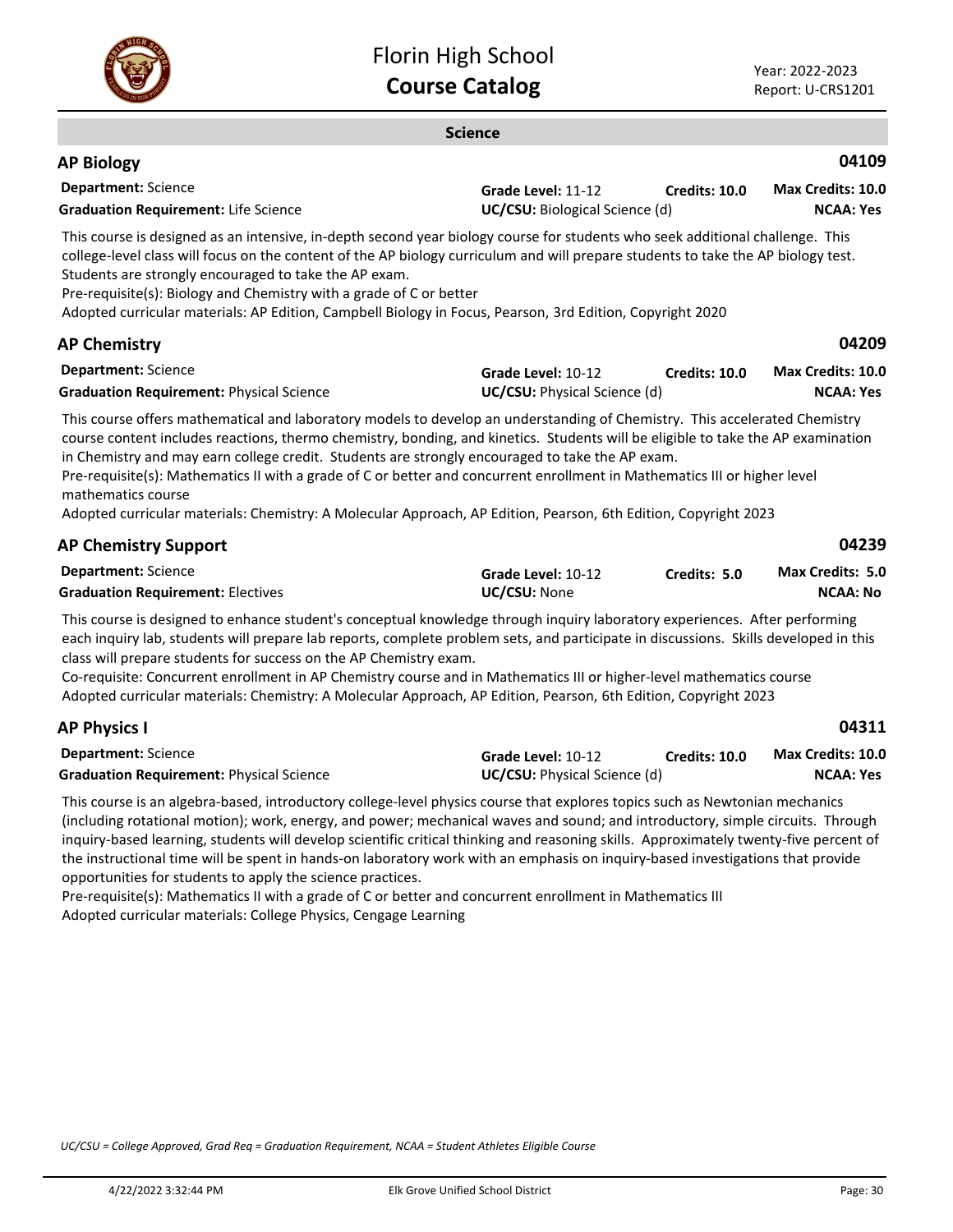

### **Science Department:** Science **04109** This course is designed as an intensive, in-depth second year biology course for students who seek additional challenge. This college-level class will focus on the content of the AP biology curriculum and will prepare students to take the AP biology test. Students are strongly encouraged to take the AP exam. Pre-requisite(s): Biology and Chemistry with a grade of C or better Adopted curricular materials: AP Edition, Campbell Biology in Focus, Pearson, 3rd Edition, Copyright 2020 **AP Biology Grade Level:** 11-12 **Graduation Requirement:** Life Science **UC/CSU:** Biological Science (d) **Credits: 10.0 NCAA: Yes Max Credits: 10.0 Department:** Science **04209** This course offers mathematical and laboratory models to develop an understanding of Chemistry. This accelerated Chemistry course content includes reactions, thermo chemistry, bonding, and kinetics. Students will be eligible to take the AP examination in Chemistry and may earn college credit. Students are strongly encouraged to take the AP exam. Pre-requisite(s): Mathematics II with a grade of C or better and concurrent enrollment in Mathematics III or higher level mathematics course Adopted curricular materials: Chemistry: A Molecular Approach, AP Edition, Pearson, 6th Edition, Copyright 2023 **AP Chemistry Grade Level:** 10-12 **Graduation Requirement:** Physical Science **UC/CSU:** Physical Science (d) **Credits: 10.0 NCAA: Yes Max Credits: 10.0 Department:** Science **04239 AP Chemistry Support Grade Level:** 10-12 **Graduation Requirement:** Electives **UC/CSU:** None **Credits: 5.0 NCAA: No Max Credits: 5.0**

This course is designed to enhance student's conceptual knowledge through inquiry laboratory experiences. After performing each inquiry lab, students will prepare lab reports, complete problem sets, and participate in discussions. Skills developed in this class will prepare students for success on the AP Chemistry exam.

Co-requisite: Concurrent enrollment in AP Chemistry course and in Mathematics III or higher-level mathematics course Adopted curricular materials: Chemistry: A Molecular Approach, AP Edition, Pearson, 6th Edition, Copyright 2023

| <b>AP Physics I</b>                             |                                     |                      | 04311                    |
|-------------------------------------------------|-------------------------------------|----------------------|--------------------------|
| <b>Department:</b> Science                      | Grade Level: 10-12                  | <b>Credits: 10.0</b> | <b>Max Credits: 10.0</b> |
| <b>Graduation Requirement: Physical Science</b> | <b>UC/CSU:</b> Physical Science (d) |                      | NCAA: Yes                |

This course is an algebra-based, introductory college-level physics course that explores topics such as Newtonian mechanics (including rotational motion); work, energy, and power; mechanical waves and sound; and introductory, simple circuits. Through inquiry-based learning, students will develop scientific critical thinking and reasoning skills. Approximately twenty-five percent of the instructional time will be spent in hands-on laboratory work with an emphasis on inquiry-based investigations that provide opportunities for students to apply the science practices.

Pre-requisite(s): Mathematics II with a grade of C or better and concurrent enrollment in Mathematics III Adopted curricular materials: College Physics, Cengage Learning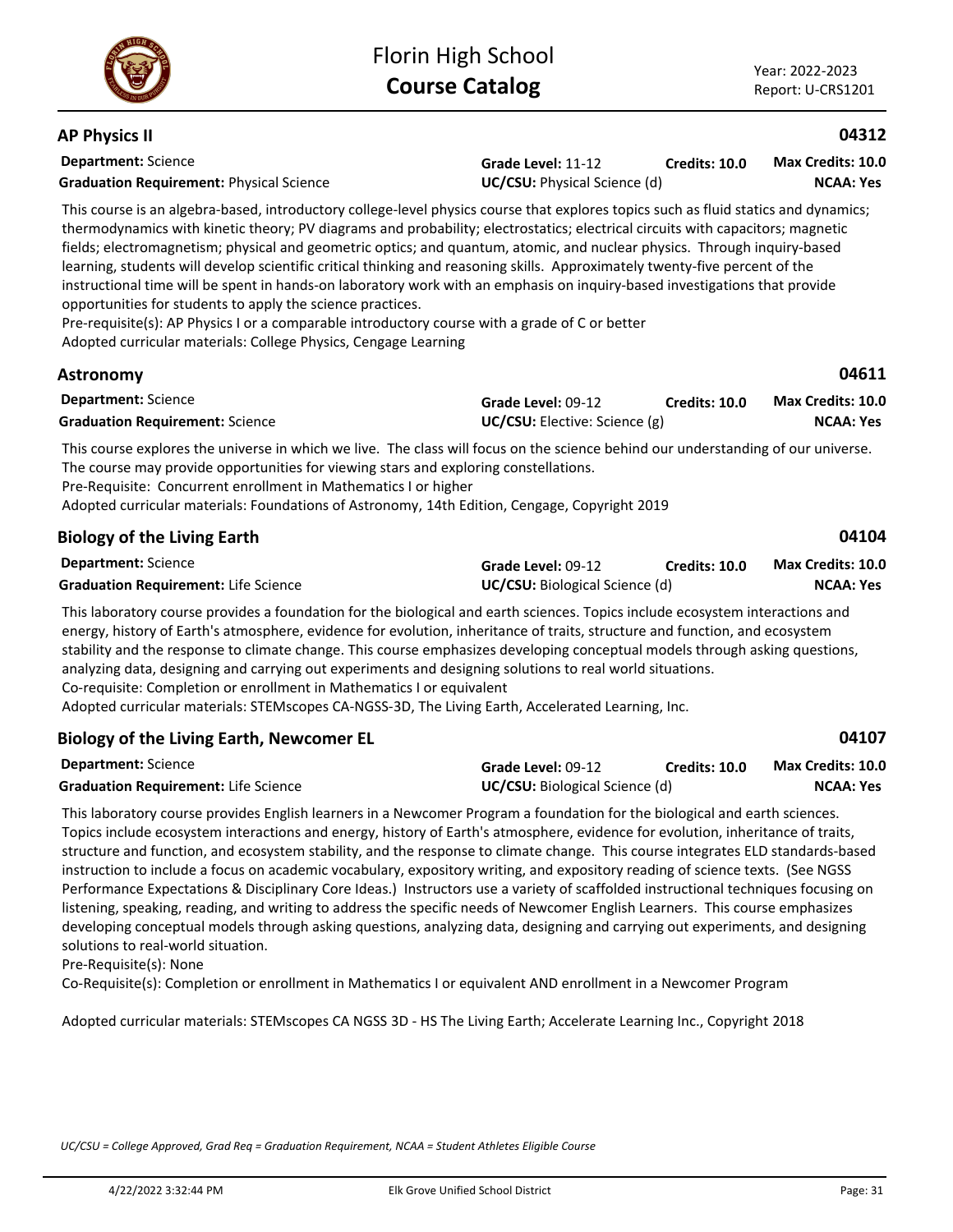**04611**

**04104**

**04107**

### **AP Physics II**

**Astronomy**

| <b>Department: Science</b>                                                                                                                                                                                                                                                                                                                                                                                                                                                                                                                                                                                                                                                                                                                                                                                                                                                                        | Grade Level: 11-12                  | <b>Credits: 10.0</b> | <b>Max Credits: 10.0</b> |
|---------------------------------------------------------------------------------------------------------------------------------------------------------------------------------------------------------------------------------------------------------------------------------------------------------------------------------------------------------------------------------------------------------------------------------------------------------------------------------------------------------------------------------------------------------------------------------------------------------------------------------------------------------------------------------------------------------------------------------------------------------------------------------------------------------------------------------------------------------------------------------------------------|-------------------------------------|----------------------|--------------------------|
| <b>Graduation Requirement: Physical Science</b>                                                                                                                                                                                                                                                                                                                                                                                                                                                                                                                                                                                                                                                                                                                                                                                                                                                   | <b>UC/CSU:</b> Physical Science (d) |                      | <b>NCAA: Yes</b>         |
| This course is an algebra-based, introductory college-level physics course that explores topics such as fluid statics and dynamics;<br>thermodynamics with kinetic theory; PV diagrams and probability; electrostatics; electrical circuits with capacitors; magnetic<br>fields; electromagnetism; physical and geometric optics; and quantum, atomic, and nuclear physics. Through inquiry-based<br>learning, students will develop scientific critical thinking and reasoning skills. Approximately twenty-five percent of the<br>instructional time will be spent in hands-on laboratory work with an emphasis on inquiry-based investigations that provide<br>opportunities for students to apply the science practices.<br>Pre-requisite(s): AP Physics I or a comparable introductory course with a grade of C or better<br>Adopted curricular materials: College Physics, Cengage Learning |                                     |                      |                          |

| <b>Department:</b> Science             | <b>Grade Level: 09-12</b>            | Credits: 10.0 | <b>Max Credits: 10.0</b> |
|----------------------------------------|--------------------------------------|---------------|--------------------------|
| <b>Graduation Requirement: Science</b> | <b>UC/CSU:</b> Elective: Science (g) |               | <b>NCAA: Yes</b>         |

This course explores the universe in which we live. The class will focus on the science behind our understanding of our universe. The course may provide opportunities for viewing stars and exploring constellations. Pre-Requisite: Concurrent enrollment in Mathematics I or higher Adopted curricular materials: Foundations of Astronomy, 14th Edition, Cengage, Copyright 2019

# **Biology of the Living Earth**

| <b>Department:</b> Science                  | Grade Level: 09-12                    | <b>Credits: 10.0</b> | <b>Max Credits: 10.0</b> |
|---------------------------------------------|---------------------------------------|----------------------|--------------------------|
| <b>Graduation Requirement: Life Science</b> | <b>UC/CSU:</b> Biological Science (d) |                      | <b>NCAA: Yes</b>         |

This laboratory course provides a foundation for the biological and earth sciences. Topics include ecosystem interactions and energy, history of Earth's atmosphere, evidence for evolution, inheritance of traits, structure and function, and ecosystem stability and the response to climate change. This course emphasizes developing conceptual models through asking questions, analyzing data, designing and carrying out experiments and designing solutions to real world situations. Co-requisite: Completion or enrollment in Mathematics I or equivalent

Adopted curricular materials: STEMscopes CA-NGSS-3D, The Living Earth, Accelerated Learning, Inc.

| <b>Department: Science</b>                  | Grade Level: 09-12                    | <b>Credits: 10.0</b> | Max Credits: 10.0 |
|---------------------------------------------|---------------------------------------|----------------------|-------------------|
| <b>Graduation Requirement: Life Science</b> | <b>UC/CSU:</b> Biological Science (d) |                      | <b>NCAA: Yes</b>  |

This laboratory course provides English learners in a Newcomer Program a foundation for the biological and earth sciences. Topics include ecosystem interactions and energy, history of Earth's atmosphere, evidence for evolution, inheritance of traits, structure and function, and ecosystem stability, and the response to climate change. This course integrates ELD standards-based instruction to include a focus on academic vocabulary, expository writing, and expository reading of science texts. (See NGSS Performance Expectations & Disciplinary Core Ideas.) Instructors use a variety of scaffolded instructional techniques focusing on listening, speaking, reading, and writing to address the specific needs of Newcomer English Learners. This course emphasizes developing conceptual models through asking questions, analyzing data, designing and carrying out experiments, and designing solutions to real-world situation.

Pre-Requisite(s): None

Co-Requisite(s): Completion or enrollment in Mathematics I or equivalent AND enrollment in a Newcomer Program

Adopted curricular materials: STEMscopes CA NGSS 3D - HS The Living Earth; Accelerate Learning Inc., Copyright 2018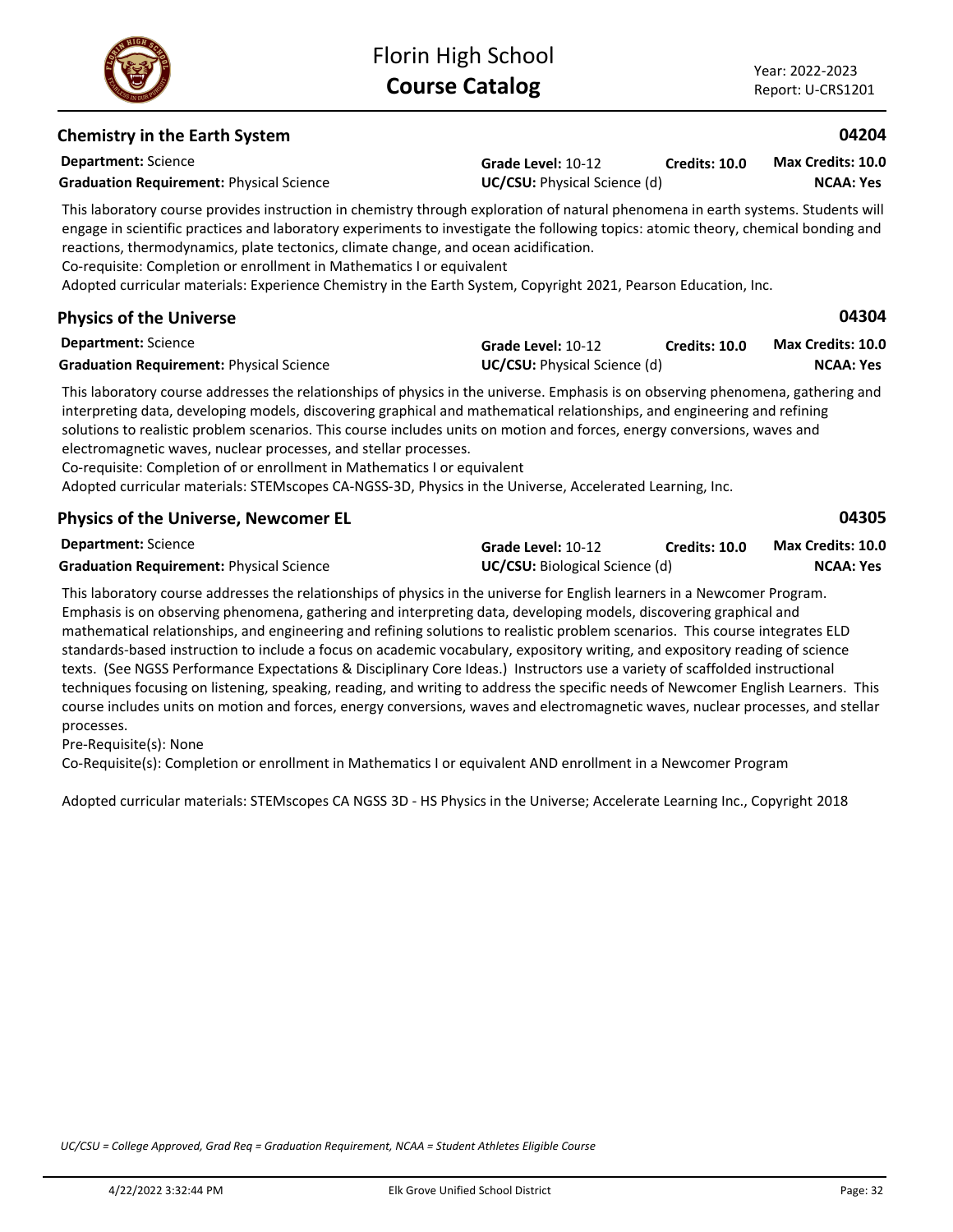*UC/CSU = College Approved, Grad Req = Graduation Requirement, NCAA = Student Athletes Eligible Course*

# **Chemistry in the Earth System**

**Department:** Science **Grade Level:** 10-12 **Graduation Requirement:** Physical Science **UC/CSU:** Physical Science (d)

This laboratory course provides instruction in chemistry through exploration of natural phenomena in earth systems. Students will engage in scientific practices and laboratory experiments to investigate the following topics: atomic theory, chemical bonding and reactions, thermodynamics, plate tectonics, climate change, and ocean acidification.

Florin High School **Course Catalog**

Co-requisite: Completion or enrollment in Mathematics I or equivalent

Adopted curricular materials: Experience Chemistry in the Earth System, Copyright 2021, Pearson Education, Inc.

# **Physics of the Universe**

| <b>Department:</b> Science                      | Grade Level: 10-12                  | <b>Credits: 10.0</b> | Max Credits: 10.0 |
|-------------------------------------------------|-------------------------------------|----------------------|-------------------|
| <b>Graduation Requirement: Physical Science</b> | <b>UC/CSU:</b> Physical Science (d) |                      | <b>NCAA: Yes</b>  |

This laboratory course addresses the relationships of physics in the universe. Emphasis is on observing phenomena, gathering and interpreting data, developing models, discovering graphical and mathematical relationships, and engineering and refining solutions to realistic problem scenarios. This course includes units on motion and forces, energy conversions, waves and electromagnetic waves, nuclear processes, and stellar processes.

Co-requisite: Completion of or enrollment in Mathematics I or equivalent

Adopted curricular materials: STEMscopes CA-NGSS-3D, Physics in the Universe, Accelerated Learning, Inc.

# **Physics of the Universe, Newcomer EL**

| <b>Department:</b> Science                      | Grade Level: 10-12                    | <b>Credits: 10.0</b> | Max Credits: 10.0 |
|-------------------------------------------------|---------------------------------------|----------------------|-------------------|
| <b>Graduation Requirement: Physical Science</b> | <b>UC/CSU:</b> Biological Science (d) |                      | NCAA: Yes         |

This laboratory course addresses the relationships of physics in the universe for English learners in a Newcomer Program. Emphasis is on observing phenomena, gathering and interpreting data, developing models, discovering graphical and mathematical relationships, and engineering and refining solutions to realistic problem scenarios. This course integrates ELD standards-based instruction to include a focus on academic vocabulary, expository writing, and expository reading of science texts. (See NGSS Performance Expectations & Disciplinary Core Ideas.) Instructors use a variety of scaffolded instructional techniques focusing on listening, speaking, reading, and writing to address the specific needs of Newcomer English Learners. This course includes units on motion and forces, energy conversions, waves and electromagnetic waves, nuclear processes, and stellar processes.

Pre-Requisite(s): None

Co-Requisite(s): Completion or enrollment in Mathematics I or equivalent AND enrollment in a Newcomer Program

Adopted curricular materials: STEMscopes CA NGSS 3D - HS Physics in the Universe; Accelerate Learning Inc., Copyright 2018



**Credits: 10.0**

**04204**

**04304**

**04305**

**NCAA: Yes Max Credits: 10.0**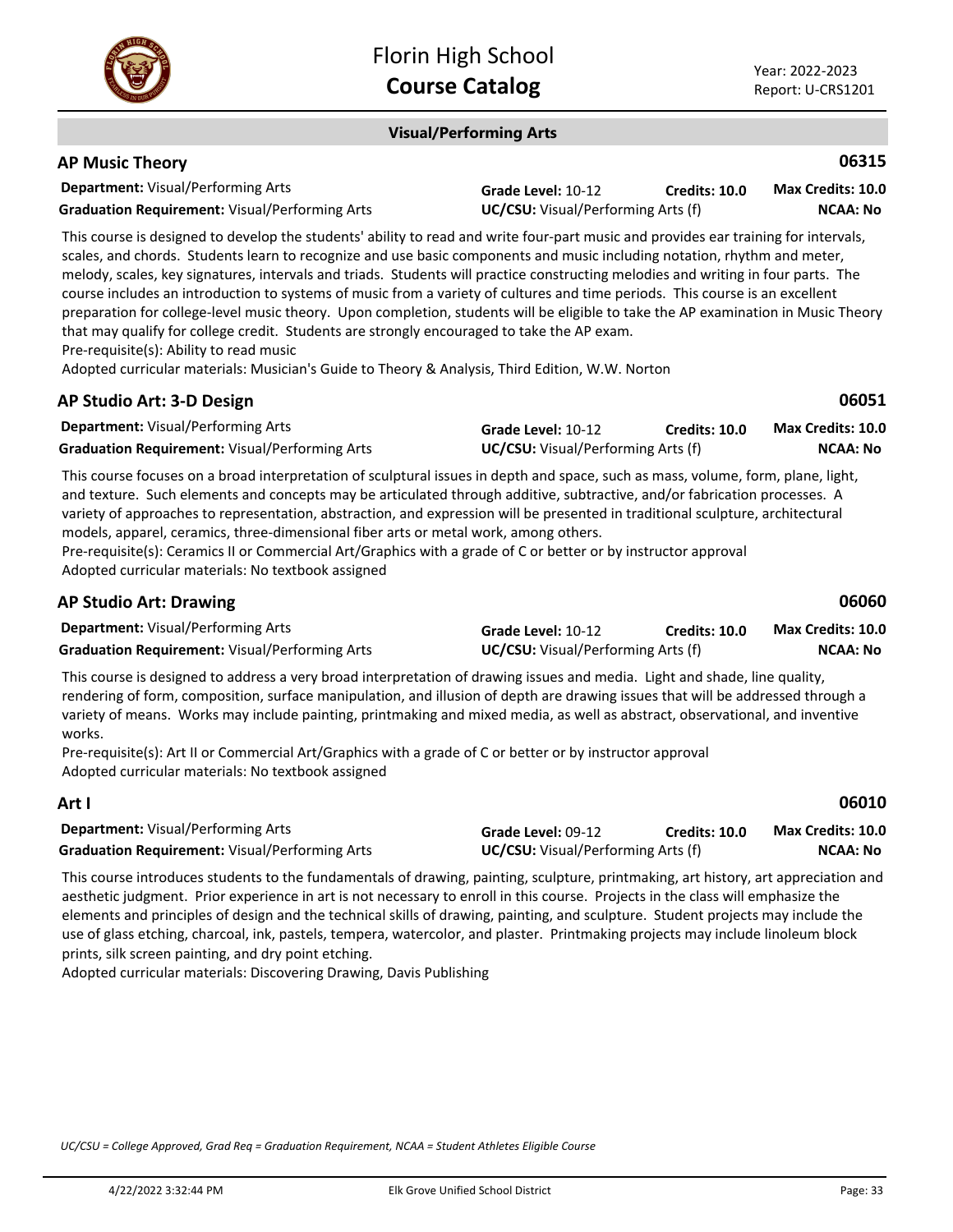

### **Visual/Performing Arts**

| <b>AP Music Theory</b>                                                                                                                                                                                                                                                                                                                                                                                                                                                                                                               |                                                                 |               | 06315                                       |
|--------------------------------------------------------------------------------------------------------------------------------------------------------------------------------------------------------------------------------------------------------------------------------------------------------------------------------------------------------------------------------------------------------------------------------------------------------------------------------------------------------------------------------------|-----------------------------------------------------------------|---------------|---------------------------------------------|
| <b>Department: Visual/Performing Arts</b><br><b>Graduation Requirement: Visual/Performing Arts</b>                                                                                                                                                                                                                                                                                                                                                                                                                                   | Grade Level: 10-12<br><b>UC/CSU:</b> Visual/Performing Arts (f) | Credits: 10.0 | <b>Max Credits: 10.0</b><br><b>NCAA: No</b> |
| This course is designed to develop the students' ability to read and write four-part music and provides ear training for intervals,<br>scales, and chords. Students learn to recognize and use basic components and music including notation, rhythm and meter,<br>melody, scales, key signatures, intervals and triads. Students will practice constructing melodies and writing in four parts. The<br>course includes an introduction to systems of music from a variety of cultures and time periods. This course is an excellent |                                                                 |               |                                             |

preparation for college-level music theory. Upon completion, students will be eligible to take the AP examination in Music Theory that may qualify for college credit. Students are strongly encouraged to take the AP exam.

Pre-requisite(s): Ability to read music

Adopted curricular materials: Musician's Guide to Theory & Analysis, Third Edition, W.W. Norton

| AP Studio Art: 3-D Design                             |                                           |                      | 06051                    |
|-------------------------------------------------------|-------------------------------------------|----------------------|--------------------------|
| <b>Department:</b> Visual/Performing Arts             | Grade Level: 10-12                        | <b>Credits: 10.0</b> | <b>Max Credits: 10.0</b> |
| <b>Graduation Requirement:</b> Visual/Performing Arts | <b>UC/CSU:</b> Visual/Performing Arts (f) |                      | NCAA: No                 |

This course focuses on a broad interpretation of sculptural issues in depth and space, such as mass, volume, form, plane, light, and texture. Such elements and concepts may be articulated through additive, subtractive, and/or fabrication processes. A variety of approaches to representation, abstraction, and expression will be presented in traditional sculpture, architectural models, apparel, ceramics, three-dimensional fiber arts or metal work, among others.

Pre-requisite(s): Ceramics II or Commercial Art/Graphics with a grade of C or better or by instructor approval Adopted curricular materials: No textbook assigned

| <b>AP Studio Art: Drawing</b>                                                                                             |                                           |                      | 06060             |
|---------------------------------------------------------------------------------------------------------------------------|-------------------------------------------|----------------------|-------------------|
| <b>Department:</b> Visual/Performing Arts                                                                                 | Grade Level: 10-12                        | <b>Credits: 10.0</b> | Max Credits: 10.0 |
| <b>Graduation Requirement:</b> Visual/Performing Arts                                                                     | <b>UC/CSU:</b> Visual/Performing Arts (f) |                      | <b>NCAA: No</b>   |
| This course is designed to address a vany hread interpretation of drawing issues and modia. Light and shade, line quality |                                           |                      |                   |

This course is designed to address a very broad interpretation of drawing issues and media. Light and shade, line quality, rendering of form, composition, surface manipulation, and illusion of depth are drawing issues that will be addressed through a variety of means. Works may include painting, printmaking and mixed media, as well as abstract, observational, and inventive works.

Pre-requisite(s): Art II or Commercial Art/Graphics with a grade of C or better or by instructor approval Adopted curricular materials: No textbook assigned

| Art I                                                 |                                           |               | 06010             |
|-------------------------------------------------------|-------------------------------------------|---------------|-------------------|
| <b>Department:</b> Visual/Performing Arts             | Grade Level: 09-12                        | Credits: 10.0 | Max Credits: 10.0 |
| <b>Graduation Requirement: Visual/Performing Arts</b> | <b>UC/CSU:</b> Visual/Performing Arts (f) |               | <b>NCAA: No</b>   |

This course introduces students to the fundamentals of drawing, painting, sculpture, printmaking, art history, art appreciation and aesthetic judgment. Prior experience in art is not necessary to enroll in this course. Projects in the class will emphasize the elements and principles of design and the technical skills of drawing, painting, and sculpture. Student projects may include the use of glass etching, charcoal, ink, pastels, tempera, watercolor, and plaster. Printmaking projects may include linoleum block prints, silk screen painting, and dry point etching.

Adopted curricular materials: Discovering Drawing, Davis Publishing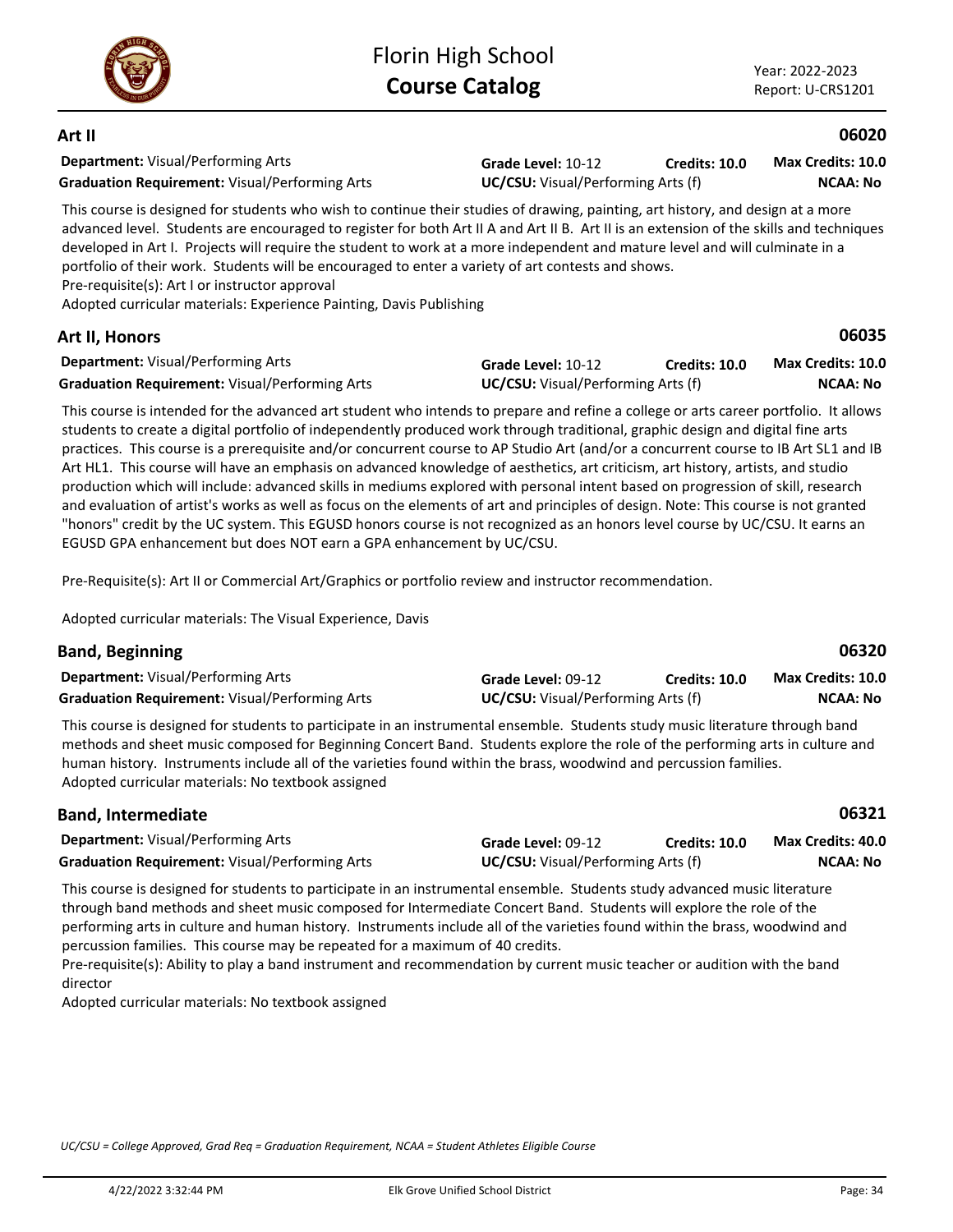

**Art II**

### **06020**

**06035**

**Department:** Visual/Performing Arts **Graduation Requirement:** Visual/Performing Arts **UC/CSU:** Visual/Performing Arts (f)

**Grade Level:** 10-12 **Credits: 10.0**

**NCAA: No Max Credits: 10.0**

This course is designed for students who wish to continue their studies of drawing, painting, art history, and design at a more advanced level. Students are encouraged to register for both Art II A and Art II B. Art II is an extension of the skills and techniques developed in Art I. Projects will require the student to work at a more independent and mature level and will culminate in a portfolio of their work. Students will be encouraged to enter a variety of art contests and shows. Pre-requisite(s): Art I or instructor approval

Adopted curricular materials: Experience Painting, Davis Publishing

### **Art II, Honors**

| <b>Department:</b> Visual/Performing Arts             | Grade Level: 10-12                        | <b>Credits: 10.0</b> | Max Credits: 10.0 |
|-------------------------------------------------------|-------------------------------------------|----------------------|-------------------|
| <b>Graduation Requirement: Visual/Performing Arts</b> | <b>UC/CSU:</b> Visual/Performing Arts (f) |                      | NCAA: No          |

This course is intended for the advanced art student who intends to prepare and refine a college or arts career portfolio. It allows students to create a digital portfolio of independently produced work through traditional, graphic design and digital fine arts practices. This course is a prerequisite and/or concurrent course to AP Studio Art (and/or a concurrent course to IB Art SL1 and IB Art HL1. This course will have an emphasis on advanced knowledge of aesthetics, art criticism, art history, artists, and studio production which will include: advanced skills in mediums explored with personal intent based on progression of skill, research and evaluation of artist's works as well as focus on the elements of art and principles of design. Note: This course is not granted "honors" credit by the UC system. This EGUSD honors course is not recognized as an honors level course by UC/CSU. It earns an EGUSD GPA enhancement but does NOT earn a GPA enhancement by UC/CSU.

Pre-Requisite(s): Art II or Commercial Art/Graphics or portfolio review and instructor recommendation.

Adopted curricular materials: The Visual Experience, Davis

# **Band, Beginning**

| <b>Department:</b> Visual/Performing Arts             | <b>Grade Level: 09-12</b>                 | <b>Credits: 10.0</b> | <b>Max Credits: 10.0</b> |
|-------------------------------------------------------|-------------------------------------------|----------------------|--------------------------|
| <b>Graduation Requirement: Visual/Performing Arts</b> | <b>UC/CSU:</b> Visual/Performing Arts (f) |                      | <b>NCAA: No</b>          |

This course is designed for students to participate in an instrumental ensemble. Students study music literature through band methods and sheet music composed for Beginning Concert Band. Students explore the role of the performing arts in culture and human history. Instruments include all of the varieties found within the brass, woodwind and percussion families. Adopted curricular materials: No textbook assigned

### **Department:** Visual/Performing Arts **06321 Band, Intermediate Grade Level:** 09-12 **Graduation Requirement:** Visual/Performing Arts **UC/CSU:** Visual/Performing Arts (f) **Credits: 10.0 NCAA: No Max Credits: 40.0**

This course is designed for students to participate in an instrumental ensemble. Students study advanced music literature through band methods and sheet music composed for Intermediate Concert Band. Students will explore the role of the performing arts in culture and human history. Instruments include all of the varieties found within the brass, woodwind and percussion families. This course may be repeated for a maximum of 40 credits.

Pre-requisite(s): Ability to play a band instrument and recommendation by current music teacher or audition with the band director

Adopted curricular materials: No textbook assigned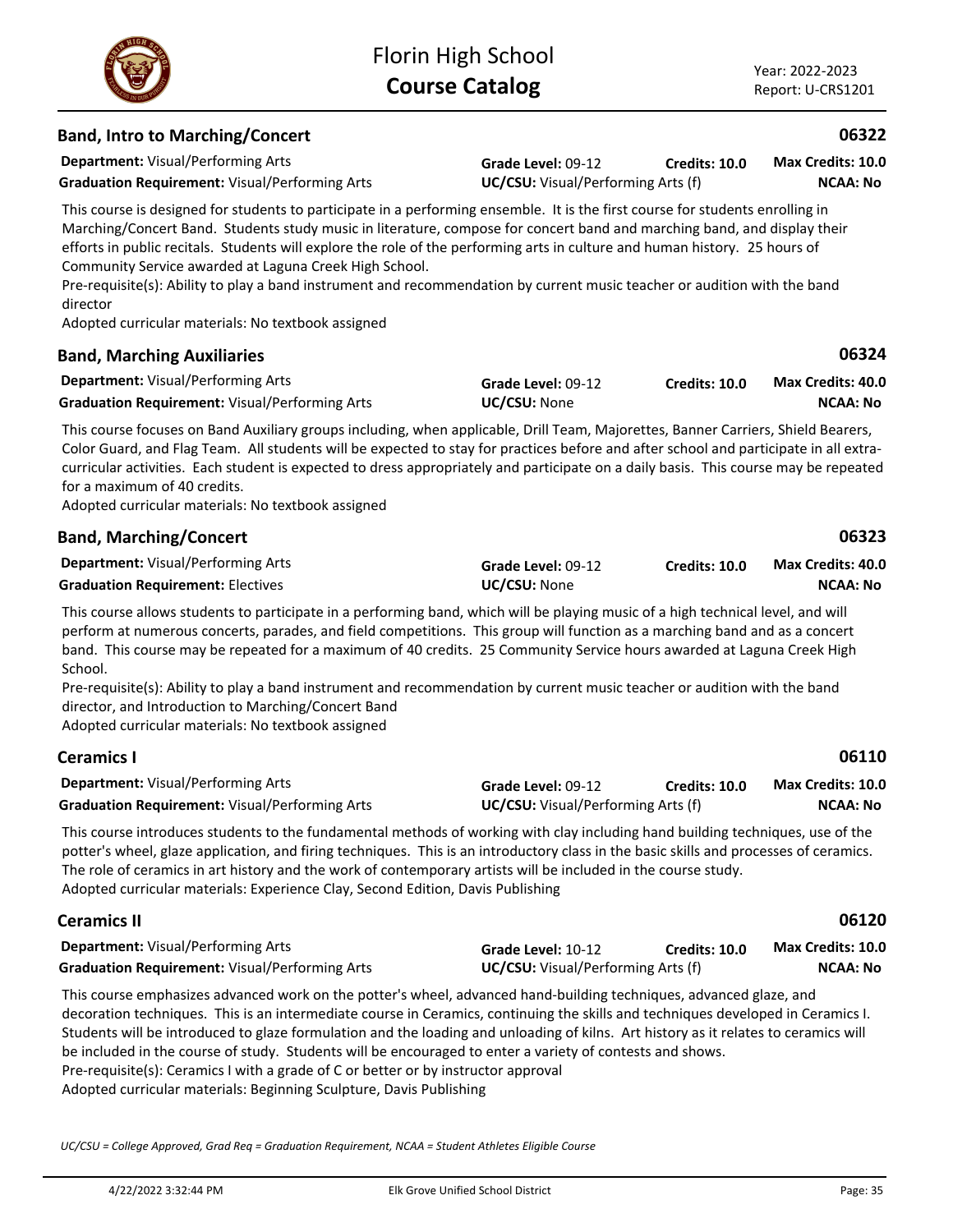**Grade Level:** 09-12

**Credits: 10.0**

# **Band, Intro to Marching/Concert**

**Department:** Visual/Performing Arts

**Graduation Requirement:** Visual/Performing Arts **UC/CSU:** Visual/Performing Arts (f)

This course is designed for students to participate in a performing ensemble. It is the first course for students enrolling in Marching/Concert Band. Students study music in literature, compose for concert band and marching band, and display their efforts in public recitals. Students will explore the role of the performing arts in culture and human history. 25 hours of Community Service awarded at Laguna Creek High School.

Pre-requisite(s): Ability to play a band instrument and recommendation by current music teacher or audition with the band director

Adopted curricular materials: No textbook assigned

### **Department:** Visual/Performing Arts **06324 Band, Marching Auxiliaries Grade Level:** 09-12 Graduation Requirement: Visual/Performing Arts **UC/CSU:** None **Credits: 10.0 NCAA: No Max Credits: 40.0**

This course focuses on Band Auxiliary groups including, when applicable, Drill Team, Majorettes, Banner Carriers, Shield Bearers, Color Guard, and Flag Team. All students will be expected to stay for practices before and after school and participate in all extracurricular activities. Each student is expected to dress appropriately and participate on a daily basis. This course may be repeated for a maximum of 40 credits.

Adopted curricular materials: No textbook assigned

|  | <b>Band, Marching/Concert</b> |  |
|--|-------------------------------|--|
|--|-------------------------------|--|

| <b>Department: Visual/Performing Arts</b> | Grade Level: 09-12  | Credits: 10.0 | Max Credits: 40.0 |
|-------------------------------------------|---------------------|---------------|-------------------|
| <b>Graduation Requirement: Electives</b>  | <b>UC/CSU: None</b> |               | <b>NCAA: No</b>   |

This course allows students to participate in a performing band, which will be playing music of a high technical level, and will perform at numerous concerts, parades, and field competitions. This group will function as a marching band and as a concert band. This course may be repeated for a maximum of 40 credits. 25 Community Service hours awarded at Laguna Creek High School.

Pre-requisite(s): Ability to play a band instrument and recommendation by current music teacher or audition with the band director, and Introduction to Marching/Concert Band

Adopted curricular materials: No textbook assigned

# **Ceramics I**

| <b>Department: Visual/Performing Arts</b>             | Grade Level: 09-12                        | Credits: 10.0 | Max Credits: 10.0 |
|-------------------------------------------------------|-------------------------------------------|---------------|-------------------|
| <b>Graduation Requirement:</b> Visual/Performing Arts | <b>UC/CSU:</b> Visual/Performing Arts (f) |               | <b>NCAA: No</b>   |

This course introduces students to the fundamental methods of working with clay including hand building techniques, use of the potter's wheel, glaze application, and firing techniques. This is an introductory class in the basic skills and processes of ceramics. The role of ceramics in art history and the work of contemporary artists will be included in the course study. Adopted curricular materials: Experience Clay, Second Edition, Davis Publishing

| <b>Ceramics II</b>                                    |                                           |                      | 06120             |
|-------------------------------------------------------|-------------------------------------------|----------------------|-------------------|
| <b>Department:</b> Visual/Performing Arts             | Grade Level: 10-12                        | <b>Credits: 10.0</b> | Max Credits: 10.0 |
| <b>Graduation Requirement:</b> Visual/Performing Arts | <b>UC/CSU:</b> Visual/Performing Arts (f) |                      | <b>NCAA: No</b>   |

This course emphasizes advanced work on the potter's wheel, advanced hand-building techniques, advanced glaze, and decoration techniques. This is an intermediate course in Ceramics, continuing the skills and techniques developed in Ceramics I. Students will be introduced to glaze formulation and the loading and unloading of kilns. Art history as it relates to ceramics will be included in the course of study. Students will be encouraged to enter a variety of contests and shows. Pre-requisite(s): Ceramics I with a grade of C or better or by instructor approval Adopted curricular materials: Beginning Sculpture, Davis Publishing

*UC/CSU = College Approved, Grad Req = Graduation Requirement, NCAA = Student Athletes Eligible Course*



**06323**

**06110**

**NCAA: No Max Credits: 10.0**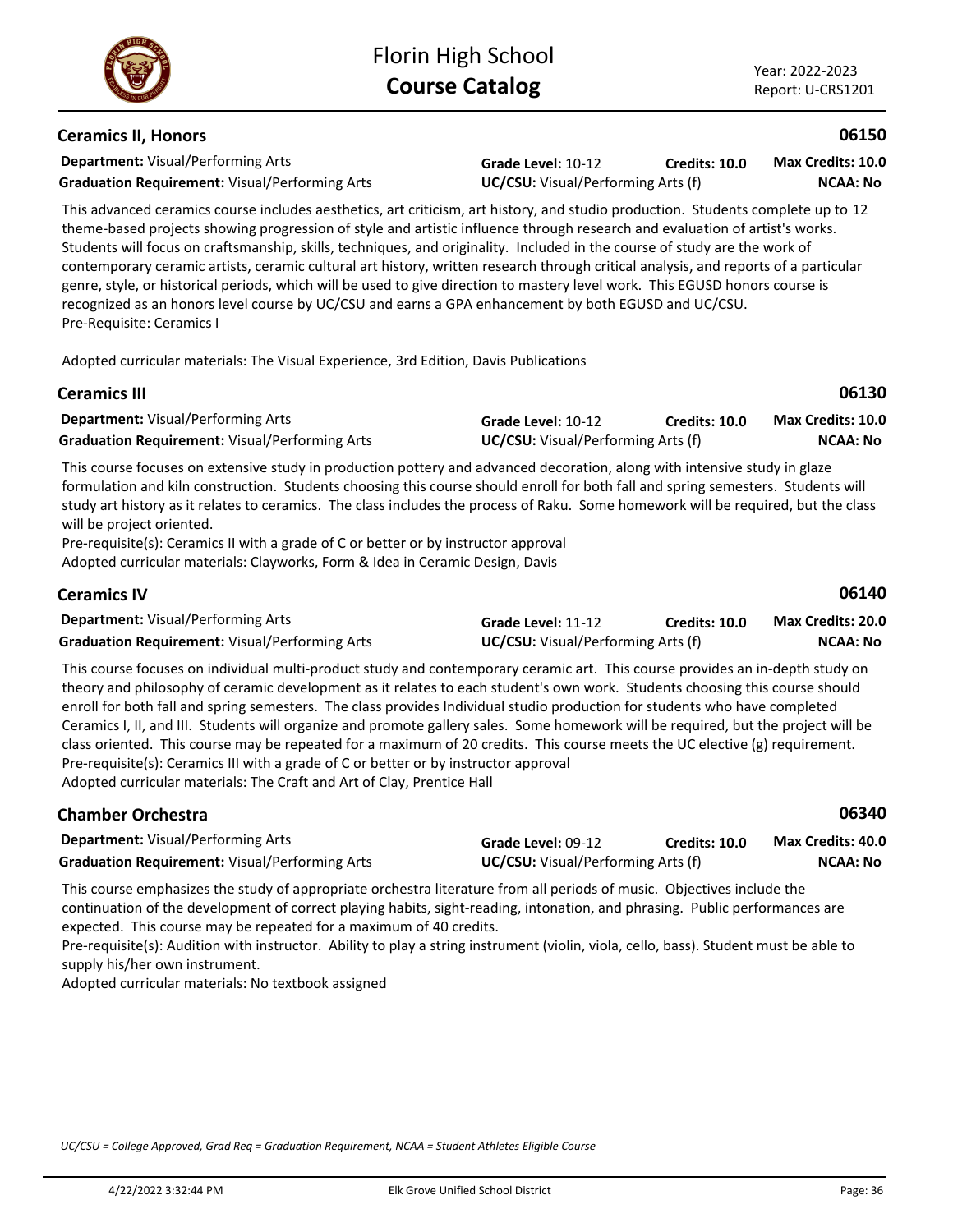### **Ceramics II, Honors**

**Department:** Visual/Performing Arts **Graduation Requirement:** Visual/Performing Arts **UC/CSU:** Visual/Performing Arts (f)

**Grade Level:** 10-12 **Credits: 10.0**

**NCAA: No Max Credits: 10.0**

**06150**

This advanced ceramics course includes aesthetics, art criticism, art history, and studio production. Students complete up to 12 theme-based projects showing progression of style and artistic influence through research and evaluation of artist's works. Students will focus on craftsmanship, skills, techniques, and originality. Included in the course of study are the work of contemporary ceramic artists, ceramic cultural art history, written research through critical analysis, and reports of a particular genre, style, or historical periods, which will be used to give direction to mastery level work. This EGUSD honors course is recognized as an honors level course by UC/CSU and earns a GPA enhancement by both EGUSD and UC/CSU. Pre-Requisite: Ceramics I

Adopted curricular materials: The Visual Experience, 3rd Edition, Davis Publications

| <b>Ceramics III</b>                                   |                    |                                           | 06130                    |  |
|-------------------------------------------------------|--------------------|-------------------------------------------|--------------------------|--|
| <b>Department:</b> Visual/Performing Arts             | Grade Level: 10-12 | <b>Credits: 10.0</b>                      | <b>Max Credits: 10.0</b> |  |
| <b>Graduation Requirement: Visual/Performing Arts</b> |                    | <b>UC/CSU:</b> Visual/Performing Arts (f) |                          |  |

This course focuses on extensive study in production pottery and advanced decoration, along with intensive study in glaze formulation and kiln construction. Students choosing this course should enroll for both fall and spring semesters. Students will study art history as it relates to ceramics. The class includes the process of Raku. Some homework will be required, but the class will be project oriented.

Pre-requisite(s): Ceramics II with a grade of C or better or by instructor approval Adopted curricular materials: Clayworks, Form & Idea in Ceramic Design, Davis

| <b>Ceramics IV</b>                                                                                                                                                                                                          |                                           |                      | 06140                    |
|-----------------------------------------------------------------------------------------------------------------------------------------------------------------------------------------------------------------------------|-------------------------------------------|----------------------|--------------------------|
| <b>Department:</b> Visual/Performing Arts                                                                                                                                                                                   | Grade Level: 11-12                        | <b>Credits: 10.0</b> | <b>Max Credits: 20.0</b> |
| <b>Graduation Requirement:</b> Visual/Performing Arts                                                                                                                                                                       | <b>UC/CSU:</b> Visual/Performing Arts (f) |                      | NCAA: No                 |
| ▼bto connoc formace and the distributional machinesis and consequences are consecuted and consecuted and distributional consequences and the consequence of the consequence of the consequence of the consequence of the co |                                           |                      |                          |

This course focuses on individual multi-product study and contemporary ceramic art. This course provides an in-depth study on theory and philosophy of ceramic development as it relates to each student's own work. Students choosing this course should enroll for both fall and spring semesters. The class provides Individual studio production for students who have completed Ceramics I, II, and III. Students will organize and promote gallery sales. Some homework will be required, but the project will be class oriented. This course may be repeated for a maximum of 20 credits. This course meets the UC elective (g) requirement. Pre-requisite(s): Ceramics III with a grade of C or better or by instructor approval Adopted curricular materials: The Craft and Art of Clay, Prentice Hall

| <b>Chamber Orchestra</b>                              |                                           |                      | 06340             |
|-------------------------------------------------------|-------------------------------------------|----------------------|-------------------|
| <b>Department:</b> Visual/Performing Arts             | Grade Level: 09-12                        | <b>Credits: 10.0</b> | Max Credits: 40.0 |
| <b>Graduation Requirement: Visual/Performing Arts</b> | <b>UC/CSU:</b> Visual/Performing Arts (f) |                      | NCAA: No          |

This course emphasizes the study of appropriate orchestra literature from all periods of music. Objectives include the continuation of the development of correct playing habits, sight-reading, intonation, and phrasing. Public performances are expected. This course may be repeated for a maximum of 40 credits.

Pre-requisite(s): Audition with instructor. Ability to play a string instrument (violin, viola, cello, bass). Student must be able to supply his/her own instrument.

Adopted curricular materials: No textbook assigned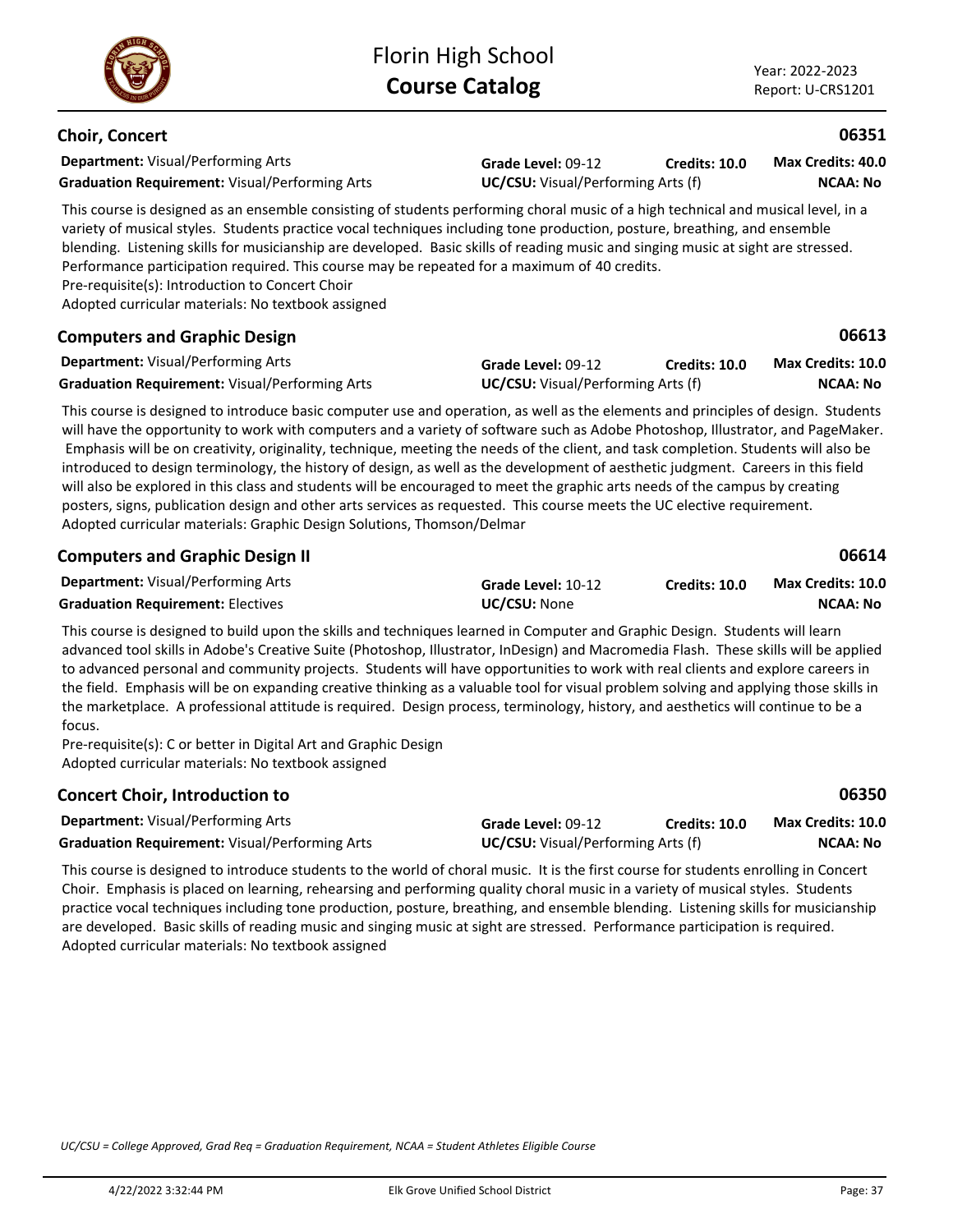**06613**

### **Choir, Concert**

**Department:** Visual/Performing Arts **Graduation Requirement:** Visual/Performing Arts **UC/CSU:** Visual/Performing Arts (f)

**Grade Level:** 09-12 **Credits: 10.0 NCAA: No Max Credits: 40.0**

This course is designed as an ensemble consisting of students performing choral music of a high technical and musical level, in a variety of musical styles. Students practice vocal techniques including tone production, posture, breathing, and ensemble blending. Listening skills for musicianship are developed. Basic skills of reading music and singing music at sight are stressed. Performance participation required. This course may be repeated for a maximum of 40 credits.

Pre-requisite(s): Introduction to Concert Choir

Adopted curricular materials: No textbook assigned

### **Computers and Graphic Design**

| <b>Department:</b> Visual/Performing Arts             | Grade Level: 09-12                        | Credits: 10.0 | Max Credits: 10.0 |
|-------------------------------------------------------|-------------------------------------------|---------------|-------------------|
| <b>Graduation Requirement: Visual/Performing Arts</b> | <b>UC/CSU:</b> Visual/Performing Arts (f) |               | <b>NCAA: No</b>   |

This course is designed to introduce basic computer use and operation, as well as the elements and principles of design. Students will have the opportunity to work with computers and a variety of software such as Adobe Photoshop, Illustrator, and PageMaker. Emphasis will be on creativity, originality, technique, meeting the needs of the client, and task completion. Students will also be introduced to design terminology, the history of design, as well as the development of aesthetic judgment. Careers in this field will also be explored in this class and students will be encouraged to meet the graphic arts needs of the campus by creating posters, signs, publication design and other arts services as requested. This course meets the UC elective requirement. Adopted curricular materials: Graphic Design Solutions, Thomson/Delmar

| <b>Computers and Graphic Design II</b>    |                     |               | 06614             |
|-------------------------------------------|---------------------|---------------|-------------------|
| <b>Department:</b> Visual/Performing Arts | Grade Level: 10-12  | Credits: 10.0 | Max Credits: 10.0 |
| <b>Graduation Requirement: Electives</b>  | <b>UC/CSU: None</b> |               | <b>NCAA: No</b>   |

This course is designed to build upon the skills and techniques learned in Computer and Graphic Design. Students will learn advanced tool skills in Adobe's Creative Suite (Photoshop, Illustrator, InDesign) and Macromedia Flash. These skills will be applied to advanced personal and community projects. Students will have opportunities to work with real clients and explore careers in the field. Emphasis will be on expanding creative thinking as a valuable tool for visual problem solving and applying those skills in the marketplace. A professional attitude is required. Design process, terminology, history, and aesthetics will continue to be a focus.

Pre-requisite(s): C or better in Digital Art and Graphic Design Adopted curricular materials: No textbook assigned

| <b>Concert Choir, Introduction to</b>                 |                                           |                      | 06350             |
|-------------------------------------------------------|-------------------------------------------|----------------------|-------------------|
| <b>Department:</b> Visual/Performing Arts             | Grade Level: 09-12                        | <b>Credits: 10.0</b> | Max Credits: 10.0 |
| <b>Graduation Requirement: Visual/Performing Arts</b> | <b>UC/CSU:</b> Visual/Performing Arts (f) |                      | NCAA: No          |

This course is designed to introduce students to the world of choral music. It is the first course for students enrolling in Concert Choir. Emphasis is placed on learning, rehearsing and performing quality choral music in a variety of musical styles. Students practice vocal techniques including tone production, posture, breathing, and ensemble blending. Listening skills for musicianship are developed. Basic skills of reading music and singing music at sight are stressed. Performance participation is required. Adopted curricular materials: No textbook assigned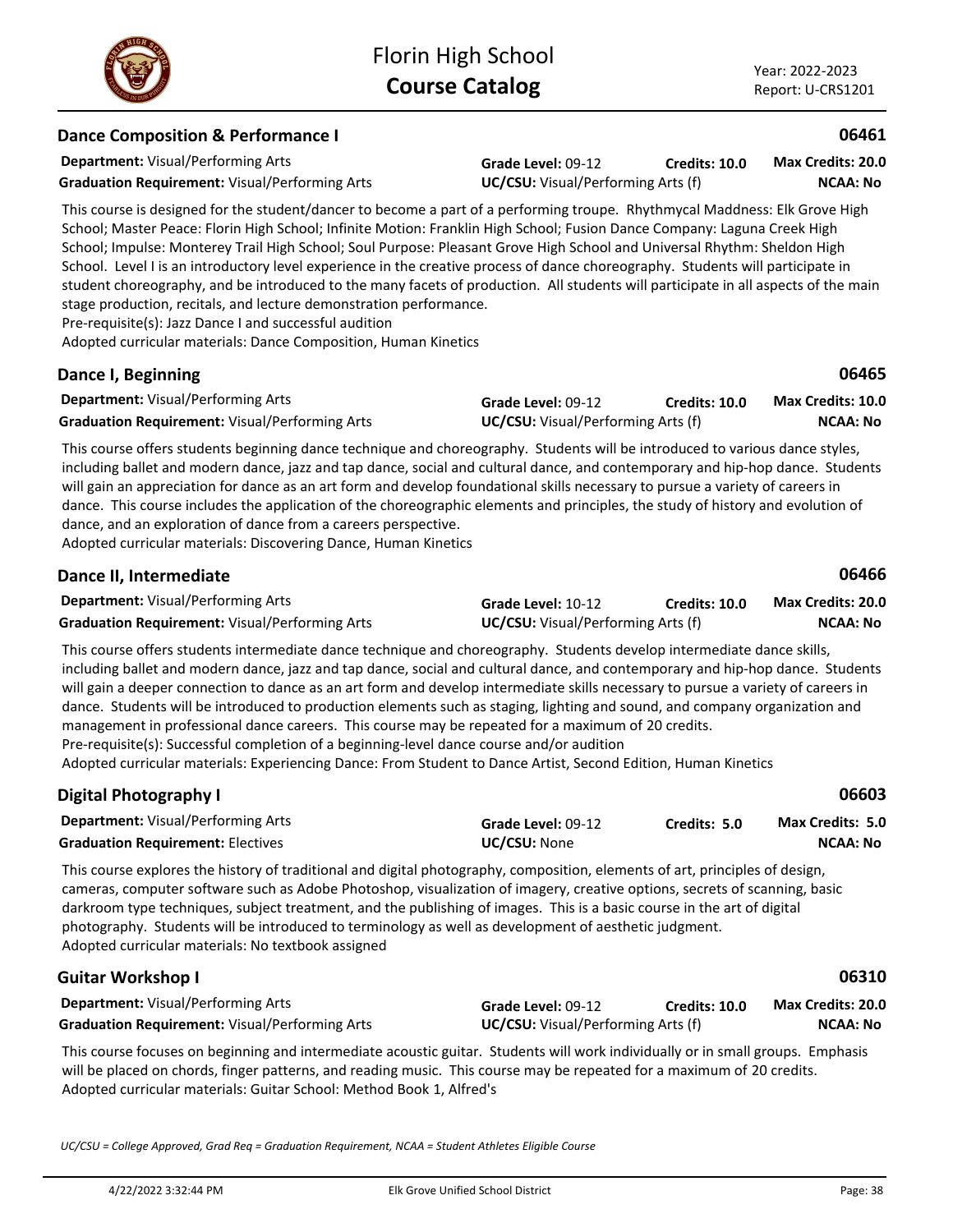# **Dance Composition & Performance I**

**Department:** Visual/Performing Arts

**Grade Level:** 09-12 **Graduation Requirement:** Visual/Performing Arts **UC/CSU:** Visual/Performing Arts (f) **Credits: 10.0**

**NCAA: No Max Credits: 20.0**

This course is designed for the student/dancer to become a part of a performing troupe. Rhythmycal Maddness: Elk Grove High School; Master Peace: Florin High School; Infinite Motion: Franklin High School; Fusion Dance Company: Laguna Creek High School; Impulse: Monterey Trail High School; Soul Purpose: Pleasant Grove High School and Universal Rhythm: Sheldon High School. Level I is an introductory level experience in the creative process of dance choreography. Students will participate in student choreography, and be introduced to the many facets of production. All students will participate in all aspects of the main stage production, recitals, and lecture demonstration performance.

Pre-requisite(s): Jazz Dance I and successful audition

Adopted curricular materials: Dance Composition, Human Kinetics

### **Dance I, Beginning**

| <b>Department:</b> Visual/Performing Arts             | <b>Grade Level: 09-12</b>                 | Credits: 10.0 | <b>Max Credits: 10.0</b> |
|-------------------------------------------------------|-------------------------------------------|---------------|--------------------------|
| <b>Graduation Requirement:</b> Visual/Performing Arts | <b>UC/CSU:</b> Visual/Performing Arts (f) |               | <b>NCAA: No</b>          |

This course offers students beginning dance technique and choreography. Students will be introduced to various dance styles, including ballet and modern dance, jazz and tap dance, social and cultural dance, and contemporary and hip-hop dance. Students will gain an appreciation for dance as an art form and develop foundational skills necessary to pursue a variety of careers in dance. This course includes the application of the choreographic elements and principles, the study of history and evolution of dance, and an exploration of dance from a careers perspective.

Adopted curricular materials: Discovering Dance, Human Kinetics

| Dance II, Intermediate                                |                                           |               | 06466             |
|-------------------------------------------------------|-------------------------------------------|---------------|-------------------|
| <b>Department:</b> Visual/Performing Arts             | Grade Level: 10-12                        | Credits: 10.0 | Max Credits: 20.0 |
| <b>Graduation Requirement: Visual/Performing Arts</b> | <b>UC/CSU:</b> Visual/Performing Arts (f) |               | NCAA: No          |

This course offers students intermediate dance technique and choreography. Students develop intermediate dance skills, including ballet and modern dance, jazz and tap dance, social and cultural dance, and contemporary and hip-hop dance. Students will gain a deeper connection to dance as an art form and develop intermediate skills necessary to pursue a variety of careers in dance. Students will be introduced to production elements such as staging, lighting and sound, and company organization and management in professional dance careers. This course may be repeated for a maximum of 20 credits. Pre-requisite(s): Successful completion of a beginning-level dance course and/or audition

Adopted curricular materials: Experiencing Dance: From Student to Dance Artist, Second Edition, Human Kinetics

| <b>Digital Photography I</b>                                                                                                                                                                                                                                                                                                                                                                                                                                                                                                                         |                                           |               | 06603                                      |
|------------------------------------------------------------------------------------------------------------------------------------------------------------------------------------------------------------------------------------------------------------------------------------------------------------------------------------------------------------------------------------------------------------------------------------------------------------------------------------------------------------------------------------------------------|-------------------------------------------|---------------|--------------------------------------------|
| <b>Department: Visual/Performing Arts</b><br><b>Graduation Requirement: Electives</b>                                                                                                                                                                                                                                                                                                                                                                                                                                                                | Grade Level: 09-12<br><b>UC/CSU: None</b> | Credits: 5.0  | <b>Max Credits: 5.0</b><br><b>NCAA: No</b> |
| This course explores the history of traditional and digital photography, composition, elements of art, principles of design,<br>cameras, computer software such as Adobe Photoshop, visualization of imagery, creative options, secrets of scanning, basic<br>darkroom type techniques, subject treatment, and the publishing of images. This is a basic course in the art of digital<br>photography. Students will be introduced to terminology as well as development of aesthetic judgment.<br>Adopted curricular materials: No textbook assigned |                                           |               |                                            |
| <b>Guitar Workshop I</b>                                                                                                                                                                                                                                                                                                                                                                                                                                                                                                                             |                                           |               | 06310                                      |
| <b>Department:</b> Visual/Performing Arts                                                                                                                                                                                                                                                                                                                                                                                                                                                                                                            | Grade Level: 09-12                        | Credits: 10.0 | Max Credits: 20.0                          |
| <b>Graduation Requirement:</b> Visual/Performing Arts                                                                                                                                                                                                                                                                                                                                                                                                                                                                                                | <b>UC/CSU:</b> Visual/Performing Arts (f) |               | <b>NCAA: No</b>                            |

This course focuses on beginning and intermediate acoustic guitar. Students will work individually or in small groups. Emphasis will be placed on chords, finger patterns, and reading music. This course may be repeated for a maximum of 20 credits. Adopted curricular materials: Guitar School: Method Book 1, Alfred's

*UC/CSU = College Approved, Grad Req = Graduation Requirement, NCAA = Student Athletes Eligible Course*



**06465**

**06461**

4/22/2022 3:32:44 PM Elk Grove Unified School District Page: 38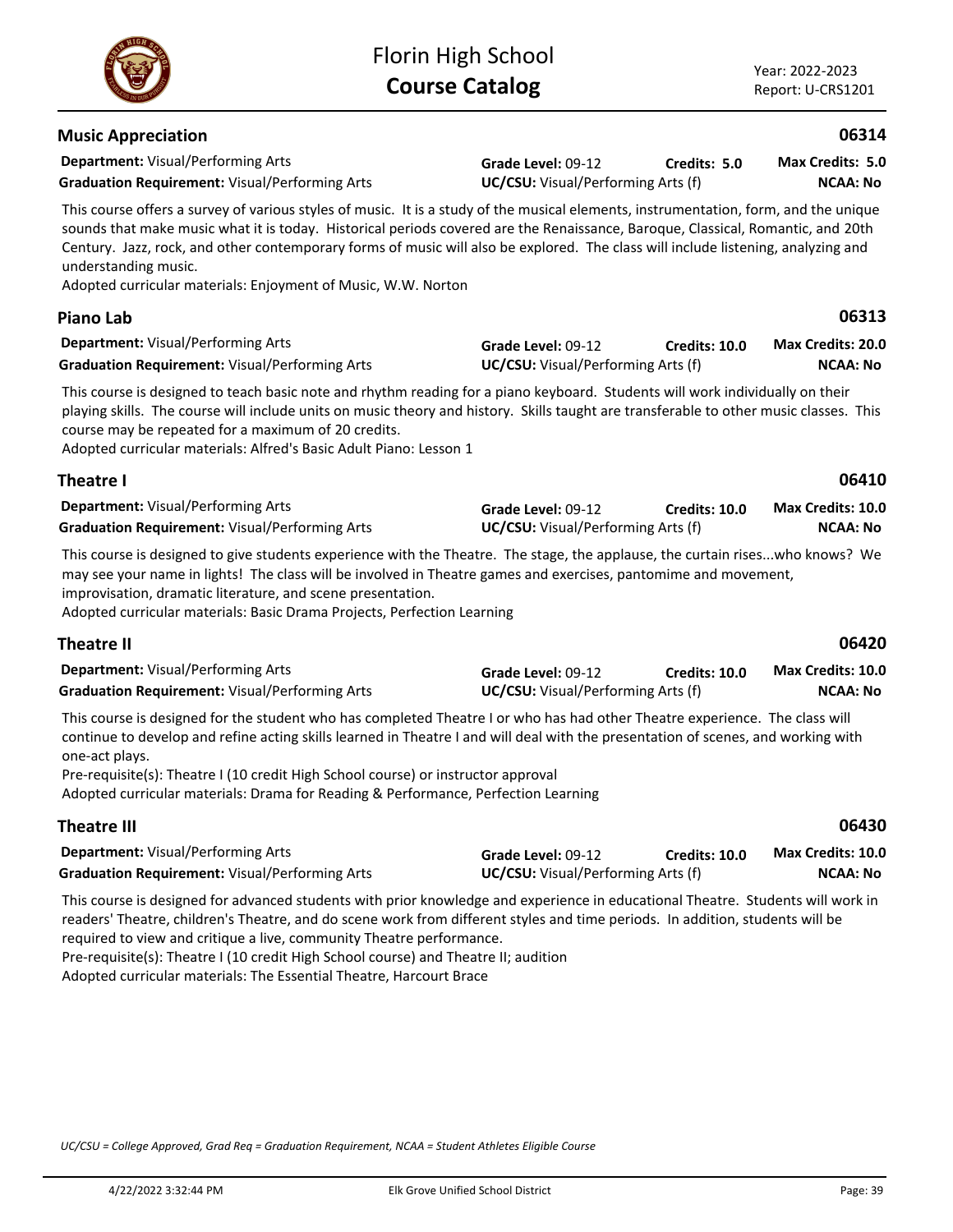**Credits: 5.0**

| <b>Graduation Requirement: Visual/Performing Arts</b>                                                                                                                                                                                                                                                                                                                                                                                                         | UC/CSU: Visual/Performing Arts (f)                              | <b>NCAA: No</b>      |                                             |
|---------------------------------------------------------------------------------------------------------------------------------------------------------------------------------------------------------------------------------------------------------------------------------------------------------------------------------------------------------------------------------------------------------------------------------------------------------------|-----------------------------------------------------------------|----------------------|---------------------------------------------|
| This course is designed to teach basic note and rhythm reading for a piano keyboard. Students will work individually on their<br>playing skills. The course will include units on music theory and history. Skills taught are transferable to other music classes. This<br>course may be repeated for a maximum of 20 credits.<br>Adopted curricular materials: Alfred's Basic Adult Piano: Lesson 1                                                          |                                                                 |                      |                                             |
| <b>Theatre I</b>                                                                                                                                                                                                                                                                                                                                                                                                                                              |                                                                 |                      | 06410                                       |
| <b>Department: Visual/Performing Arts</b><br><b>Graduation Requirement: Visual/Performing Arts</b>                                                                                                                                                                                                                                                                                                                                                            | Grade Level: 09-12<br><b>UC/CSU:</b> Visual/Performing Arts (f) | <b>Credits: 10.0</b> | Max Credits: 10.0<br><b>NCAA: No</b>        |
| This course is designed to give students experience with the Theatre. The stage, the applause, the curtain riseswho knows? We<br>may see your name in lights! The class will be involved in Theatre games and exercises, pantomime and movement,<br>improvisation, dramatic literature, and scene presentation.<br>Adopted curricular materials: Basic Drama Projects, Perfection Learning                                                                    |                                                                 |                      |                                             |
| <b>Theatre II</b>                                                                                                                                                                                                                                                                                                                                                                                                                                             |                                                                 |                      | 06420                                       |
| Department: Visual/Performing Arts<br><b>Graduation Requirement: Visual/Performing Arts</b>                                                                                                                                                                                                                                                                                                                                                                   | Grade Level: 09-12<br>UC/CSU: Visual/Performing Arts (f)        | <b>Credits: 10.0</b> | <b>Max Credits: 10.0</b><br><b>NCAA: No</b> |
| This course is designed for the student who has completed Theatre I or who has had other Theatre experience. The class will<br>continue to develop and refine acting skills learned in Theatre I and will deal with the presentation of scenes, and working with<br>one-act plays.<br>Pre-requisite(s): Theatre I (10 credit High School course) or instructor approval<br>Adopted curricular materials: Drama for Reading & Performance, Perfection Learning |                                                                 |                      |                                             |
| <b>Theatre III</b>                                                                                                                                                                                                                                                                                                                                                                                                                                            |                                                                 |                      | 06430                                       |
| <b>Department:</b> Visual/Performing Arts<br><b>Graduation Requirement: Visual/Performing Arts</b>                                                                                                                                                                                                                                                                                                                                                            | Grade Level: 09-12<br>UC/CSU: Visual/Performing Arts (f)        | Credits: 10.0        | <b>Max Credits: 10.0</b><br><b>NCAA: No</b> |
| This course is designed for advanced students with prior knowledge and experience in educational Theatre. Students will work in<br>readers' Theatre, children's Theatre, and do scene work from different styles and time periods. In addition, students will be<br>required to view and critique a live, community Theatre performance.                                                                                                                      |                                                                 |                      |                                             |

**Piano Lab**

**Graduation Requirement:** Visual/Performing Arts **UC/CSU:** Visual/Performing Arts (f)

| <b>Department: Visual/Performing Arts</b>             | Grade Level: 09-12                        | Credits: 10.0 | <b>Max Credits: 20.0</b> |
|-------------------------------------------------------|-------------------------------------------|---------------|--------------------------|
| <b>Graduation Requirement: Visual/Performing Arts</b> | <b>UC/CSU:</b> Visual/Performing Arts (f) |               | NCAA: No                 |

This course offers a survey of various styles of music. It is a study of the musical elements, instrumentation, form, and the unique sounds that make music what it is today. Historical periods covered are the Renaissance, Baroque, Classical, Romantic, and 20th Century. Jazz, rock, and other contemporary forms of music will also be explored. The class will include listening, analyzing and

**Grade Level:** 09-12

Adopted curricular materials: Enjoyment of Music, W.W. Norton

# **Theatre I**

| <b>Department:</b> Visual/Performing Arts             | <b>Grade Level: 09-12</b>                 | <b>Credits: 10.0</b> | <b>Max Credits: 10.</b> |
|-------------------------------------------------------|-------------------------------------------|----------------------|-------------------------|
| <b>Graduation Requirement: Visual/Performing Arts</b> | <b>UC/CSU:</b> Visual/Performing Arts (f) |                      | <b>NCAA: No</b>         |

Pre-requisite(s): Theatre I (10 credit High School course) and Theatre II; audition

*UC/CSU = College Approved, Grad Req = Graduation Requirement, NCAA = Student Athletes Eligible Course*

Adopted curricular materials: The Essential Theatre, Harcourt Brace



**Music Appreciation**

understanding music.

**Department:** Visual/Performing Arts

# **06313**

**06314**

**NCAA: No Max Credits: 5.0**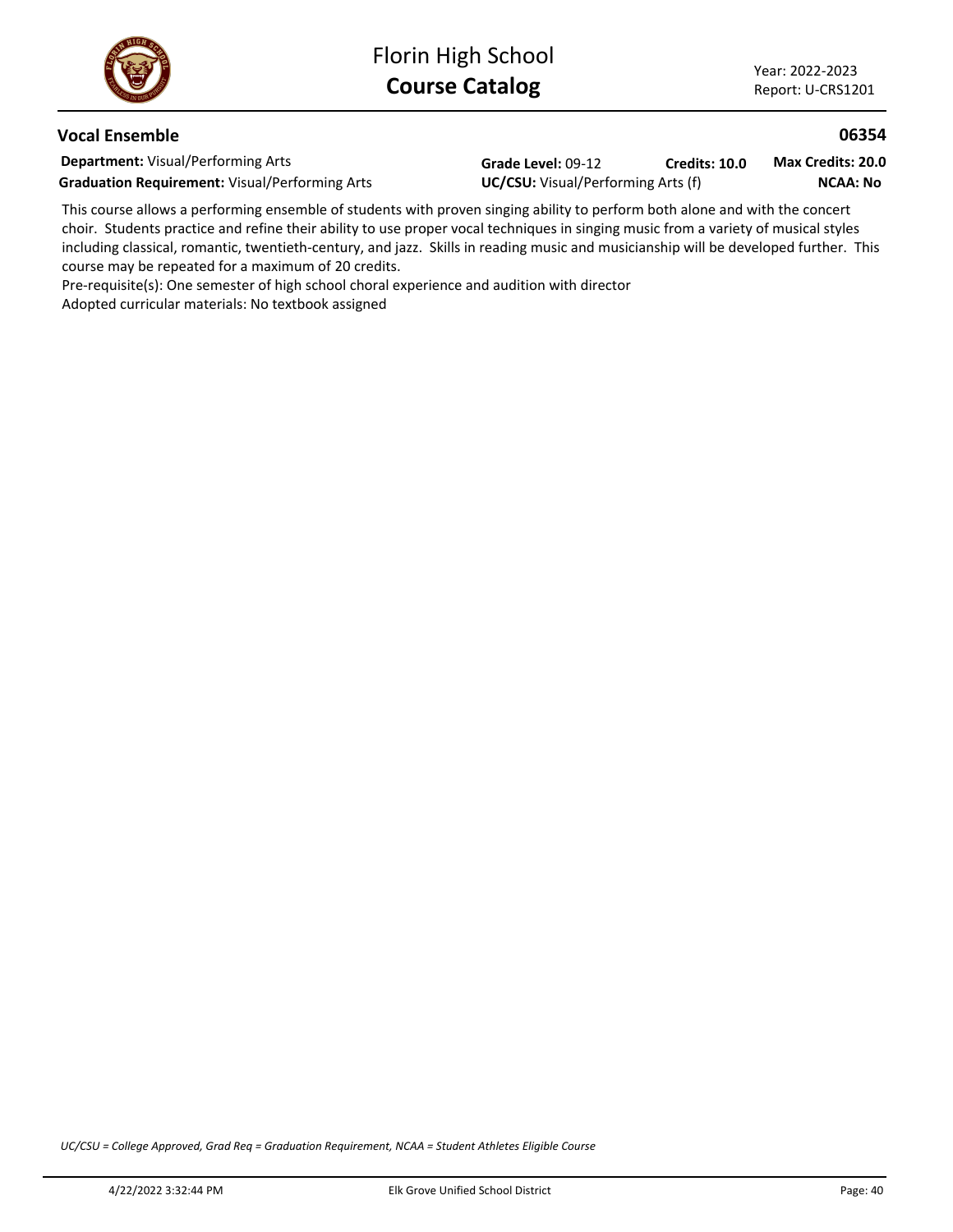### **Vocal Ensemble**

**Department:** Visual/Performing Arts **Graduation Requirement: Visual/Performing Arts**  Grade Level: 09-12 **Credit**<br>**UC/CSU:** Visual/Performing Arts (f) **Credits: 10.0**

**NCAA: No Max Credits: 20.0**

This course allows a performing ensemble of students with proven singing ability to perform both alone and with the concert choir. Students practice and refine their ability to use proper vocal techniques in singing music from a variety of musical styles including classical, romantic, twentieth-century, and jazz. Skills in reading music and musicianship will be developed further. This course may be repeated for a maximum of 20 credits.

Pre-requisite(s): One semester of high school choral experience and audition with director Adopted curricular materials: No textbook assigned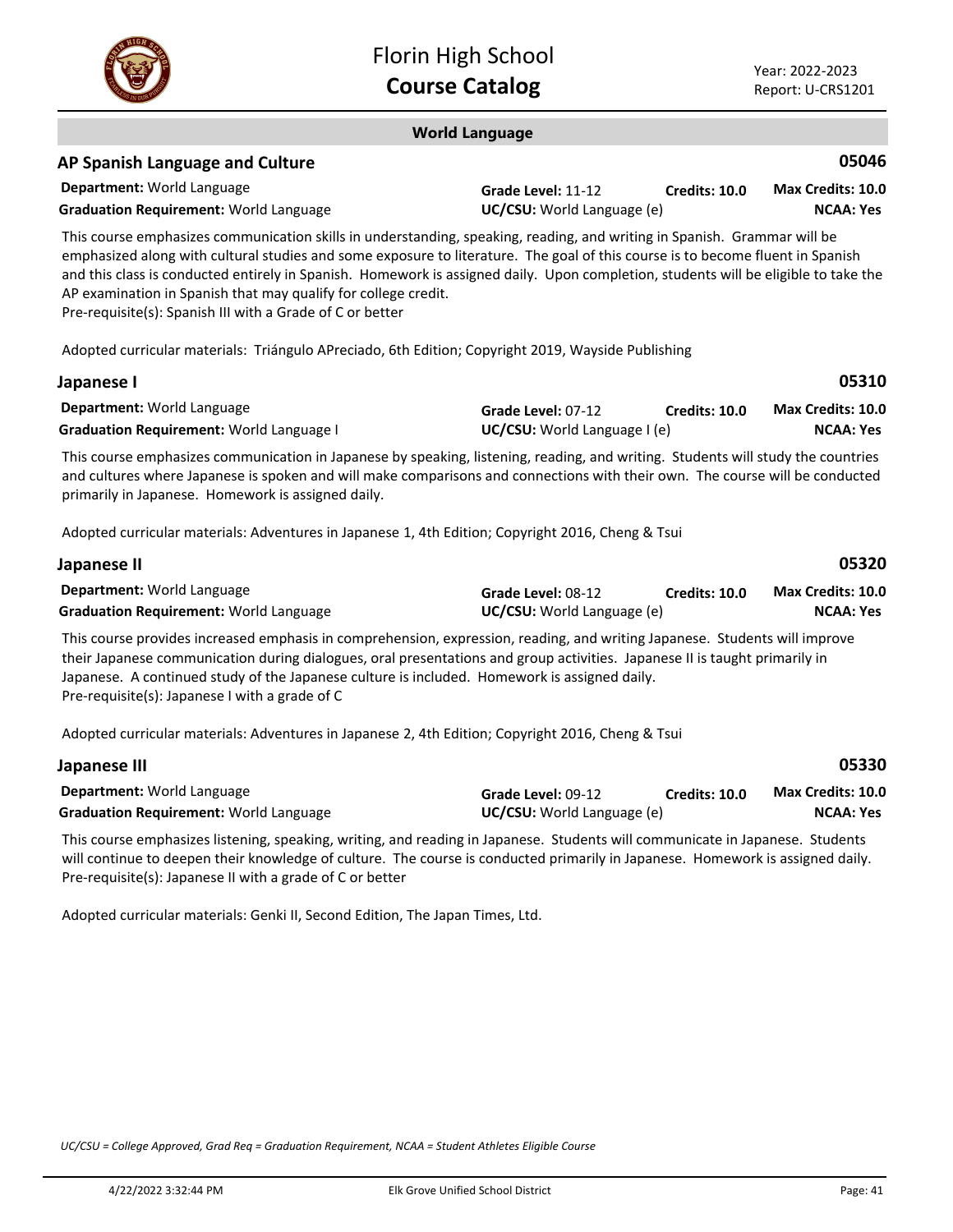

### **World Language**

### **AP Spanish Language and Culture**

| <b>Department:</b> World Language             | Grade Level: 11-12                | Credits: 10.0 | Max Credits: 10.0 |
|-----------------------------------------------|-----------------------------------|---------------|-------------------|
| <b>Graduation Requirement:</b> World Language | <b>UC/CSU:</b> World Language (e) |               | <b>NCAA: Yes</b>  |

This course emphasizes communication skills in understanding, speaking, reading, and writing in Spanish. Grammar will be emphasized along with cultural studies and some exposure to literature. The goal of this course is to become fluent in Spanish and this class is conducted entirely in Spanish. Homework is assigned daily. Upon completion, students will be eligible to take the AP examination in Spanish that may qualify for college credit.

Pre-requisite(s): Spanish III with a Grade of C or better

Adopted curricular materials: Triángulo APreciado, 6th Edition; Copyright 2019, Wayside Publishing

|                                     |                      | 05310                    |
|-------------------------------------|----------------------|--------------------------|
| Grade Level: 07-12                  | <b>Credits: 10.0</b> | <b>Max Credits: 10.0</b> |
| <b>UC/CSU:</b> World Language I (e) |                      | <b>NCAA: Yes</b>         |
|                                     |                      |                          |

This course emphasizes communication in Japanese by speaking, listening, reading, and writing. Students will study the countries and cultures where Japanese is spoken and will make comparisons and connections with their own. The course will be conducted primarily in Japanese. Homework is assigned daily.

Adopted curricular materials: Adventures in Japanese 1, 4th Edition; Copyright 2016, Cheng & Tsui

| Japanese II                                   |                                   |               | 05320                    |
|-----------------------------------------------|-----------------------------------|---------------|--------------------------|
| <b>Department:</b> World Language             | Grade Level: 08-12                | Credits: 10.0 | <b>Max Credits: 10.0</b> |
| <b>Graduation Requirement: World Language</b> | <b>UC/CSU:</b> World Language (e) |               | NCAA: Yes                |

This course provides increased emphasis in comprehension, expression, reading, and writing Japanese. Students will improve their Japanese communication during dialogues, oral presentations and group activities. Japanese II is taught primarily in Japanese. A continued study of the Japanese culture is included. Homework is assigned daily. Pre-requisite(s): Japanese I with a grade of C

Adopted curricular materials: Adventures in Japanese 2, 4th Edition; Copyright 2016, Cheng & Tsui

| Japanese III                                  |                                   |               | 05330             |
|-----------------------------------------------|-----------------------------------|---------------|-------------------|
| <b>Department:</b> World Language             | Grade Level: 09-12                | Credits: 10.0 | Max Credits: 10.0 |
| <b>Graduation Requirement: World Language</b> | <b>UC/CSU:</b> World Language (e) |               | <b>NCAA: Yes</b>  |

This course emphasizes listening, speaking, writing, and reading in Japanese. Students will communicate in Japanese. Students will continue to deepen their knowledge of culture. The course is conducted primarily in Japanese. Homework is assigned daily. Pre-requisite(s): Japanese II with a grade of C or better

Adopted curricular materials: Genki II, Second Edition, The Japan Times, Ltd.

*UC/CSU = College Approved, Grad Req = Graduation Requirement, NCAA = Student Athletes Eligible Course*